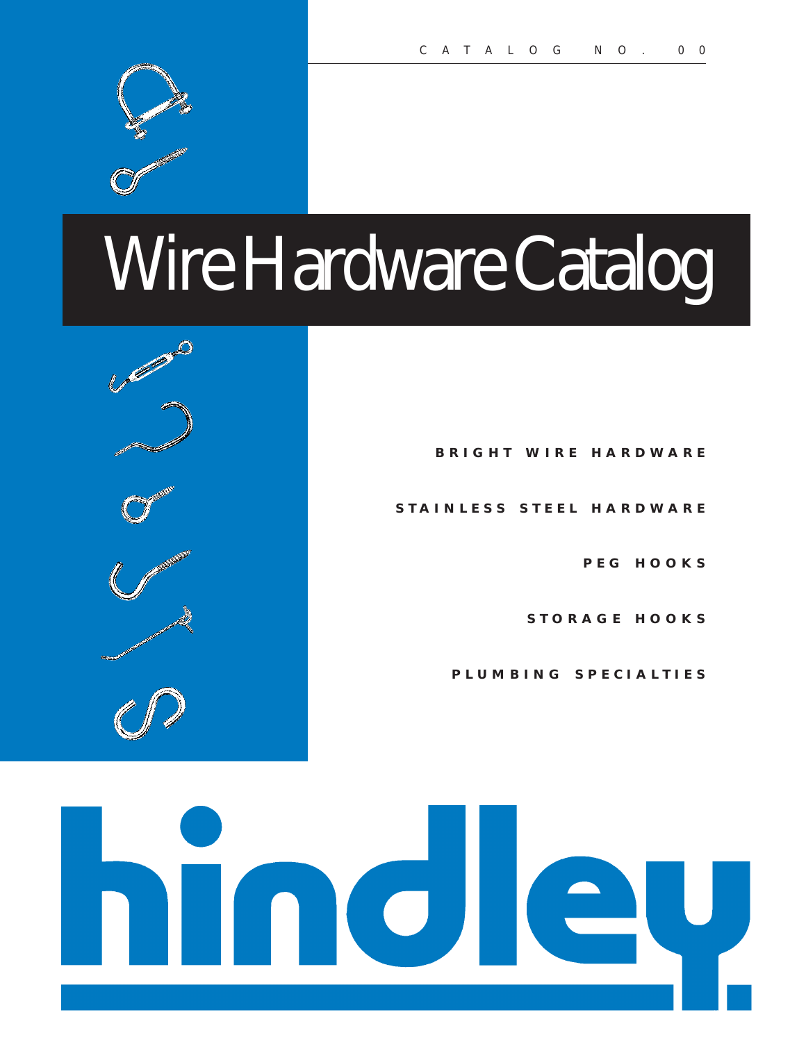

Company of

# Wire Hardware Catalog

**BRIGHT WIRE HARDWARE**

**STAINLESS STEEL HARDWARE**

**PEG HOOKS**

**STORAGE HOOKS**

**PLUMBING SPECIALTIES**

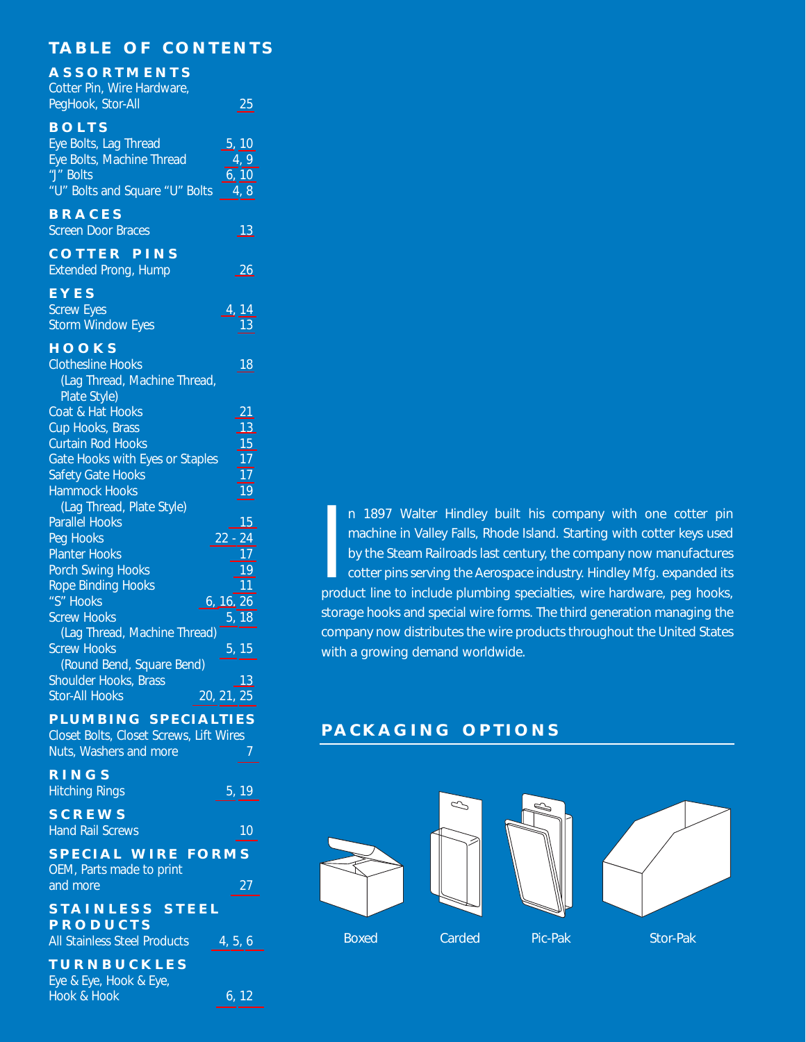# **TABLE OF CONTENTS**

## **ASSORTMENTS**

| Cotter Pin, Wire Hardware, |     |
|----------------------------|-----|
| PegHook, Stor-All          | -25 |

# **BOLTS**

| Eye Bolts, Lag Thread                      | 5, 10          |
|--------------------------------------------|----------------|
| Eye Bolts, Machine Thread                  | 4, 9           |
| "J" Bolts                                  | 6.10           |
| "U" Bolts and Square "U" Bolts             | 4,8            |
| <b>BRACES</b><br><b>Screen Door Braces</b> | 13             |
| <b>COTTER PINS</b>                         |                |
| <b>Extended Prong, Hump</b>                | 26             |
| EYES<br>$\sim$ $\sim$ $\sim$ $\sim$ $\sim$ | $\overline{A}$ |

| <b>Screw Eyes</b> |                          | 4, 14 |
|-------------------|--------------------------|-------|
|                   | <b>Storm Window Eyes</b> | 13    |

# **HOOKS**

| <b>Clothesline Hooks</b>        | 18              |
|---------------------------------|-----------------|
| (Lag Thread, Machine Thread,    |                 |
| Plate Style)                    |                 |
| Coat & Hat Hooks                | 21              |
| Cup Hooks, Brass                | $\overline{1}3$ |
| <b>Curtain Rod Hooks</b>        | 15              |
| Gate Hooks with Eyes or Staples | 17              |
| <b>Safety Gate Hooks</b>        | 17              |
| <b>Hammock Hooks</b>            | $\overline{19}$ |
| (Lag Thread, Plate Style)       |                 |
| <b>Parallel Hooks</b>           | 15              |
| $22 - 24$<br>Peg Hooks          |                 |
| <b>Planter Hooks</b>            | $\overline{1}$  |
| <b>Porch Swing Hooks</b>        | 19              |
| <b>Rope Binding Hooks</b>       | $\overline{11}$ |
| "S" Hooks<br>6, 16, 26          |                 |
| <b>Screw Hooks</b>              | 5, 18           |
|                                 |                 |
| (Lag Thread, Machine Thread)    |                 |
| <b>Screw Hooks</b>              | 5, 15           |
| (Round Bend, Square Bend)       |                 |
| Shoulder Hooks, Brass           | 13              |

### **PLUMBING SPECIALTIES**

| Closet Bolts, Closet Screws, Lift Wires, |  |
|------------------------------------------|--|
| Nuts. Washers and more                   |  |

### **RINGS**

| Hitching Rings |  | 5, 19 |  |
|----------------|--|-------|--|
|                |  |       |  |

**SCREWS** [Hand Rail Screws 10](#page-9-0)

#### **SPECIAL WIRE FORMS**

OEM, Parts made to print [and more 27](#page-26-0)

## **STAINLESS STEEL PRODUCTS**

| All Stainless Steel Products |  | 4, 5, 6 |  |
|------------------------------|--|---------|--|
|                              |  |         |  |

## **TURNBUCKLES**

Eye & Eye, Hook & Eye, Hook & Hook [6,](#page-5-0) [12](#page-11-0) In 1897 Walter Hindley built his company with one cotter pin<br>machine in Valley Falls, Rhode Island. Starting with cotter keys used<br>by the Steam Railroads last century, the company now manufactures<br>cotter pins serving the A n 1897 Walter Hindley built his company with one cotter pin machine in Valley Falls, Rhode Island. Starting with cotter keys used by the Steam Railroads last century, the company now manufactures cotter pins serving the Aerospace industry. Hindley Mfg. expanded its storage hooks and special wire forms. The third generation managing the company now distributes the wire products throughout the United States with a growing demand worldwide.

**PACKAGING OPTIONS**

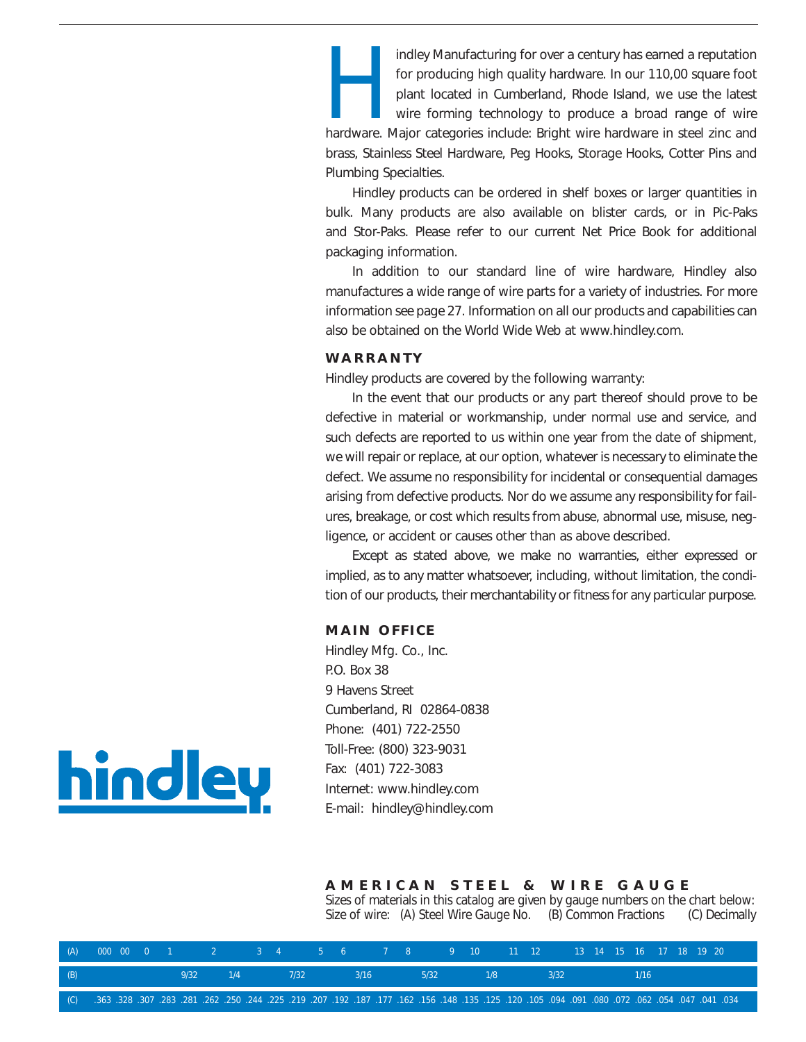Imalieum Manufacturing for over a century has earned a reputation<br>
for producing high quality hardware. In our 110,00 square foot<br>
plant located in Cumberland, Rhode Island, we use the latest<br>
wire forming technology to pr for producing high quality hardware. In our 110,00 square foot plant located in Cumberland, Rhode Island, we use the latest  $\blacksquare$  wire forming technology to produce a broad range of wire brass, Stainless Steel Hardware, Peg Hooks, Storage Hooks, Cotter Pins and Plumbing Specialties.

Hindley products can be ordered in shelf boxes or larger quantities in bulk. Many products are also available on blister cards, or in Pic-Paks and Stor-Paks. Please refer to our current Net Price Book for additional packaging information.

In addition to our standard line of wire hardware, Hindley also manufactures a wide range of wire parts for a variety of industries. For more information see page 27. Information on all our products and capabilities can also be obtained on the World Wide Web at www.hindley.com.

### **WARRANTY**

Hindley products are covered by the following warranty:

In the event that our products or any part thereof should prove to be defective in material or workmanship, under normal use and service, and such defects are reported to us within one year from the date of shipment, we will repair or replace, at our option, whatever is necessary to eliminate the defect. We assume no responsibility for incidental or consequential damages arising from defective products. Nor do we assume any responsibility for failures, breakage, or cost which results from abuse, abnormal use, misuse, negligence, or accident or causes other than as above described.

Except as stated above, we make no warranties, either expressed or implied, as to any matter whatsoever, including, without limitation, the condition of our products, their merchantability or fitness for any particular purpose.

### **MAIN OFFICE**

Hindley Mfg. Co., Inc. P.O. Box 38 9 Havens Street Cumberland, RI 02864-0838 Phone: (401) 722-2550 Toll-Free: (800) 323-9031 Fax: (401) 722-3083 Internet: www.hindley.com E-mail: hindley@hindley.com

### **AMERICAN STEEL & WIRE GAUGE**

Sizes of materials in this catalog are given by gauge numbers on the chart below:<br>Size of wire: (A) Steel Wire Gauge No. (B) Common Fractions (C) Decimally Size of wire: (A) Steel Wire Gauge No. (B) Common Fractions

|     | (A) 000 00 0 1 2 3 4 5 6 7 8 9 10 11 12 13 14 15 16 17 18 19 20                                                                                                                                                                |  |  |  |  |  |  |  |  |  |  |  |      |  |  |  |
|-----|--------------------------------------------------------------------------------------------------------------------------------------------------------------------------------------------------------------------------------|--|--|--|--|--|--|--|--|--|--|--|------|--|--|--|
| (B) |                                                                                                                                                                                                                                |  |  |  |  |  |  |  |  |  |  |  | 1/16 |  |  |  |
|     | 041. 041. 047. 050. 062. 070. 080. 091. 090. 120. 125. 135. 148. 156. 167. 177. 187. 179. 129. 129. 129. 282. 283. 127. 283. 128. 283. 128. 138. 139. 158. 283. 197. 159. 159. 159. 177. 120. 120. 120. 190. 190. 190. 190. 28 |  |  |  |  |  |  |  |  |  |  |  |      |  |  |  |

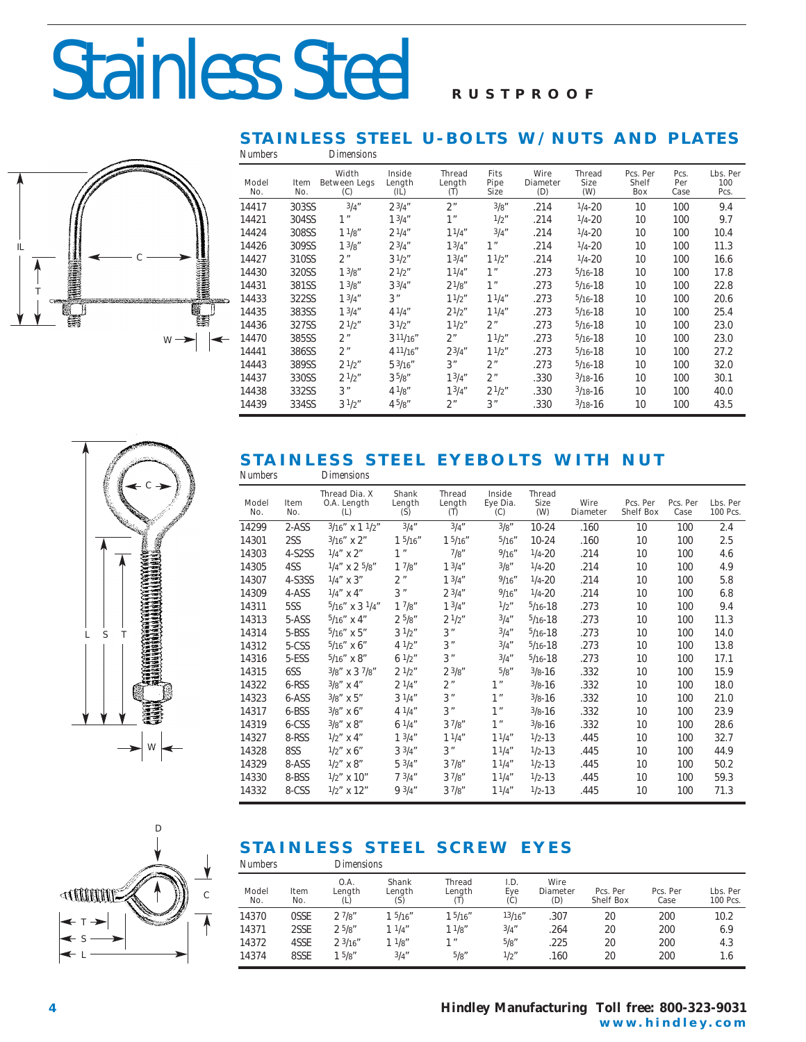# <span id="page-3-0"></span>Stainless Steel RUSTPROOF

### **STAINLESS STEEL U-BOLTS W/NUTS AND PLATES**<br>Numbers Dimensions *Numbers Dimensions*



C

| <b>Model</b><br>No. | Item<br>No. | Width<br><b>Between Legs</b><br>(C) | Inside<br>Length<br>(IL) | <b>Thread</b><br>Length<br>(T) | <b>Fits</b><br>Pipe<br>Size | Wire<br><b>Diameter</b><br>(D) | <b>Thread</b><br>Size<br>(W) | Pcs. Per<br><b>Shelf</b><br>Box | Pcs.<br>Per<br>Case | Lbs. Per<br>100<br>Pcs. |
|---------------------|-------------|-------------------------------------|--------------------------|--------------------------------|-----------------------------|--------------------------------|------------------------------|---------------------------------|---------------------|-------------------------|
| 14417               | 303SS       | 3/4''                               | $2^{3/4''}$              | 2 <sup>n</sup>                 | 3/g''                       | .214                           | $1/4 - 20$                   | 10                              | 100                 | 9.4                     |
| 14421               | 304SS       | 1 <sup>''</sup>                     | 13/4''                   | 1 <sup>''</sup>                | 1/2''                       | .214                           | $1/4 - 20$                   | 10                              | 100                 | 9.7                     |
| 14424               | 308SS       | 11/8"                               | $2^{1/4''}$              | $1^{1/4''}$                    | 3/4''                       | .214                           | $1/4 - 20$                   | 10                              | 100                 | 10.4                    |
| 14426               | 309SS       | 13/8"                               | $2^{3/4''}$              | $1^{3}/4''$                    | 1 <sup>''</sup>             | .214                           | $1/4 - 20$                   | 10                              | 100                 | 11.3                    |
| 14427               | 310SS       | 2"                                  | 31/2"                    | 13/4''                         | 11/2"                       | .214                           | $1/4 - 20$                   | 10                              | 100                 | 16.6                    |
| 14430               | 320SS       | 13/8"                               | $2^{1/2"$                | $1^{1/4''}$                    | 1"                          | .273                           | $5/16 - 18$                  | 10                              | 100                 | 17.8                    |
| 14431               | 381SS       | 13/8"                               | $3^{3}/4''$              | $2^{1/8''}$                    | 1 <sup>''</sup>             | .273                           | $5/16 - 18$                  | 10                              | 100                 | 22.8                    |
| 14433               | 322SS       | 13/4"                               | 3"                       | 11/2"                          | 11/4"                       | .273                           | $5/16 - 18$                  | 10                              | 100                 | 20.6                    |
| 14435               | 383SS       | $1 \frac{3}{4}$ "                   | $4^{1/4''}$              | $2^{1/2}$                      | 11/4"                       | .273                           | $5/16 - 18$                  | 10                              | 100                 | 25.4                    |
| 14436               | 327SS       | $2^{\frac{1}{2}}$                   | $3^{1/2}$                | 11/2"                          | 2 <sup>''</sup>             | .273                           | $5/16 - 18$                  | 10                              | 100                 | 23.0                    |
| 14470               | 385SS       | 2 <sup>''</sup>                     | 311/16"                  | 2 <sup>n</sup>                 | 11/2"                       | .273                           | $5/16 - 18$                  | 10                              | 100                 | 23.0                    |
| 14441               | 386SS       | 2"                                  | 411/16''                 | $2^{3/4''}$                    | 11/2"                       | .273                           | $5/16 - 18$                  | 10                              | 100                 | 27.2                    |
| 14443               | 389SS       | $2^1/2''$                           | 53/16''                  | 3"                             | 2 <sup>''</sup>             | .273                           | $5/16 - 18$                  | 10                              | 100                 | 32.0                    |
| 14437               | 330SS       | 21/2"                               | 35/8"                    | 13/4''                         | 2 <sup>n</sup>              | .330                           | $3/18 - 16$                  | 10                              | 100                 | 30.1                    |
| 14438               | 332SS       | 3"                                  | $4^{1}/8$ "              | $1^{3}/4''$                    | $2^{1/2"}$                  | .330                           | $3/18 - 16$                  | 10                              | 100                 | 40.0                    |
| 14439               | 334SS       | $3^{1/2}$                           | 45/g''                   | 2 <sup>n</sup>                 | 3"                          | .330                           | $3/18 - 16$                  | 10                              | 100                 | 43.5                    |
|                     |             |                                     |                          |                                |                             |                                |                              |                                 |                     |                         |

# **STAINLESS STEEL EYEBOLTS WITH NUT**

*Numbers Dimensions*

| 1 vanidati v        |                    | ринспятня                           |                        |                                |                           |                              |                         |                              |                  |                      |
|---------------------|--------------------|-------------------------------------|------------------------|--------------------------------|---------------------------|------------------------------|-------------------------|------------------------------|------------------|----------------------|
| <b>Model</b><br>No. | <b>Item</b><br>No. | Thread Dia. X<br>O.A. Length<br>(L) | Shank<br>Length<br>(S) | <b>Thread</b><br>Length<br>(T) | Inside<br>Eve Dia.<br>(C) | <b>Thread</b><br>Size<br>(W) | Wire<br><b>Diameter</b> | Pcs. Per<br><b>Shelf Box</b> | Pcs. Per<br>Case | Lbs. Per<br>100 Pcs. |
| 14299               | 2-ASS              | $3/16''$ X 1 $1/2''$                | 3/4''                  | 3/4''                          | 3/g''                     | $10 - 24$                    | .160                    | 10                           | 100              | 2.4                  |
| 14301               | 2SS                | $3/16''$ X 2"                       | 15/16''                | 15/16''                        | 5/16''                    | $10 - 24$                    | .160                    | 10                           | 100              | 2.5                  |
| 14303               | 4-S2SS             | $1/4''$ x 2"                        | 1 <sup>''</sup>        | 7/8"                           | 9/16''                    | $1/4 - 20$                   | .214                    | 10                           | 100              | 4.6                  |
| 14305               | 4SS                | $1/4''$ x 2 $5/8''$                 | 17/8"                  | 13/4''                         | 3/g''                     | $1/4 - 20$                   | .214                    | 10                           | 100              | 4.9                  |
| 14307               | $4-S3SS$           | $1/4''$ x 3"                        | 2"                     | 13/4''                         | 9/16''                    | $1/4 - 20$                   | .214                    | 10                           | 100              | 5.8                  |
| 14309               | 4-ASS              | $1/4''$ x 4"                        | 3"                     | 23/4''                         | 9/16''                    | $1/4 - 20$                   | .214                    | 10                           | 100              | 6.8                  |
| 14311               | 5SS                | $5/16''$ X 3 $1/4''$                | 17/8"                  | 13/4''                         | 1/2"                      | $5/16 - 18$                  | .273                    | 10                           | 100              | 9.4                  |
| 14313               | 5-ASS              | $5/16''$ X 4"                       | 25/8"                  | 21/2"                          | 3/4''                     | $5/16 - 18$                  | .273                    | 10                           | 100              | 11.3                 |
| 14314               | 5-BSS              | $5/16''$ x 5"                       | $3 \frac{1}{2}$        | 3"                             | 3/4''                     | $5/16 - 18$                  | .273                    | 10                           | 100              | 14.0                 |
| 14312               | 5-CSS              | $5/16''$ X 6"                       | $4 \frac{1}{2}$        | 3"                             | 3/4''                     | $5/16 - 18$                  | .273                    | 10                           | 100              | 13.8                 |
| 14316               | 5-ESS              | $5/16''$ x 8"                       | 61/2"                  | 3"                             | 3/4''                     | $5/16 - 18$                  | .273                    | 10                           | 100              | 17.1                 |
| 14315               | 6SS                | $3/8''$ x 3 $7/8''$                 | $2^{1/2"$              | $2 \frac{3}{8}$ "              | 5/g''                     | $3/8 - 16$                   | .332                    | 10                           | 100              | 15.9                 |
| 14322               | 6-RSS              | $3/8''$ X 4"                        | $2 \frac{1}{4}$        | 2 <sup>''</sup>                | 1"                        | $3/8 - 16$                   | .332                    | 10                           | 100              | 18.0                 |
| 14323               | 6-ASS              | $3/8''$ x 5"                        | $3 \frac{1}{4}$        | 3"                             | 1 <sup>''</sup>           | $3/8 - 16$                   | .332                    | 10                           | 100              | 21.0                 |
| 14317               | 6-BSS              | $3/8''$ X 6"                        | $4^{1}/4''$            | 3"                             | 1"                        | $3/8 - 16$                   | .332                    | 10                           | 100              | 23.9                 |
| 14319               | 6-CSS              | $3/8''$ x $8''$                     | 61/4"                  | 37/8"                          | 1 <sup>''</sup>           | $3/8 - 16$                   | .332                    | 10                           | 100              | 28.6                 |
| 14327               | 8-RSS              | $1/2''$ x 4"                        | $1 \frac{3}{4}$        | 11/4"                          | 11/4"                     | $1/2 - 13$                   | .445                    | 10                           | 100              | 32.7                 |
| 14328               | 8SS                | $1/2$ " x 6"                        | $3^{3}/4''$            | 3"                             | 11/4"                     | $1/2 - 13$                   | .445                    | 10                           | 100              | 44.9                 |
| 14329               | 8-ASS              | $1/2''$ x 8"                        | 53/4''                 | 37/s''                         | 11/4"                     | $1/2 - 13$                   | .445                    | 10                           | 100              | 50.2                 |
| 14330               | 8-BSS              | $1/2$ " x 10"                       | 73/4''                 | 37/8"                          | 11/4"                     | $1/2 - 13$                   | .445                    | 10                           | 100              | 59.3                 |
| 14332               | 8-CSS              | $1/2$ " x 12"                       | 93/4''                 | 37/8"                          | 11/4"                     | $1/2 - 13$                   | .445                    | 10                           | 100              | 71.3                 |
|                     |                    |                                     |                        |                                |                           |                              |                         |                              |                  |                      |

# **STAINLESS STEEL SCREW EYES**

| Item<br>No.  | O.A.<br>Length<br>(L) | <b>Shank</b><br>Length<br>(S) | <b>Thread</b><br>Length<br>(T) | I.D.<br>Eye<br>(C) | Wire<br><b>Diameter</b><br>(D) | Pcs. Per<br><b>Shelf Box</b> | Pcs. Per<br>Case | Lbs. Per<br>100 Pcs. |
|--------------|-----------------------|-------------------------------|--------------------------------|--------------------|--------------------------------|------------------------------|------------------|----------------------|
| 0SSE         | 27/g''                | 15/16''                       | 15/16''                        | 13/16''            | .307                           | 20                           | 200              | 10.2                 |
| 2SSE         | 25/8"                 | 11/4"                         | 11/8"                          | 3/4''              | .264                           | 20                           | 200              | 6.9                  |
| 4SSE<br>8SSE | 23/16''<br>15/8"      | $1^{1}/8$ "<br>3/4''          | 1 <sup>''</sup><br>5/g''       | 5/g''<br>1/2''     | .225<br>.160                   | 20<br>20                     | 200<br>200       | 4.3<br>1.6           |
|              |                       |                               | <b>Dimensions</b>              |                    |                                |                              |                  |                      |



 $L S$ 

### **4 Hindley Manufacturing Toll free: 800-323-9031 www.hindley.com**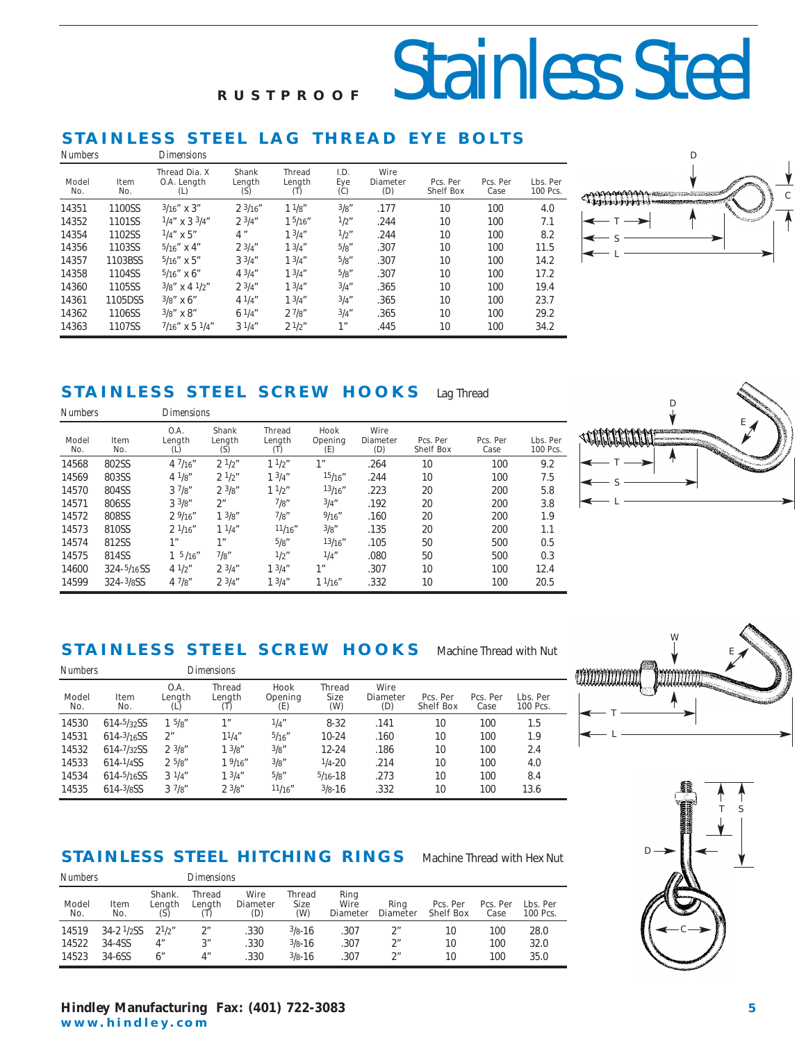# RUSTPROOF Stainless Steel

# <span id="page-4-0"></span>**STAINLESS STEEL LAG THREAD EYE BOLTS**

| <b>Numbers</b>      |             | Dimensions                          |                        |                                |                    |                         |                              |                  |                      |
|---------------------|-------------|-------------------------------------|------------------------|--------------------------------|--------------------|-------------------------|------------------------------|------------------|----------------------|
| <b>Model</b><br>No. | Item<br>No. | Thread Dia. X<br>O.A. Length<br>(L) | Shank<br>Length<br>(S) | <b>Thread</b><br>Length<br>(T) | I.D.<br>Eye<br>(C) | Wire<br>Diameter<br>(D) | Pcs. Per<br><b>Shelf Box</b> | Pcs. Per<br>Case | Lbs. Per<br>100 Pcs. |
| 14351               | 1100SS      | $3/16''$ X $3''$                    | 23/16''                | 11/s''                         | 3/g''              | .177                    | 10                           | 100              | 4.0                  |
| 14352               | 1101SS      | $1/4''$ x 3 $3/4''$                 | 23/4''                 | 15/16''                        | 1/2"               | .244                    | 10                           | 100              | 7.1                  |
| 14354               | 1102SS      | $1/4''$ x 5"                        | $4$ "                  | 13/4"                          | 1/2"               | .244                    | 10                           | 100              | 8.2                  |
| 14356               | 1103SS      | $5/16''$ x 4"                       | 23/4''                 | 13/4''                         | 5/g''              | .307                    | 10                           | 100              | 11.5                 |
| 14357               | 1103BSS     | $5/16''$ x $5''$                    | 33/4''                 | 13/4"                          | 5/g''              | .307                    | 10                           | 100              | 14.2                 |
| 14358               | 1104SS      | $5/16''$ x 6"                       | 43/4"                  | 13/4''                         | 5/g''              | .307                    | 10                           | 100              | 17.2                 |
| 14360               | 1105SS      | $3/g''$ x 4 $1/2''$                 | 23/4''                 | 13/4''                         | 3/4''              | .365                    | 10                           | 100              | 19.4                 |
| 14361               | 1105DSS     | $3/8''$ x 6"                        | 41/4"                  | 13/4"                          | 3/4''              | .365                    | 10                           | 100              | 23.7                 |
| 14362               | 1106SS      | $3/g''$ x $8''$                     | 61/4"                  | 27/g''                         | 3/4''              | .365                    | 10                           | 100              | 29.2                 |
| 14363               | 1107SS      | $7/16''$ x 5 $1/4''$                | $3 \frac{1}{4}$        | $2^{1/2}$                      | 1 <sup>n</sup>     | .445                    | 10                           | 100              | 34.2                 |



# **STAINLESS STEEL SCREW HOOKS** Lag Thread

| <b>Numbers</b>      |                       | <i>Dimensions</i>     |                               |                                |                        |                                |                              |                  |                      |
|---------------------|-----------------------|-----------------------|-------------------------------|--------------------------------|------------------------|--------------------------------|------------------------------|------------------|----------------------|
| <b>Model</b><br>No. | Item<br>No.           | O.A.<br>Length<br>(L) | <b>Shank</b><br>Length<br>(S) | <b>Thread</b><br>Length<br>(T) | Hook<br>Opening<br>(E) | Wire<br><b>Diameter</b><br>(D) | Pcs. Per<br><b>Shelf Box</b> | Pcs. Per<br>Case | Lbs. Per<br>100 Pcs. |
| 14568               | 802SS                 | 47/16''               | $2^{1/2}$                     | 11/2"                          | 1"                     | .264                           | 10                           | 100              | 9.2                  |
| 14569               | 803SS                 | $4^{1}/8$ "           | $2^{1/2}$                     | 13/4''                         | 15/16''                | .244                           | 10                           | 100              | 7.5                  |
| 14570               | 804SS                 | 37/g''                | $2 \frac{3}{8}$ "             | 11/2"                          | 13/16''                | .223                           | 20                           | 200              | 5.8                  |
| 14571               | 806SS                 | $3^{3}/8''$           | 2 <sup>n</sup>                | 7/g''                          | 3/4''                  | .192                           | 20                           | 200              | 3.8                  |
| 14572               | 808SS                 | 29/16''               | $1 \frac{3}{8}$               | 7/g''                          | 9/16''                 | .160                           | 20                           | 200              | 1.9                  |
| 14573               | 810SS                 | 21/16''               | 11/4"                         | 11/16''                        | 3/g''                  | .135                           | 20                           | 200              | 1.1                  |
| 14574               | 812SS                 | 1 <sup>11</sup>       | 1 <sup>''</sup>               | 5/g''                          | 13/16''                | .105                           | 50                           | 500              | 0.5                  |
| 14575               | 814SS                 | $1\frac{5}{16}$       | 7/g''                         | 1/2"                           | 1/4''                  | .080                           | 50                           | 500              | 0.3                  |
| 14600               | 324-5/16SS            | 41/2"                 | 23/4"                         | 13/4''                         | 1"                     | .307                           | 10                           | 100              | 12.4                 |
| 14599               | $324 - \frac{3}{8}SS$ | 47/8"                 | $2 \frac{3}{4}$ "             | $1 \frac{3}{4}$                | 11/16"                 | .332                           | 10                           | 100              | 20.5                 |

# **STAINLESS STEEL SCREW HOOKS** Machine Thread with Nut

*Numbers Dimensions*





# **STAINLESS STEEL HITCHING RINGS** Machine Thread with Hex Nut

14519 34-2 1/2SS 21/2" 2" .330 3/8-16 .307 2" 10 100 28.0 14522 34-4SS 4" 3" .330 3/8-16 .307 2" 10 100 32.0 14523 34-6SS 6" 4" .330 3/8-16 .307 2" 10 100 35.0 **Shank. Thread Wire Thread Ring<br>Length Length Diameter Size Wire<br>(S) (T) (D) (W) Diamet** *Model Item Length Length Diameter Size Wire Ring Pcs. Per Pcs. Per Lbs. Per No. No. (S) (T) (D) (W) Diameter Diameter Shelf Box Case 100 Pcs. Numbers Dimensions*

14530 614-5/32SS 1 5/8" 1" 1/4" 8-32 .141 10 100 1.5 14531 614-3/16SS 2" 11/4" 5/16" 10-24 .160 10 100 1.9 14532 614-7/32SS 2 3/8" 1 3/8" 3/8" 12-24 .186 10 100 2.4 14533 614-1/4SS 2 5/8" 1 9/16" 3/8" 1/4-20 .214 10 100 4.0 14534 614-5/16SS 3 1/4" 1 3/4" 5/8" 5/16-18 .273 10 100 8.4  $14535$  614-3/ $8$ SS 3 7/ $8''$  2 3/ $8''$  11/ $16''$  3/ $8$ -16 .332 10 100 13.6

*O.A.* Thread Hook Thread Wire<br>
Length Length Opening Size Diameter<br>
(L) (T) (E) (W) (D) *Model Item Length Length Opening Size Diameter Pcs. Per Pcs. Per Lbs. Per No. No. (L) (T) (E) (W) (D) Shelf Box Case 100 Pcs.*



### **Hindley Manufacturing Fax: (401) 722-3083 5 www.hindley.com**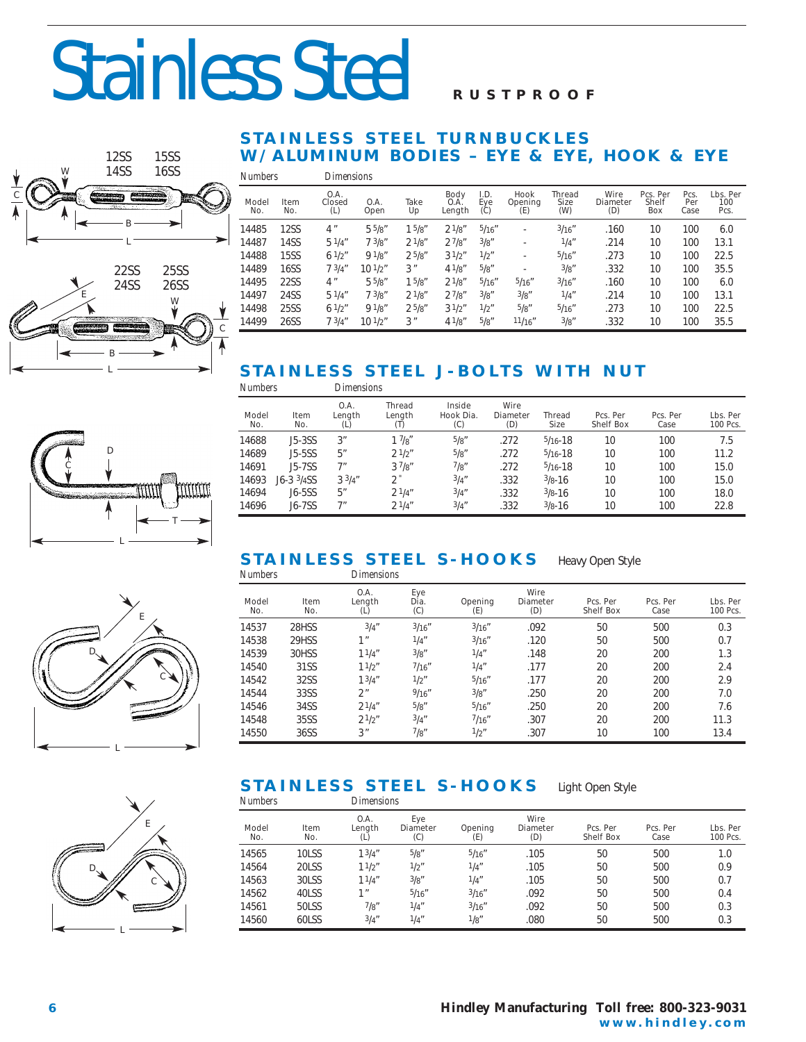# <span id="page-5-0"></span>Stainless Steel **RUST**



## **STAINLESS STEEL TURNBUCKLES W/ALUMINUM BODIES – EYE & EYE, HOOK & EYE**

| <b>Numbers</b>      |             | Dimensions            |                     |                   |                        |                    |                               |                                     |                         |                                 |                     |                         |
|---------------------|-------------|-----------------------|---------------------|-------------------|------------------------|--------------------|-------------------------------|-------------------------------------|-------------------------|---------------------------------|---------------------|-------------------------|
| <b>Model</b><br>No. | Item<br>No. | O.A.<br>Closed<br>(L) | O.A.<br>Open        | Take<br>Up        | Body<br>0.A.<br>Length | I.D.<br>Eye<br>(C) | Hook<br><b>Opening</b><br>(E) | <b>Thread</b><br><b>Size</b><br>(W) | Wire<br>Diameter<br>(D) | Pcs. Per<br><b>Shelf</b><br>Box | Pcs.<br>Per<br>Case | Lbs. Per<br>100<br>Pcs. |
| 14485               | 12SS        | 4"                    | 55/8"               | 15/8"             | 21/8"                  | 5/16''             | ۰                             | 3/16''                              | .160                    | 10                              | 100                 | 6.0                     |
| 14487               | 14SS        | $5 \frac{1}{4}$       | 73/g''              | $2^{\frac{1}{8}}$ | 27/s''                 | 3/g''              | ۰                             | 1/4''                               | .214                    | 10                              | 100                 | 13.1                    |
| 14488               | 15SS        | $6^{1/2"$             | 91/g''              | $2^{5/8''}$       | $3^{1/2}$              | 1/2"               | ٠                             | 5/16''                              | .273                    | 10                              | 100                 | 22.5                    |
| 14489               | 16SS        | 73/4''                | 10 <sup>1</sup> /2" | 3"                | $4^{1}/8$ "            | 5/g''              |                               | 3/g''                               | .332                    | 10                              | 100                 | 35.5                    |
| 14495               | 22SS        | 4"                    | 55/8"               | 15/g''            | $2^{1/g''}$            | 5/16''             | 5/16''                        | 3/16''                              | .160                    | 10                              | 100                 | 6.0                     |
| 14497               | 24SS        | $5 \frac{1}{4}$       | 73/g''              | $2^{1/8"$         | 27/g''                 | 3/g''              | 3/g''                         | 1/4''                               | .214                    | 10                              | 100                 | 13.1                    |
| 14498               | 25SS        | $6^{1/2"$             | 91/g''              | $2^{5/8''}$       | $3^{1/2}$              | 1/2"               | 5/g''                         | 5/16''                              | .273                    | 10                              | 100                 | 22.5                    |
| 14499               | 26SS        | 73/4''                | $10^{1/2}$          | 3"                | 41/8"                  | 5/8''              | 11/16''                       | 3/g''                               | .332                    | 10                              | 100                 | 35.5                    |

# **STAINLESS STEEL J-BOLTS WITH NUT**



L

B

*Numbers Dimensions*

| <b>Model</b><br>No. | <b>Item</b><br>No. | O.A.<br>Length<br>(L) | <b>Thread</b><br>Length<br>(T) | Inside<br>Hook Dia.<br>(C) | Wire<br><b>Diameter</b><br>(D) | <b>Thread</b><br>Size | Pcs. Per<br><b>Shelf Box</b> | Pcs. Per<br>Case | Lbs. Per<br>100 Pcs. |
|---------------------|--------------------|-----------------------|--------------------------------|----------------------------|--------------------------------|-----------------------|------------------------------|------------------|----------------------|
| 14688               | J5-3SS             | 3"                    | $1 \frac{7}{8}$                | 5/g''                      | .272                           | $5/16 - 18$           | 10                           | 100              | 7.5                  |
| 14689               | J5-5SS             | 5"                    | $2^{1/2}$                      | 5/g''                      | .272                           | $5/16 - 18$           | 10                           | 100              | 11.2                 |
| 14691               | J5-7SS             | 7 <sup>''</sup>       | 37/8"                          | 7/g''                      | .272                           | $5/16 - 18$           | 10                           | 100              | 15.0                 |
| 14693               | $J6-3$ $3/4SS$     | 33/4''                |                                | 3/4''                      | .332                           | $3/8 - 16$            | 10                           | 100              | 15.0                 |
| 14694               | J6-5SS             | 5"                    | $2^{1/4''}$                    | 3/4''                      | .332                           | $3/8 - 16$            | 10                           | 100              | 18.0                 |
| 14696               | J6-7SS             | 7 <sup>''</sup>       | 21/4"                          | 3/4''                      | .332                           | $3/8 - 16$            | 10                           | 100              | 22.8                 |

#### **STAINLESS STEEL S-HOOKS** Heavy Open Style<br>Numbers Dimensions *Numbers Dimensions*

| <b>Model</b><br>No. | <b>Item</b><br>No. | O.A.<br>Length<br>(L) | Eye<br>Dia.<br>(C) | <b>Opening</b><br>(E) | Wire<br><b>Diameter</b><br>(D) | Pcs. Per<br><b>Shelf Box</b> | Pcs. Per<br>Case | Lbs. Per<br>100 Pcs. |
|---------------------|--------------------|-----------------------|--------------------|-----------------------|--------------------------------|------------------------------|------------------|----------------------|
| 14537               | 28HSS              | 3/4''                 | 3/16''             | 3/16''                | .092                           | 50                           | 500              | 0.3                  |
| 14538               | 29HSS              | 1 <sup>''</sup>       | 1/4''              | 3/16''                | .120                           | 50                           | 500              | 0.7                  |
| 14539               | 30HSS              | 11/4"                 | 3/g''              | 1/4''                 | .148                           | 20                           | 200              | 1.3                  |
| 14540               | 31SS               | 11/2"                 | 7/16''             | 1/4''                 | .177                           | 20                           | 200              | 2.4                  |
| 14542               | 32SS               | 13/4''                | 1/2"               | 5/16''                | .177                           | 20                           | 200              | 2.9                  |
| 14544               | 33SS               | ን "                   | 9/16''             | 3/g''                 | .250                           | 20                           | 200              | 7.0                  |
| 14546               | 34SS               | 21/4"                 | 5/g''              | 5/16''                | .250                           | 20                           | 200              | 7.6                  |
| 14548               | 35SS               | $2^{1/2}$             | 3/4''              | 7/16''                | .307                           | 20                           | 200              | 11.3                 |
| 14550               | 36SS               | 3"                    | 7/g''              | 1/2''                 | .307                           | 10                           | 100              | 13.4                 |

# **STAINLESS STEEL S-HOOKS** Light Open Style

| Numbers             |             | Dimensions            |                               |                       |                                |                              |                  |                      |
|---------------------|-------------|-----------------------|-------------------------------|-----------------------|--------------------------------|------------------------------|------------------|----------------------|
| <b>Model</b><br>No. | Item<br>No. | O.A.<br>Length<br>(L) | Eye<br><b>Diameter</b><br>(C) | <b>Opening</b><br>(E) | Wire<br><b>Diameter</b><br>(D) | Pcs. Per<br><b>Shelf Box</b> | Pcs. Per<br>Case | Lbs. Per<br>100 Pcs. |
| 14565               | 10LSS       | 13/4''                | 5/g''                         | 5/16''                | .105                           | 50                           | 500              | 1.0                  |
| 14564               | 20LSS       | 11/2"                 | 1/2"                          | 1/4''                 | .105                           | 50                           | 500              | 0.9                  |
| 14563               | 30LSS       | 11/4"                 | 3/g''                         | 1/4''                 | .105                           | 50                           | 500              | 0.7                  |
| 14562               | 40LSS       | 1 <sup>''</sup>       | 5/16''                        | 3/16''                | .092                           | 50                           | 500              | 0.4                  |
| 14561               | 50LSS       | 7/g''                 | 1/4''                         | 3/16''                | .092                           | 50                           | 500              | 0.3                  |
| 14560               | 60LSS       | 3/4''                 | 1/4''                         | 1/8''                 | .080                           | 50                           | 500              | 0.3                  |



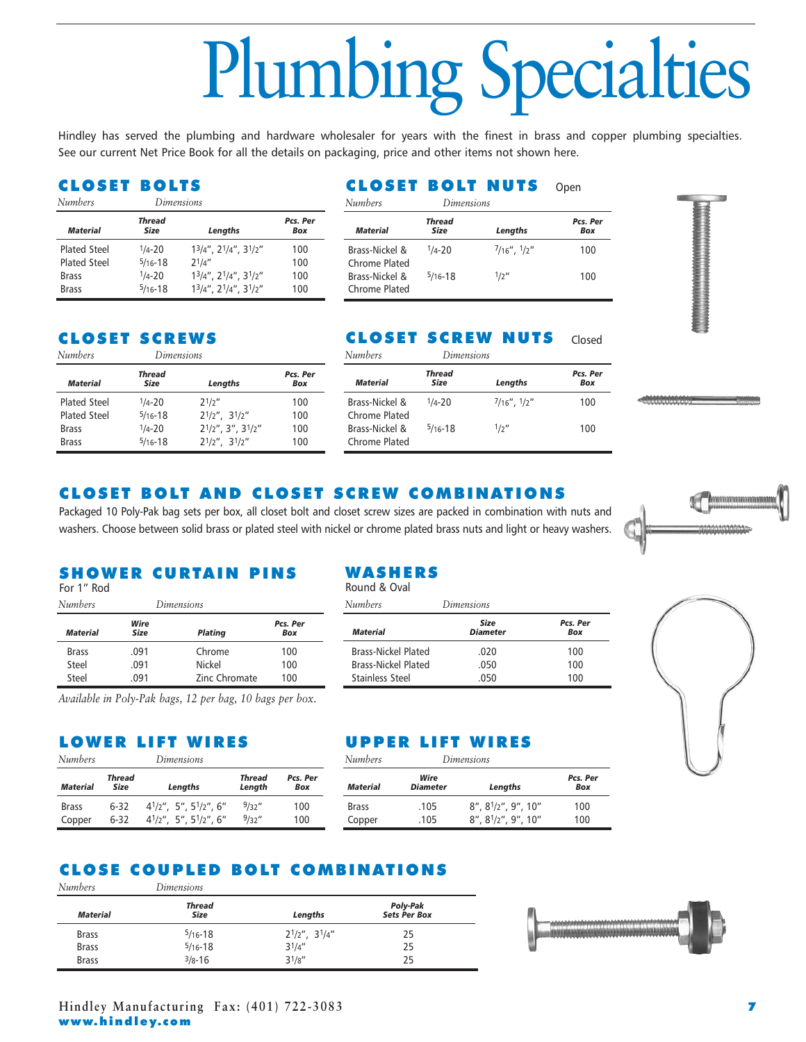# Plumbing Specialties

<span id="page-6-0"></span>Hindley has served the plumbing and hardware wholesaler for years with the finest in brass and copper plumbing specialties. See our current Net Price Book for all the details on packaging, price and other items not shown here.

## CLOSET BOLTS

| <b>Numbers</b>      |                | Dimensions                   |                 |
|---------------------|----------------|------------------------------|-----------------|
| <b>Material</b>     | Thread<br>Size | Lengths                      | Pcs. Per<br>Box |
| Plated Steel        | $1/4 - 20$     | $13/4$ ", $21/4$ ", $31/2$ " | 100             |
| <b>Plated Steel</b> | $5/16 - 18$    | $7^{1}/4''$                  | 100             |
| <b>Brass</b>        | $1/4 - 20$     | $13/4$ ", $21/4$ ", $31/2$ " | 100             |
| <b>Brass</b>        | $5/16 - 18$    | 13/4", 21/4", 31/2"          | 100             |

#### CLOSET BOLT NUTS Open *Numbers Dimensions*

| <i><u>Sumpers</u></i>           | <i><u>Lumensions</u></i>     |                   |                 |
|---------------------------------|------------------------------|-------------------|-----------------|
| <b>Material</b>                 | <b>Thread</b><br><b>Size</b> | Lengths           | Pcs. Per<br>Box |
| Brass-Nickel &<br>Chrome Plated | $1/4 - 20$                   | $7/16$ ", $1/2$ " | 100             |
| Brass-Nickel &<br>Chrome Plated | $5/16 - 18$                  | 1/2''             | 100             |



# CLOSET SCREWS

| <b>Thread</b><br>Size | Lengths                      | Pcs. Per<br>Box |
|-----------------------|------------------------------|-----------------|
| $1/4 - 20$            | $2^{1/2}$                    | 100             |
| $5/16 - 18$           | $2^{1}/2''$ , $3^{1}/2''$    | 100             |
| $1/4 - 20$            | $2^{1/2}$ ", 3", $3^{1/2}$ " | 100             |
| $5/16 - 18$           | $2^{1/2}$ , $3^{1/2}$        | 100             |
|                       |                              | Dimensions      |

# **CLOSET SCREW NUTS** Closed

| <b>Numbers</b>                  | Dimensions            |                   |                 |
|---------------------------------|-----------------------|-------------------|-----------------|
| Material                        | Thread<br><b>Size</b> | Lengths           | Pcs. Per<br>Box |
| Brass-Nickel &<br>Chrome Plated | $1/4 - 20$            | $7/16$ ", $1/2$ " | 100             |
| Brass-Nickel &<br>Chrome Plated | $5/16 - 18$           | 1/2''             | 100             |

# CLOSET BOLT AND CLOSET SCREW COMBINATIONS

Packaged 10 Poly-Pak bag sets per box, all closet bolt and closet screw sizes are packed in combination with nuts and washers. Choose between solid brass or plated steel with nickel or chrome plated brass nuts and light or heavy washers.



# SHOWER CURTAIN PINS

For 1" Rod

| <b>Numbers</b>  |                     | Dimensions     |                 |  |
|-----------------|---------------------|----------------|-----------------|--|
| <b>Material</b> | Wire<br><b>Size</b> | <b>Plating</b> | Pcs. Per<br>Box |  |
| <b>Brass</b>    | .091                | Chrome         | 100             |  |
| Steel           | .091                | Nickel         | 100             |  |
| Steel           | .091                | Zinc Chromate  | 100             |  |

*Available in Poly-Pak bags, 12 per bag, 10 bags per box.*

# LOWER LIFT WIRES

| <b>Numbers</b>         |                  | Dimensions                                                                  |                         |                 |
|------------------------|------------------|-----------------------------------------------------------------------------|-------------------------|-----------------|
| <b>Material</b>        | Thread<br>Size   | Lengths                                                                     | <b>Thread</b><br>Length | Pcs. Per<br>Box |
| <b>Brass</b><br>Copper | 6-32<br>$6 - 32$ | $4^{1}/2$ ", 5", $5^{1}/2$ ", 6"<br>$4^{1}/2$ ", 5", 5 <sup>1</sup> /2", 6" | 9/32''<br>9/32''        | 100<br>100      |

# WASHERS

Round & Oval

| <b>Numbers</b>             | Dimensions                     |                 |  |  |  |
|----------------------------|--------------------------------|-----------------|--|--|--|
| <b>Material</b>            | <b>Size</b><br><b>Diameter</b> | Pcs. Per<br>Box |  |  |  |
| <b>Brass-Nickel Plated</b> | .020                           | 100             |  |  |  |
| <b>Brass-Nickel Plated</b> | .050                           | 100             |  |  |  |
| Stainless Steel            | .050                           | 100             |  |  |  |



# WIRES

| <b>Numbers</b>  | Dimensions              |                                      |                 |
|-----------------|-------------------------|--------------------------------------|-----------------|
| <b>Material</b> | Wire<br><b>Diameter</b> | Lengths                              | Pcs. Per<br>Box |
| <b>Brass</b>    | .105                    | 8", 81/2", 9", 10"                   | 100             |
| Copper          | .105                    | $8''$ , $8^{1}/2''$ , $9''$ , $10''$ | 100             |

### CLOSE COUPLED BOLT COMBINATIONS *Numbers Dimensions*

| <b>Material</b> | <b>Thread</b><br>Size | Lengths                  | Poly-Pak<br><b>Sets Per Box</b> |
|-----------------|-----------------------|--------------------------|---------------------------------|
| <b>Brass</b>    | $5/16 - 18$           | $2^{1/2}$ ", $3^{1/4}$ " | 25                              |
| <b>Brass</b>    | $5/16 - 18$           | 31/4''                   | 25                              |
| <b>Brass</b>    | $3/8 - 16$            | $3^{1/8}$ "              | 25                              |

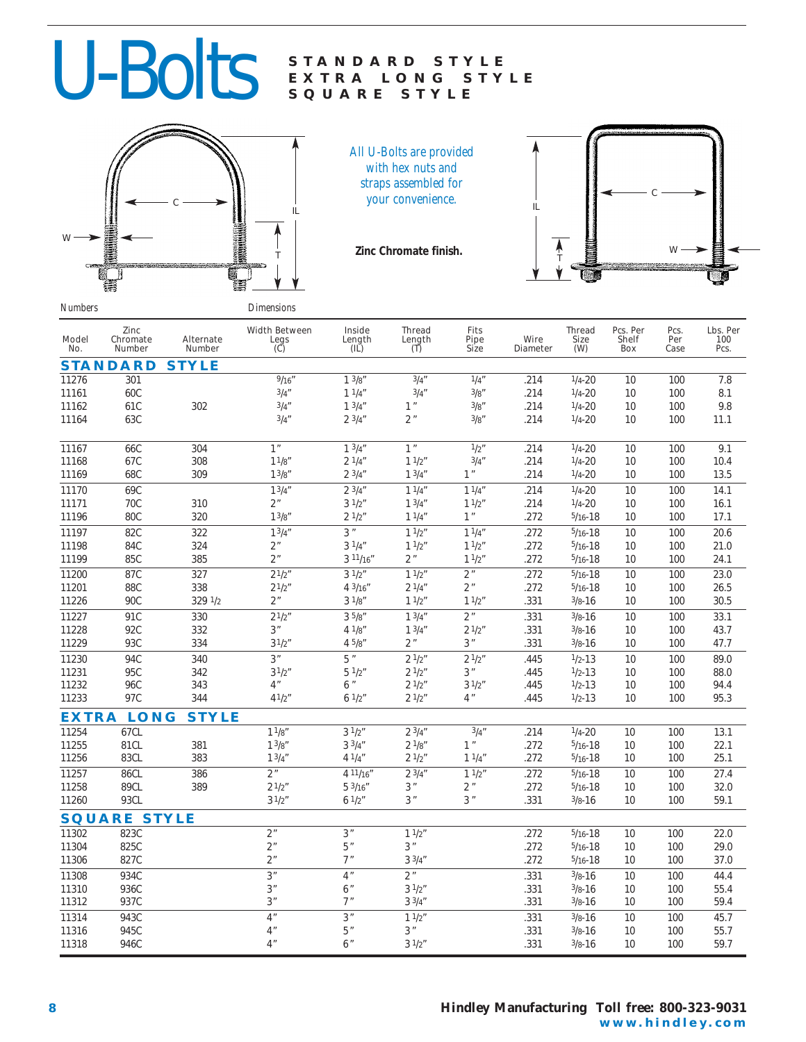# <span id="page-7-0"></span>U-Bolts STANDARD STYLE

# **EXTRA LONG STYLE SQUARE STYLE**



*All U-Bolts are provided with hex nuts and straps assembled for your convenience.*

**Zinc Chromate finish.** 



| тчинныя             |                                   |                            | рлиспяты                            |                          |                                                        |                      |                         |                                     |                                 |                     |                         |
|---------------------|-----------------------------------|----------------------------|-------------------------------------|--------------------------|--------------------------------------------------------|----------------------|-------------------------|-------------------------------------|---------------------------------|---------------------|-------------------------|
| <b>Model</b><br>No. | Zinc<br>Chromate<br><b>Number</b> | Alternate<br><b>Number</b> | <b>Width Between</b><br>Legs<br>(C) | Inside<br>Length<br>(IL) | <b>Thread</b><br>Length<br>$\left(\overline{I}\right)$ | Fits<br>Pipe<br>Size | Wire<br><b>Diameter</b> | <b>Thread</b><br><b>Size</b><br>(W) | Pcs. Per<br><b>Shelf</b><br>Box | Pcs.<br>Per<br>Case | Lbs. Per<br>100<br>Pcs. |
|                     | <b>STANDARD</b>                   | <b>STYLE</b>               |                                     |                          |                                                        |                      |                         |                                     |                                 |                     |                         |
| 11276               | 301                               |                            | 9/16''                              | $1 \frac{3}{8}$          | 3/4''                                                  | 1/4''                | .214                    | $1/4 - 20$                          | 10                              | 100                 | 7.8                     |
| 11161               | 60C                               |                            | 3/4''                               | $1^{1/4''}$              | 3/4''                                                  | 3/8''                | .214                    | $1/4 - 20$                          | 10                              | 100                 | 8.1                     |
| 11162               | 61C                               | 302                        | 3/4''                               | $1 \frac{3}{4}$          | 1''                                                    | 3/g''                | .214                    | $1/4 - 20$                          | 10                              | 100                 | 9.8                     |
| 11164               | 63C                               |                            | 3/4''                               | $2 \frac{3}{4}$          | 2 <sup>''</sup>                                        | 3/g''                | .214                    | $1/4 - 20$                          | 10                              | 100                 | 11.1                    |
| 11167               | 66C                               | 304                        | 1"                                  | $1 \frac{3}{4}$          | 1''                                                    | 1/2''                | .214                    | $1/4 - 20$                          | 10                              | 100                 | 9.1                     |
| 11168               | 67C                               | 308                        | 11/8"                               | $2 \frac{1}{4}$          | 11/2"                                                  | 3/4''                | .214                    | $1/4 - 20$                          | 10                              | 100                 | 10.4                    |
| 11169               | 68C                               | 309                        | 1 <sup>3</sup> /8''                 | $2 \frac{3}{4}$          | 13/4''                                                 | 1 <sup>''</sup>      | .214                    | $1/4 - 20$                          | 10                              | 100                 | 13.5                    |
| 11170               | 69C                               |                            | 13/4''                              | $2 \frac{3}{4}$          | 11/4"                                                  | 11/4"                | .214                    | $1/4 - 20$                          | 10                              | 100                 | 14.1                    |
| 11171               | 70C                               | 310                        | 2 <sup>n</sup>                      | $3 \frac{1}{2}$          | $1 \frac{3}{4}$                                        | 11/2"                | .214                    | $1/4 - 20$                          | 10                              | 100                 | 16.1                    |
| 11196               | 80C                               | 320                        | 13/8''                              | $2 \frac{1}{2}$          | 11/4"                                                  | 1''                  | .272                    | $5/16 - 18$                         | 10                              | 100                 | 17.1                    |
| 11197               | 82C                               | 322                        | 13/4''                              | $3$ "                    | 11/2"                                                  | 11/4"                | .272                    | $5/16 - 18$                         | 10                              | 100                 | 20.6                    |
| 11198               | 84C                               | 324                        | 2 <sup>n</sup>                      | $3 \frac{1}{4}$          | 11/2"                                                  | 11/2"                | .272                    | $5/16 - 18$                         | 10                              | 100                 | 21.0                    |
| 11199               | 85C                               | 385                        | 2 <sup>n</sup>                      | $3\frac{11}{16}$         | 2 <sup>''</sup>                                        | 11/2"                | .272                    | $5/16 - 18$                         | 10                              | 100                 | 24.1                    |
| 11200               | 87C                               | 327                        | $2^{1/2}$                           | $3 \frac{1}{2}$          | 11/2"                                                  | 2 <sup>''</sup>      | .272                    | $\frac{5}{16}$ -18                  | 10                              | 100                 | 23.0                    |
| 11201               | 88C                               | 338                        | 21/2"                               | 43/16''                  | 21/4"                                                  | 2 <sup>''</sup>      | .272                    | $5/16 - 18$                         | 10                              | 100                 | 26.5                    |
| 11226               | 90C                               | 329 1/2                    | 2 <sup>n</sup>                      | $3 \frac{1}{8}$          | 11/2"                                                  | 11/2"                | .331                    | $3/8 - 16$                          | 10                              | 100                 | 30.5                    |
| 11227               | 91C                               | 330                        | $2^{1/2}$                           | 35/8"                    | 13/4''                                                 | 2 <sup>''</sup>      | .331                    | $3/8 - 16$                          | 10                              | 100                 | 33.1                    |
| 11228               | 92C                               | 332                        | 3"                                  | $4 \frac{1}{8}$          | $1 \frac{3}{4}$                                        | 2 <sup>1</sup> /2''  | .331                    | $3/8 - 16$                          | 10                              | 100                 | 43.7                    |
| 11229               | 93C                               | 334                        | 31/2"                               | 45/8"                    | 2 <sup>''</sup>                                        | 3"                   | .331                    | $3/8 - 16$                          | 10                              | 100                 | 47.7                    |
| 11230               | <b>94C</b>                        | 340                        | 3 <sup>n</sup>                      | 5''                      | 21/2"                                                  | 21/2"                | .445                    | $1/2 - 13$                          | 10                              | 100                 | 89.0                    |
| 11231               | 95C                               | 342                        | $3^{1/2''}$                         | $5 \frac{1}{2}$          | $2^{1/2}$                                              | 3"                   | .445                    | $1/2 - 13$                          | 10                              | 100                 | 88.0                    |
| 11232               | 96C                               | 343                        | 4 <sup>''</sup>                     | 6"                       | $2^1/2''$                                              | $3 \frac{1}{2}$      | .445                    | $1/2 - 13$                          | 10                              | 100                 | 94.4                    |
| 11233               | 97C                               | 344                        | 41/2"                               | 61/2"                    | 21/2"                                                  | $4$ "                | .445                    | $1/2 - 13$                          | 10                              | 100                 | 95.3                    |
| <b>EXTRA</b>        | <b>LONG</b>                       | <b>STYLE</b>               |                                     |                          |                                                        |                      |                         |                                     |                                 |                     |                         |
| 11254               | 67CL                              |                            | 11/8"                               | 31/2"                    | 23/4''                                                 | 3/4''                | .214                    | $1/4 - 20$                          | 10                              | 100                 | 13.1                    |
| 11255               | 81CL                              | 381                        | 1 <sup>3</sup> /8''                 | $3^{3}/4''$              | $2^{1/8}$                                              | 1''                  | .272                    | $5/16 - 18$                         | 10                              | 100                 | 22.1                    |
| 11256               | 83CL                              | 383                        | 13/4''                              | $4^{1/4}$                | $2^1/2''$                                              | 11/4"                | .272                    | $5/16 - 18$                         | 10                              | 100                 | 25.1                    |
| 11257               | 86CL                              | 386                        | 2 <sup>n</sup>                      | 411/16''                 | $2^{3/4''}$                                            | $1 \frac{1}{2}$      | .272                    | $\frac{5}{16}$ -18                  | 10                              | 100                 | 27.4                    |
| 11258               | 89CL                              | 389                        | 21/2"                               | 53/16''                  | 3"                                                     | $2$ "                | .272                    | $5/16 - 18$                         | 10                              | 100                 | 32.0                    |
| 11260               | 93CL                              |                            | $3^{1/2"$                           | 61/2"                    | 3"                                                     | 3"                   | .331                    | $3/8 - 16$                          | 10                              | 100                 | 59.1                    |
|                     | <b>SQUARE STYLE</b>               |                            |                                     |                          |                                                        |                      |                         |                                     |                                 |                     |                         |
| 11302               | 823C                              |                            | 2 <sup>n</sup>                      | 3"                       | 11/2"                                                  |                      | .272                    | $5/16 - 18$                         | 10                              | 100                 | 22.0                    |
| 11304               | 825C                              |                            | 2 <sup>n</sup>                      | 5''                      | $3$ "                                                  |                      | .272                    | $5/16 - 18$                         | 10                              | 100                 | 29.0                    |
| 11306               | 827C                              |                            | 2 <sup>n</sup>                      | 7''                      | $3^{3/4''}$                                            |                      | .272                    | $5/16 - 18$                         | 10                              | 100                 | 37.0                    |
| 11308               | 934C                              |                            | 3"                                  | 4 <sup>''</sup>          | 2 <sup>''</sup>                                        |                      | .331                    | $3/8 - 16$                          | 10                              | 100                 | 44.4                    |
| 11310               | 936C                              |                            | 3"                                  | 6"                       | 31/2"                                                  |                      | .331                    | $3/8 - 16$                          | 10                              | 100                 | 55.4                    |
| 11312               | 937C                              |                            | 3''                                 | 7''                      | 33/4''                                                 |                      | .331                    | $3/8 - 16$                          | 10                              | 100                 | 59.4                    |
| 11314               | 943C                              |                            | 4 <sup>n</sup>                      | 3"                       | 11/2"                                                  |                      | .331                    | $3/8 - 16$                          | 10                              | 100                 | 45.7                    |
| 11316               | 945C                              |                            | 4 <sup>''</sup>                     | 5"                       | 3"                                                     |                      | .331                    | $3/8 - 16$                          | 10                              | 100                 | 55.7                    |
| 11318               | 946C                              |                            | 4 <sup>''</sup>                     | 6"                       | 31/2"                                                  |                      | .331                    | $3/8 - 16$                          | 10                              | 100                 | 59.7                    |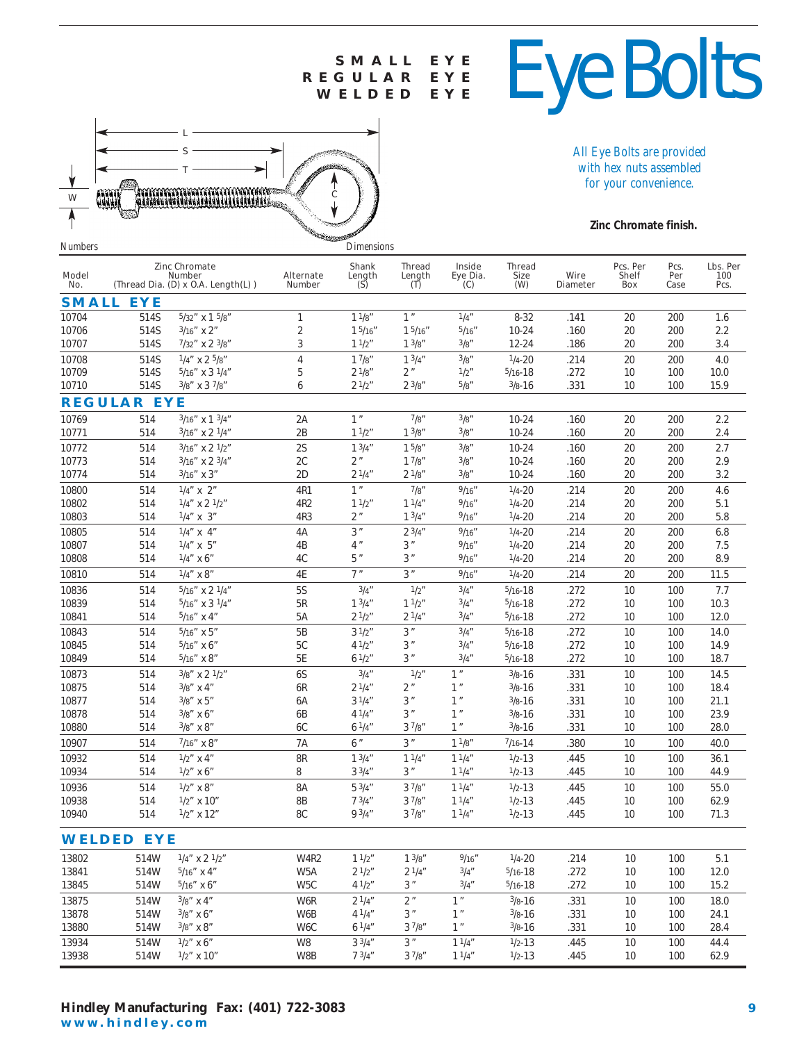<span id="page-8-0"></span>

## *All Eye Bolts are provided with hex nuts assembled for your convenience.*

**Zinc Chromate finish.**

| Numbers             |                    |                                                                      |                            | Dimensions             |                                |                           |                              |                  |                                 |                     |                         |
|---------------------|--------------------|----------------------------------------------------------------------|----------------------------|------------------------|--------------------------------|---------------------------|------------------------------|------------------|---------------------------------|---------------------|-------------------------|
| <b>Model</b><br>No. |                    | Zinc Chromate<br><b>Number</b><br>(Thread Dia. (D) x O.A. Length(L)) | Alternate<br><b>Number</b> | Shank<br>Length<br>(S) | <b>Thread</b><br>Length<br>(T) | Inside<br>Eye Dia.<br>(C) | <b>Thread</b><br>Size<br>(W) | Wire<br>Diameter | Pcs. Per<br><b>Shelf</b><br>Box | Pcs.<br>Per<br>Case | Lbs. Per<br>100<br>Pcs. |
| <b>SMALL</b>        | <b>EYE</b>         |                                                                      |                            |                        |                                |                           |                              |                  |                                 |                     |                         |
| 10704               | 514S               | $5/32''$ X 1 $5/8''$                                                 | $\mathbf{1}$               | 11/8"                  | 1 <sup>n</sup>                 | 1/4''                     | $8 - 32$                     | .141             | 20                              | 200                 | 1.6                     |
| 10706               | 514S               | $3/16''$ x 2"                                                        | $\sqrt{2}$                 | 15/16''                | 15/16''                        | 5/16''                    | $10 - 24$                    | .160             | 20                              | 200                 | 2.2                     |
| 10707               | 514S               | $7/32''$ X 2 $3/8''$                                                 | 3                          | 11/2"                  | 13/8''                         | 3/g''                     | $12 - 24$                    | .186             | 20                              | 200                 | 3.4                     |
| 10708               | 514S               | $1/4''$ x 2 $5/8''$                                                  | $\sqrt{4}$                 | 17/8"                  | 13/4''                         | 3/g''                     | $1/4 - 20$                   | .214             | 20                              | 200                 | 4.0                     |
| 10709               | 514S               | $5/16''$ X 3 $1/4''$                                                 | 5                          | 21/8"                  | 2 <sup>''</sup>                | 1/2''                     | $5/16 - 18$                  | .272             | 10                              | 100                 | 10.0                    |
| 10710               | 514S               | $3/8''$ x 3 $7/8''$                                                  | 6                          | $2^1/2''$              | $2^{3}/8"$                     | 5/8''                     | $3/8 - 16$                   | .331             | 10                              | 100                 | 15.9                    |
|                     | <b>REGULAR EYE</b> |                                                                      |                            |                        |                                |                           |                              |                  |                                 |                     |                         |
| 10769               | 514                | $3/16''$ x 1 $3/4''$                                                 | 2A                         | 1''                    | 7/8''                          | 3/8''                     | $10 - 24$                    | .160             | 20                              | 200                 | 2.2                     |
| 10771               | 514                | $3/16''$ X 2 $1/4''$                                                 | 2B                         | 11/2"                  | 13/8''                         | 3/g''                     | $10 - 24$                    | .160             | 20                              | 200                 | 2.4                     |
| 10772               | 514                | $3/16''$ X 2 $1/2''$                                                 | 2S                         | 13/4''                 | 15/8"                          | 3/g''                     | $10 - 24$                    | .160             | 20                              | 200                 | 2.7                     |
| 10773               | 514                | $3/16''$ X 2 $3/4''$                                                 | 2C                         | 2 <sup>''</sup>        | 17/8"                          | 3/g''                     | $10 - 24$                    | .160             | 20                              | 200                 | 2.9                     |
| 10774               | 514                | $3/16''$ x 3"                                                        | 2D                         | $2^{1/4}$              | $2^{1/8"}$                     | 3/8''                     | $10 - 24$                    | .160             | 20                              | 200                 | 3.2                     |
| 10800               | 514                | $1/4''$ x 2"                                                         | 4R1                        | 1''                    | 7/8''                          | 9/16''                    | $1/4 - 20$                   | .214             | 20                              | 200                 | 4.6                     |
| 10802               | 514                | $1/4''$ x 2 $1/2''$                                                  | 4R <sub>2</sub>            | 11/2"                  | 11/4''                         | 9/16''                    | $1/4 - 20$                   | .214             | 20                              | 200                 | 5.1                     |
| 10803               | 514                | $1/4''$ x 3"                                                         | 4R3                        | 2 <sup>''</sup>        | $1 \frac{3}{4}$                | 9/16''                    | $1/4 - 20$                   | .214             | 20                              | 200                 | 5.8                     |
| 10805               | 514                | $1/4''$ x 4"                                                         | 4A                         | 3"                     | $2^{3/4''}$                    | 9/16''                    | $1/4 - 20$                   | .214             | 20                              | 200                 | 6.8                     |
| 10807               | 514                | $1/4''$ x 5"                                                         | 4B                         | $4$ "                  | 3"                             | 9/16''                    | $1/4 - 20$                   | .214             | 20                              | 200                 | 7.5                     |
| 10808               | 514                | $1/4''$ x 6"                                                         | 4C                         | 5"                     | 3"                             | 9/16''                    | $1/4 - 20$                   | .214             | 20                              | 200                 | 8.9                     |
| 10810               | 514                | $1/4''$ x 8"                                                         | 4E                         | 7''                    | 3"                             | 9/16''                    | $1/4 - 20$                   | .214             | 20                              | 200                 | 11.5                    |
| 10836               | 514                | $5/16''$ X 2 $1/4''$                                                 | <b>5S</b>                  | 3/4''                  | 1/2''                          | 3/4''                     | $5/16 - 18$                  | .272             | 10                              | 100                 | 7.7                     |
| 10839               | 514                | $5/16''$ x 3 $1/4''$                                                 | 5R                         | 13/4''                 | 11/2"                          | 3/4''                     | $5/16 - 18$                  | .272             | 10                              | 100                 | 10.3                    |
| 10841               | 514                | $5/16''$ x 4"                                                        | 5A                         | $2^{1/2}$              | $2^{1/4''}$                    | 3/4''                     | $5/16 - 18$                  | .272             | 10                              | 100                 | 12.0                    |
| 10843               | 514                | $5/16''$ x $5''$                                                     | 5B                         | $3^{1/2}$              | 3"                             | 3/4''                     | $5/16 - 18$                  | .272             | 10                              | 100                 | 14.0                    |
| 10845               | 514                | $5/16''$ X 6"                                                        | 5C                         | 41/2"                  | $3$ "                          | 3/4''                     | $5/16 - 18$                  | .272             | 10                              | 100                 | 14.9                    |
| 10849               | 514                | $5/16''$ x 8"                                                        | 5E                         | 61/2"                  | 3"                             | 3/4''                     | $5/16 - 18$                  | .272             | 10                              | 100                 | 18.7                    |
| 10873               | 514                | $3/8''$ x 2 $1/2''$                                                  | 6S                         | 3/4''                  | 1/2"                           | 1 <sup>''</sup>           | $3/8 - 16$                   | .331             | 10                              | 100                 | 14.5                    |
| 10875               | 514                | $3/8''$ x 4"                                                         | 6R                         | 2 <sup>1</sup> /4''    | 2 <sup>''</sup>                | 1"                        | $3/8 - 16$                   | .331             | 10                              | 100                 | 18.4                    |
| 10877               | 514                | $3/8''$ x 5"                                                         | 6A                         | 31/4''                 | 3"                             | 1''                       | $3/8 - 16$                   | .331             | 10                              | 100                 | 21.1                    |
| 10878               | 514                | $3/8''$ x 6"                                                         | 6В                         | $4^{1/4}$              | 3 "                            | 1''                       | $3/8 - 16$                   | .331             | 10                              | 100                 | 23.9                    |
| 10880               | 514                | $3/8''$ x $8''$                                                      | 6C                         | 6 <sup>1</sup> /4''    | 37/8"                          | 1''                       | $3/8 - 16$                   | .331             | 10                              | 100                 | 28.0                    |
| 10907               | 514                | $7/16''$ x 8"                                                        | 7A                         | 6"                     | 3"                             | 11/8"                     | $7/16 - 14$                  | .380             | 10                              | 100                 | 40.0                    |
| 10932               | 514                | $1/2$ " x 4"                                                         | 8R                         | 13/4''                 | 11/4"                          | 11/4"                     | $1/2 - 13$                   | .445             | 10                              | 100                 | 36.1                    |
| 10934               | 514                | $1/2$ " x 6"                                                         | 8                          | 33/4''                 | 3 "                            | 11/4"                     | $1/2 - 13$                   | .445             | 10                              | 100                 | 44.9                    |
| 10936               | 514                | $1/2$ " x 8"                                                         | 8A                         | 53/4''                 | 37/8''                         | 11/4''                    | $1/2 - 13$                   | .445             | 10                              | 100                 | 55.0                    |
| 10938               | 514                | $1/2$ " x 10"                                                        | 8B                         | 73/4''                 | 37/8"                          | 11/4''                    | $1/2 - 13$                   | .445             | 10                              | 100                 | 62.9                    |
| 10940               | 514                | $1/2$ " x 12"                                                        | 8C                         | 93/4''                 | 37/8"                          | 11/4"                     | $1/2 - 13$                   | .445             | 10                              | 100                 | 71.3                    |
|                     | <b>WELDED EYE</b>  |                                                                      |                            |                        |                                |                           |                              |                  |                                 |                     |                         |
| 13802               | 514W               | $1/4''$ x 2 $1/2''$                                                  | W4R2                       | 11/2"                  | $1 \frac{3}{8}$ "              | 9/16''                    | $1/4 - 20$                   | .214             | 10                              | 100                 | 5.1                     |
| 13841               | 514W               | $5/16''$ x 4"                                                        | W5A                        | $2^1/2''$              | $2 \frac{1}{4}$                | 3/4''                     | $5/16 - 18$                  | .272             | 10                              | 100                 | 12.0                    |
| 13845               | 514W               | $5/16''$ X 6"                                                        | W <sub>5</sub> C           | 41/2"                  | $3$ "                          | 3/4''                     | $5/16 - 18$                  | .272             | 10                              | 100                 | 15.2                    |
| 13875               | 514W               | $3/8''$ x 4"                                                         | W6R                        | 21/4''                 | $2$ "                          | 1"                        | $3/8 - 16$                   | .331             | 10                              | 100                 | 18.0                    |
| 13878               | 514W               | $3/8''$ x 6"                                                         | W6B                        | $4^{1/4}$              | 3"                             | 1''                       | $3/8 - 16$                   | .331             | 10                              | 100                 | 24.1                    |
| 13880               | 514W               | $3/8''$ X $8''$                                                      | W6C                        | $6^{1/4"$              | 37/8"                          | 1"                        | $3/8 - 16$                   | .331             | 10                              | 100                 | 28.4                    |
| 13934               | 514W               | $1/2$ " x 6"                                                         | W8                         | $3^{3/4''}$            | 3"                             | 11/4"                     | $1/2 - 13$                   | .445             | 10                              | 100                 | 44.4                    |
| 13938               | 514W               | $1/2''$ x $10''$                                                     | W8B                        | 73/4''                 | 37/s''                         | 11/4"                     | $1/2 - 13$                   | .445             | 10                              | 100                 | 62.9                    |

**REGULAR** 

### **Hindley Manufacturing Fax: (401) 722-3083 9 www.hindley.com**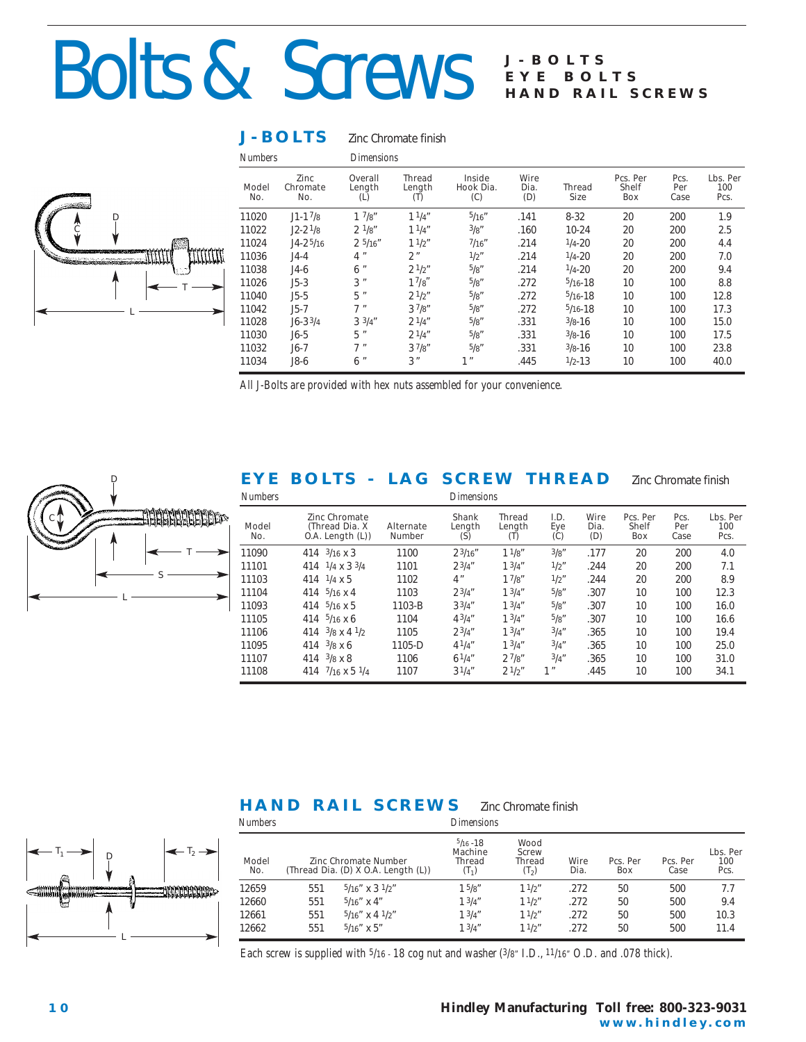# <span id="page-9-0"></span>Bolts & Screws

### **J-BOLTS EYE BOLTS HAND RAIL SCREWS**

# **J - BOLTS** Zinc Chromate finish

*Numbers Dimensions*

|                     | <b>Model</b><br>No.                     | Zinc<br>Chromate<br>No. |
|---------------------|-----------------------------------------|-------------------------|
|                     | 11020                                   | $J1 - 17/8$             |
| <b>Constitution</b> | 11022                                   | $J2 - 21/8$             |
|                     | 11024                                   | $J4 - 25/16$            |
|                     | 11036                                   | $J4-4$                  |
|                     | 11038                                   | $J4-6$                  |
|                     | 11026                                   | $J5-3$                  |
|                     | 11040                                   | $J5-5$                  |
|                     | 11042                                   | $J5-7$                  |
|                     | 11028                                   | $J6 - 33/4$             |
|                     | $\lambda$ $\lambda$ $\lambda$ $\lambda$ | $\cdots$                |

T

**MARIA RABANA** 

**EBEREEREED** 

S

| Zinc<br>Chromate<br>No. | Overall<br>Length<br>(L) | <b>Thread</b><br>Length<br>(T) | Inside<br>Hook Dia.<br>(C) | Wire<br>Dia.<br>(D) | Thread<br><b>Size</b> | Pcs. Per<br><b>Shelf</b><br>Box | Pcs.<br>Per<br>Case | Lbs. Per<br>100<br>Pcs. |
|-------------------------|--------------------------|--------------------------------|----------------------------|---------------------|-----------------------|---------------------------------|---------------------|-------------------------|
| $J1 - 17/8$             | 17/8''                   | 11/4"                          | 5/16''                     | .141                | $8 - 32$              | 20                              | 200                 | 1.9                     |
| $J2 - 21/8$             | $2 \frac{1}{8}$          | 11/4"                          | 3/g''                      | .160                | $10 - 24$             | 20                              | 200                 | 2.5                     |
| $J4 - 25/16$            | 25/16''                  | 11/2"                          | 7/16''                     | .214                | $1/4 - 20$            | 20                              | 200                 | 4.4                     |
| $J4-4$                  | $4$ "                    | 2 "                            | 1/2''                      | .214                | $1/4 - 20$            | 20                              | 200                 | 7.0                     |
| $J4-6$                  | 6"                       | $2^{1/2}$                      | 5/g''                      | .214                | $1/4 - 20$            | 20                              | 200                 | 9.4                     |
| $J5-3$                  | 3"                       | $1^{7}/8$                      | 5/g''                      | .272                | $5/16 - 18$           | 10                              | 100                 | 8.8                     |
| $J5-5$                  | 5"                       | $2^{1/2}$                      | 5/g''                      | .272                | $5/16 - 18$           | 10                              | 100                 | 12.8                    |
| $J5-7$                  | 7''                      | 37/g''                         | 5/g''                      | .272                | $5/16 - 18$           | 10                              | 100                 | 17.3                    |
| $J6 - 33/4$             | $3 \frac{3}{4}$          | 21/4"                          | 5/g''                      | .331                | $3/8 - 16$            | 10                              | 100                 | 15.0                    |
| $J6-5$                  | 5"                       | $2^{1/4''}$                    | 5/g''                      | .331                | $3/8 - 16$            | 10                              | 100                 | 17.5                    |
| $J6-7$                  | יי ד                     | 37/g''                         | 5/g''                      | .331                | $3/8 - 16$            | 10                              | 100                 | 23.8                    |
| $J8-6$                  | 6"                       | 3"                             | 1 <sup>''</sup>            | .445                | $1/2 - 13$            | 10                              | 100                 | 40.0                    |
|                         |                          |                                |                            |                     |                       |                                 |                     |                         |

*All J-Bolts are provided with hex nuts assembled for your convenience.*

# **EYE BOLTS - LAG SCREW THREAD** Zinc Chromate finish

| <b>Numbers</b>      |                                                                 |                            | <b>Dimensions</b>             |                                |                    |                     |                                 |                     |                         |
|---------------------|-----------------------------------------------------------------|----------------------------|-------------------------------|--------------------------------|--------------------|---------------------|---------------------------------|---------------------|-------------------------|
| <b>Model</b><br>No. | <b>Zinc Chromate</b><br>(Thread Dia. X<br>$O.A.$ Length $(L)$ ) | Alternate<br><b>Number</b> | <b>Shank</b><br>Length<br>(S) | <b>Thread</b><br>Length<br>(T) | I.D.<br>Eye<br>(C) | Wire<br>Dia.<br>(D) | Pcs. Per<br><b>Shelf</b><br>Box | Pcs.<br>Per<br>Case | Lbs. Per<br>100<br>Pcs. |
| 11090               | 414 $3/16 \times 3$                                             | 1100                       | 23/16''                       | 11/8"                          | 3/g''              | .177                | 20                              | 200                 | 4.0                     |
| 11101               | 414 $1/4 \times 3 \frac{3}{4}$                                  | 1101                       | 23/4"                         | 13/4''                         | 1/2"               | .244                | 20                              | 200                 | 7.1                     |
| 11103               | 414 $1/4 \times 5$                                              | 1102                       | 4"                            | 17/g''                         | 1/2"               | .244                | 20                              | 200                 | 8.9                     |
| 11104               | 414 $\frac{5}{16}$ x 4                                          | 1103                       | $2^{3/4''}$                   | 13/4''                         | 5/g''              | .307                | 10                              | 100                 | 12.3                    |
| 11093               | 414 $5/16 \times 5$                                             | 1103-B                     | 33/4''                        | 13/4''                         | 5/g''              | .307                | 10                              | 100                 | 16.0                    |
| 11105               | $414$ $5/16 \times 6$                                           | 1104                       | $4^{3}/4$ "                   | $1 \frac{3}{4}$ "              | 5/g''              | .307                | 10                              | 100                 | 16.6                    |
| 11106               | $3/8 \times 4$ $1/2$<br>414                                     | 1105                       | $2^{3/4''}$                   | 13/4''                         | 3/4''              | .365                | 10                              | 100                 | 19.4                    |
| 11095               | $414$ $3\frac{1}{8}$ x 6                                        | 1105-D                     | 41/4"                         | 13/4''                         | 3/4''              | .365                | 10                              | 100                 | 25.0                    |
| 11107               | $414 \frac{3}{8} \times 8$                                      | 1106                       | $6^{1/4"$                     | 27/g''                         | 3/4''              | .365                | 10                              | 100                 | 31.0                    |
| 11108               | 414 $\frac{7}{16}$ x 5 $\frac{1}{4}$                            | 1107                       | $3^{1/4''}$                   | $2^{1/2}$                      | 1 <sup>''</sup>    | .445                | 10                              | 100                 | 34.1                    |

## **HAND RAIL SCREWS** Zinc Chromate finish

| <b>Numbers</b>      |     | Dimensions                                                              |                                                           |                                           |              |                 |                  |                         |  |  |  |  |  |  |
|---------------------|-----|-------------------------------------------------------------------------|-----------------------------------------------------------|-------------------------------------------|--------------|-----------------|------------------|-------------------------|--|--|--|--|--|--|
| <b>Model</b><br>No. |     | <b>Zinc Chromate Number</b><br>(Thread Dia. (D) $X$ O.A. Length $(L)$ ) | $5/16 - 18$<br><b>Machine</b><br><b>Thread</b><br>$(T_1)$ | Wood<br>Screw<br><b>Thread</b><br>$(T_2)$ | Wire<br>Dia. | Pcs. Per<br>Box | Pcs. Per<br>Case | Lbs. Per<br>100<br>Pcs. |  |  |  |  |  |  |
| 12659               | 551 | $5/16''$ x 3 $1/2''$                                                    | $1\frac{5}{8}$ "                                          | 11/2"                                     | .272         | 50              | 500              | 7.7                     |  |  |  |  |  |  |
| 12660               | 551 | $5/16''$ x 4"                                                           | 13/4''                                                    | 11/2"                                     | .272         | 50              | 500              | 9.4                     |  |  |  |  |  |  |
| 12661               | 551 | $5/16''$ x 4 $1/2''$                                                    | 13/4''                                                    | 11/2"                                     | .272         | 50              | 500              | 10.3                    |  |  |  |  |  |  |
| 12662               | 551 | $5/16''$ x 5"                                                           | 13/4''                                                    | 11/2"                                     | .272         | 50              | 500              | 11.4                    |  |  |  |  |  |  |

*Each screw is supplied with 5/16 - 18 cog nut and washer (3/8" I.D., 11/16" O.D. and .078 thick).*



L

 $T_1 \longrightarrow$   $p \longrightarrow$   $T_2$ 

L

D

C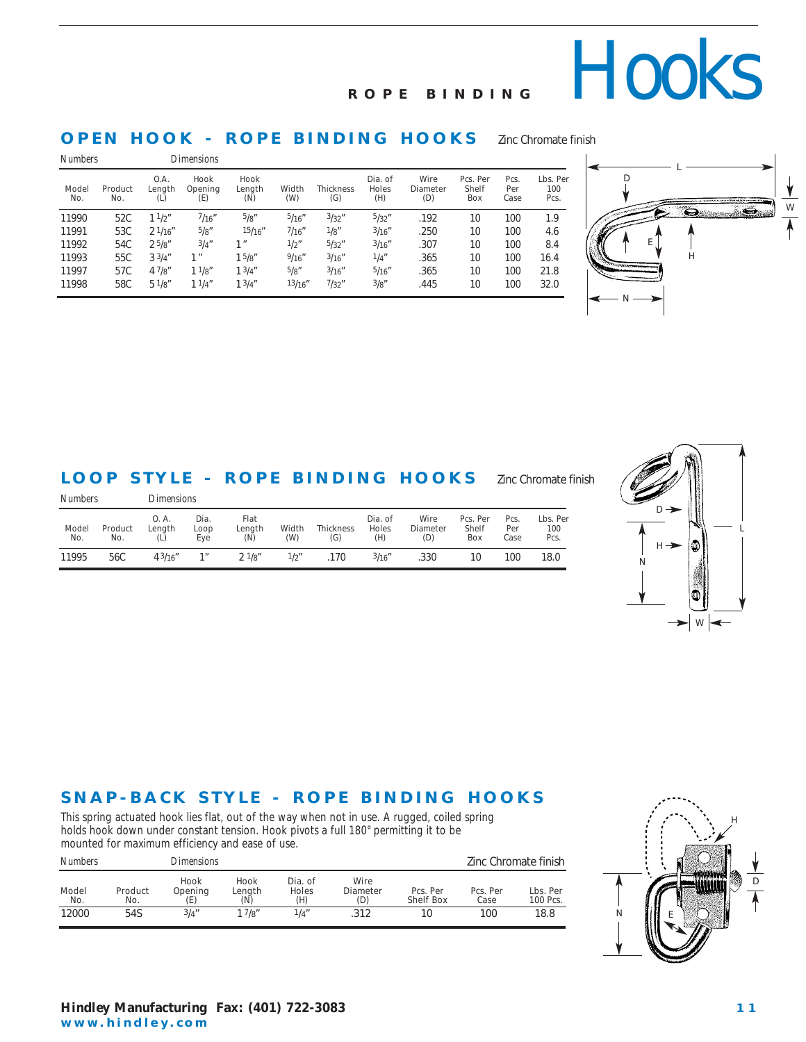# ROPE BINDING HOOKS

# <span id="page-10-0"></span>**OPEN HOOK - ROPE BINDING HOOKS** Zinc Chromate finish

| <b>Numbers</b>      |                |                       | <b>Dimensions</b>             |                       |              |                         |                                |                                |                                 |                     |                         |
|---------------------|----------------|-----------------------|-------------------------------|-----------------------|--------------|-------------------------|--------------------------------|--------------------------------|---------------------------------|---------------------|-------------------------|
| <b>Model</b><br>No. | Product<br>No. | O.A.<br>Length<br>(L) | Hook<br><b>Openina</b><br>(E) | Hook<br>Length<br>(N) | Width<br>(W) | <b>Thickness</b><br>(G) | Dia. of<br><b>Holes</b><br>(H) | Wire<br><b>Diameter</b><br>(D) | Pcs. Per<br><b>Shelf</b><br>Box | Pcs.<br>Per<br>Case | Lbs. Per<br>100<br>Pcs. |
| 11990               | 52C            | 11/2"                 | 7/16''                        | 5/g''                 | 5/16''       | 3/32''                  | 5/32''                         | .192                           | 10                              | 100                 | 1.9                     |
| 11991               | 53C            | $2^{\frac{1}{16}}$    | 5/g''                         | 15/16''               | 7/16''       | 1/g''                   | 3/16''                         | .250                           | 10                              | 100                 | 4.6                     |
| 11992               | 54C            | 25/g''                | 3/4''                         | 1 <sup>''</sup>       | 1/2"         | 5/32''                  | 3/16''                         | .307                           | 10                              | 100                 | 8.4                     |
| 11993               | 55C            | $3^{3}/4''$           | 1 <sup>''</sup>               | 15/g''                | 9/16''       | 3/16''                  | 1/4''                          | .365                           | 10                              | 100                 | 16.4                    |
| 11997               | 57C            | 47/8"                 | 11/8"                         | 13/4''                | 5/g''        | 3/16''                  | 5/16''                         | .365                           | 10                              | 100                 | 21.8                    |
| 11998               | 58C            | 51/8"                 | 11/4"                         | 13/4''                | 13/16''      | 7/32''                  | 3/g''                          | .445                           | 10                              | 100                 | 32.0                    |



# **LOOP STYLE - ROPE BINDING HOOKS** Zinc Chromate finish

| <b>Numbers</b>      |                |                       | Dimensions          |                       |              |                         |                                |                         |                                 |                     |                         |  |  |  |  |
|---------------------|----------------|-----------------------|---------------------|-----------------------|--------------|-------------------------|--------------------------------|-------------------------|---------------------------------|---------------------|-------------------------|--|--|--|--|
| <b>Model</b><br>No. | Product<br>No. | O.A.<br>Lenath<br>(L) | Dia.<br>Loop<br>Eye | Flat<br>Length<br>(N) | Width<br>(W) | <b>Thickness</b><br>(G) | Dia. of<br><b>Holes</b><br>(H) | Wire<br>Diameter<br>(D) | Pcs. Per<br><b>Shelf</b><br>Box | Pcs.<br>Per<br>Case | Lbs. Per<br>100<br>Pcs. |  |  |  |  |
| 11995               | 56C            | 43/16''               | 1 <sup>''</sup>     | $2^{1/g''}$           | 1/2"         | .170                    | 3/16''                         | 330                     | 10                              | 100                 | 18.0                    |  |  |  |  |



# **SNAP-BACK STYLE - ROPE BINDING HOOKS**

*This spring actuated hook lies flat, out of the way when not in use. A rugged, coiled spring holds hook down under constant tension. Hook pivots a full 180° permitting it to be mounted for maximum efficiency and ease of use.*

| <b>Numbers</b><br>Dimensions |                |                        |                       |                                |                         |                              | Zinc Chromate finish |                      |
|------------------------------|----------------|------------------------|-----------------------|--------------------------------|-------------------------|------------------------------|----------------------|----------------------|
| <b>Model</b><br>No.          | Product<br>No. | Hook<br>Opening<br>(E) | Hook<br>Length<br>(N) | Dia. of<br><b>Holes</b><br>(H) | Wire<br>Diameter<br>(D) | Pcs. Per<br><b>Shelf Box</b> | Pcs. Per<br>Case     | Lbs. Per<br>100 Pcs. |
| 12000                        | 54S            | 3/a''                  | 17/s''                | 1/a''                          | .312                    | 10                           | 100                  | 18.8                 |

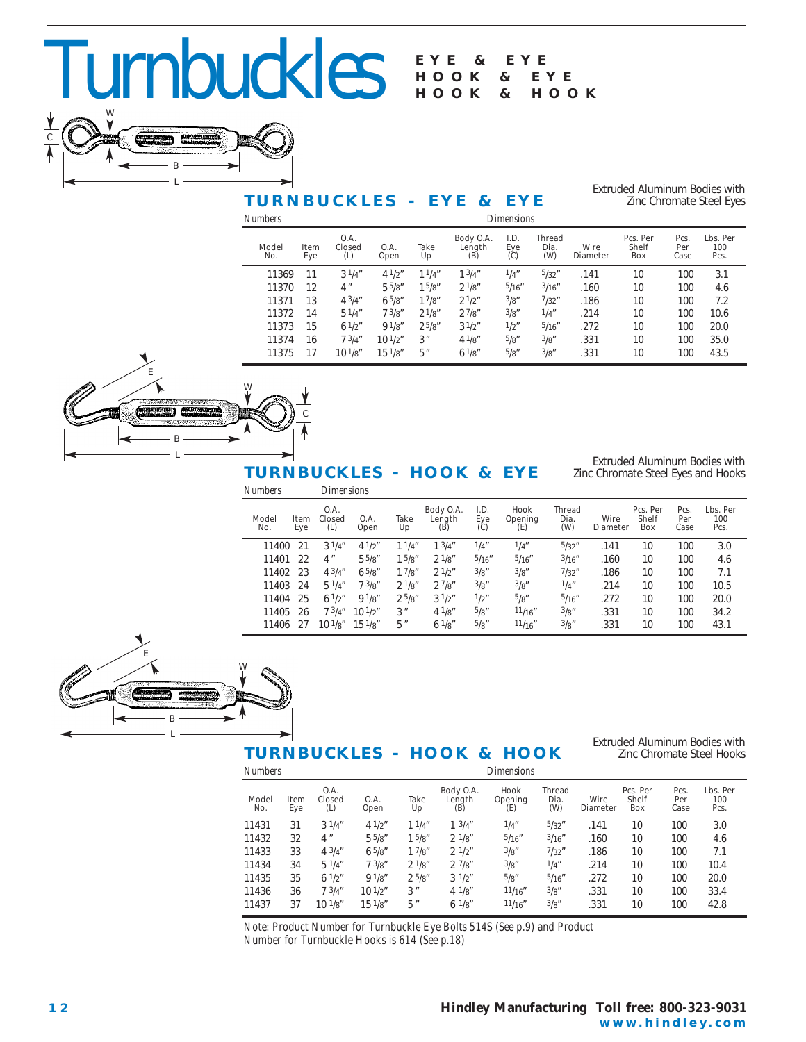# <span id="page-11-0"></span>**HOOK & EYE ALLES HOOK & EYE**

# L C B W

# **EYE & EYE**

# **TURNBUCKLES - EYE & EYE**

Extruded Aluminum Bodies with Zinc Chromate Steel Eyes

| Numbers             |       |             |                       |                      |             |                            | Dimensions         |                              |                         |                                 |                     |                         |
|---------------------|-------|-------------|-----------------------|----------------------|-------------|----------------------------|--------------------|------------------------------|-------------------------|---------------------------------|---------------------|-------------------------|
| <b>Model</b><br>No. |       | Item<br>Eye | 0.A.<br>Closed<br>(L) | 0.A.<br>Open         | Take<br>Up  | Body O.A.<br>Length<br>(B) | I.D.<br>Eye<br>(C) | <b>Thread</b><br>Dia.<br>(W) | Wire<br><b>Diameter</b> | Pcs. Per<br><b>Shelf</b><br>Box | Pcs.<br>Per<br>Case | Lbs. Per<br>100<br>Pcs. |
|                     | 11369 | 11          | 31/4''                | 41/2"                | 11/4"       | 13/4"                      | 1/4''              | 5/32''                       | .141                    | 10                              | 100                 | 3.1                     |
|                     | 11370 | 12          | 4 "                   | $5\frac{5}{8}$       | 15/g''      | $2^{1/8''}$                | 5/16''             | 3/16''                       | .160                    | 10                              | 100                 | 4.6                     |
|                     | 11371 | 13          | $4^{3}/4$ "           | 65/g''               | 17/g''      | $2^{1/2}$                  | 3/g''              | 7/32''                       | .186                    | 10                              | 100                 | 7.2                     |
|                     | 11372 | 14          | 51/4"                 | 73/g''               | $2^{1/g''}$ | 27/s''                     | 3/g''              | 1/4''                        | .214                    | 10                              | 100                 | 10.6                    |
|                     | 11373 | 15          | $6^{1/2"$             | 91/g''               | $2^{5/8"$   | $3^{1/2"$                  | 1/2"               | 5/16''                       | .272                    | 10                              | 100                 | 20.0                    |
|                     | 11374 | 16          | 73/4''                | $10^{1/2}$           | 3"          | $4^{1}/8$ "                | 5/g''              | 3/g''                        | .331                    | 10                              | 100                 | 35.0                    |
|                     | 11375 | 17          | 10 <sup>1</sup> /s''  | 15 <sup>1</sup> /8'' | 5"          | 61/8"                      | 5/8"               | 3/g''                        | .331                    | 10                              | 100                 | 43.5                    |



## **TURNBUCKLES - HOOK & EYE**

Extruded Aluminum Bodies with Zinc Chromate Steel Eyes and Hooks

| Numbers             |             | <b>Dimensions</b>     |              |            |                            |                    |                        |                              |                         |                                 |                     |                         |  |
|---------------------|-------------|-----------------------|--------------|------------|----------------------------|--------------------|------------------------|------------------------------|-------------------------|---------------------------------|---------------------|-------------------------|--|
| <b>Model</b><br>No. | Item<br>Eye | O.A.<br>Closed<br>(L) | O.A.<br>Open | Take<br>Up | Body O.A.<br>Length<br>(B) | I.D.<br>Eye<br>(C) | Hook<br>Opening<br>(E) | <b>Thread</b><br>Dia.<br>(W) | Wire<br><b>Diameter</b> | Pcs. Per<br><b>Shelf</b><br>Box | Pcs.<br>Per<br>Case | Lbs. Per<br>100<br>Pcs. |  |
| 11400               | 21          | 31/4"                 | 41/2"        | 11/4"      | 13/4''                     | 1/4''              | 1/4''                  | 5/32''                       | .141                    | 10                              | 100                 | 3.0                     |  |
| 11401               | 22          | $4$ "                 | $5^{5}/8$ "  | 15/g''     | $2^{1/g''}$                | 5/16''             | 5/16''                 | 3/16''                       | .160                    | 10                              | 100                 | 4.6                     |  |
| 11402               | 23          | 43/4"                 | $6^{5}/8$ "  | 17/g''     | $2^{1/2}$                  | 3/g''              | 3/g''                  | 7/32''                       | .186                    | 10                              | 100                 | 7.1                     |  |
| 11403               | 24          | 51/4"                 | 73/g''       | 21/8"      | 27/g''                     | 3/g''              | 3/g''                  | 1/4''                        | .214                    | 10                              | 100                 | 10.5                    |  |
| 11404               | 25          | $6^{1/2"$             | 91/g''       | $2^{5/8"$  | $3^{1/2"$                  | 1/2''              | 5/g''                  | 5/16''                       | .272                    | 10                              | 100                 | 20.0                    |  |
| 11405               | -26         | 73/4''                | $10^{1/2}$   | 3"         | $4^{1}/8$ "                | 5/g''              | 11/16''                | 3/g''                        | .331                    | 10                              | 100                 | 34.2                    |  |
| 11406               | 27          | $10^{1/s''}$          | $15^{1/s''}$ | 5"         | 61/8"                      | 5/g''              | 11/16''                | 3/g''                        | .331                    | 10                              | 100                 | 43.1                    |  |



# **TURNBUCKLES - HOOK & HOOK**

Extruded Aluminum Bodies with Zinc Chromate Steel Hooks

| <b>Numbers</b>      |             |                       |                      | <b>Dimensions</b> |                            |                               |                              |                         |                                 |                     |                         |
|---------------------|-------------|-----------------------|----------------------|-------------------|----------------------------|-------------------------------|------------------------------|-------------------------|---------------------------------|---------------------|-------------------------|
| <b>Model</b><br>No. | Item<br>Eye | 0.A.<br>Closed<br>(L) | O.A.<br>Open         | Take<br>Up        | Body O.A.<br>Length<br>(B) | Hook<br><b>Opening</b><br>(E) | <b>Thread</b><br>Dia.<br>(W) | Wire<br><b>Diameter</b> | Pcs. Per<br><b>Shelf</b><br>Box | Pcs.<br>Per<br>Case | Lbs. Per<br>100<br>Pcs. |
| 11431               | 31          | $3 \frac{1}{4}$       | $4^{1/2}$            | 11/4"             | 3/4''                      | 1/4''                         | 5/32''                       | .141                    | 10                              | 100                 | 3.0                     |
| 11432               | 32          | $4$ "                 | $5\frac{5}{8}$       | 15/g''            | $2^{1/g''}$                | 5/16''                        | 3/16''                       | .160                    | 10                              | 100                 | 4.6                     |
| 11433               | 33          | $4 \frac{3}{4}$       | 65/8"                | 17/s''            | $2 \frac{1}{2}$            | 3/g''                         | 7/32''                       | .186                    | 10                              | 100                 | 7.1                     |
| 11434               | 34          | $5 \frac{1}{4}$       | 73/g''               | $2^{1/g''}$       | 27/g''                     | 3/g''                         | 1/4''                        | .214                    | 10                              | 100                 | 10.4                    |
| 11435               | 35          | 61/2"                 | 91/g''               | $2^{5/8}$         | $3 \frac{1}{2}$            | 5/g''                         | 5/16''                       | .272                    | 10                              | 100                 | 20.0                    |
| 11436               | 36          | 73/4''                | 10 <sup>1</sup> /2"  | 3"                | $4 \frac{1}{8}$            | 11/16''                       | 3/g''                        | .331                    | 10                              | 100                 | 33.4                    |
| 11437               | 37          | $10^{1/8}$            | 15 <sup>1</sup> /8'' | 5"                | $6 \frac{1}{8}$            | 11/16''                       | 3/g''                        | .331                    | 10                              | 100                 | 42.8                    |

*Note: Product Number for Turnbuckle Eye Bolts 514S (See p.9) and Product Number for Turnbuckle Hooks is 614 (See p.18)*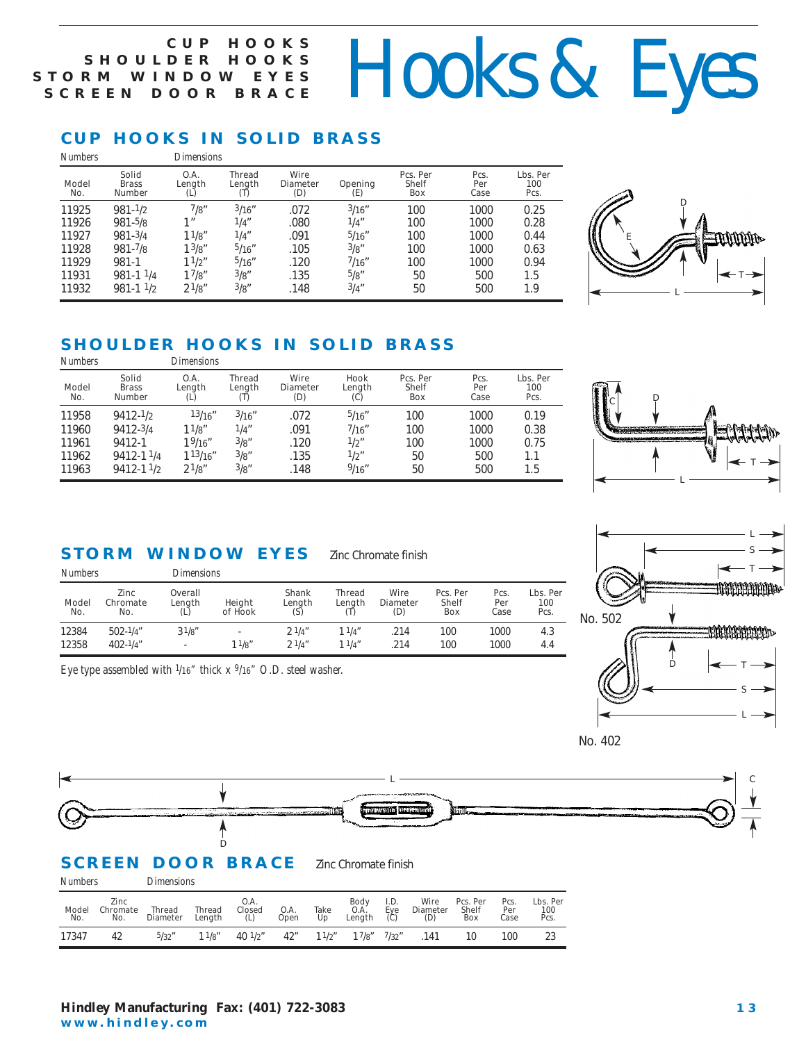# <span id="page-12-0"></span>**SHOULDER** STORM WINDOW **SCREEN**

# LDER HOOKS HOOKS & Eyes

# **CUP HOOKS IN SOLID BRASS**

| <b>Numbers</b>      |                                 | Dimensions            |                         |                                |                       |                                 |                     |                         |
|---------------------|---------------------------------|-----------------------|-------------------------|--------------------------------|-----------------------|---------------------------------|---------------------|-------------------------|
| <b>Model</b><br>No. | Solid<br>Brass<br><b>Number</b> | O.A.<br>Length<br>(L) | Thread<br>Length<br>(T) | Wire<br><b>Diameter</b><br>(D) | <b>Opening</b><br>(E) | Pcs. Per<br><b>Shelf</b><br>Box | Pcs.<br>Per<br>Case | Lbs. Per<br>100<br>Pcs. |
| 11925               | $981 - 1/2$                     | 7/8"                  | 3/16''                  | .072                           | 3/16''                | 100                             | 1000                | 0.25                    |
| 11926               | $981 - 5/8$                     | 1 <sup>''</sup>       | 1/4''                   | .080                           | 1/4''                 | 100                             | 1000                | 0.28                    |
| 11927               | $981 - \frac{3}{4}$             | 11/g''                | 1/4''                   | .091                           | 5/16''                | 100                             | 1000                | 0.44                    |
| 11928               | $981 - \frac{7}{8}$             | $1^{3}/8$ "           | 5/16''                  | .105                           | 3/g''                 | 100                             | 1000                | 0.63                    |
| 11929               | 981-1                           | 11/2"                 | 5/16''                  | .120                           | 7/16''                | 100                             | 1000                | 0.94                    |
| 11931               | 981-1 1/4                       | 17/g''                | 3/g''                   | .135                           | 5/g''                 | 50                              | 500                 | 1.5                     |
| 11932               | $981 - 11/2$                    | $2^{1/8''}$           | 3/g''                   | .148                           | 3/4''                 | 50                              | 500                 | 1.9                     |



# **SHOULDER HOOKS IN SOLID BRASS**

11958 9412-1/2 13/16" 3/16" .072 5/16" 100 1000 0.19  $11960$   $9412.3/4$   $1^{1}/8$ "  $1/4$ " .091  $7/16$ " 100 1000 0.38 11961 9412-1 1<sup>9</sup>/16" <sup>3</sup>/8" .120 <sup>1</sup>/2" 100 1000 0.75 11962 9412-1 1/4 113/16" 3/8" .135 1/2" 50 500 1.1 11963 9412-1 $\frac{1}{2}$  2 $\frac{1}{8}$ "  $\frac{3}{8}$ " .148  $\frac{9}{16}$ " 50 500 1.5 *Solid O.A. Thread Wire Hook Pcs. Per Pcs. Lbs. Per Model Brass Length Length Diameter Length Shelf Per 100 No. Number (L) (T) (D) (C) Box Case Pcs. Numbers Dimensions*



# **STORM WINDOW EYES**

| Zinc Chromate finish |  |
|----------------------|--|
|                      |  |

| <b>Numbers</b>      |                                |                          | Dimensions        |                               |                         |                                |                                 |                     |                         |  |  |  |  |  |
|---------------------|--------------------------------|--------------------------|-------------------|-------------------------------|-------------------------|--------------------------------|---------------------------------|---------------------|-------------------------|--|--|--|--|--|
| <b>Model</b><br>No. | <b>Zinc</b><br>Chromate<br>No. | Overall<br>Length<br>(L) | Height<br>of Hook | <b>Shank</b><br>Length<br>(S) | <b>Thread</b><br>Length | Wire<br><b>Diameter</b><br>(D) | Pcs. Per<br><b>Shelf</b><br>Box | Pcs.<br>Per<br>Case | Lbs. Per<br>100<br>Pcs. |  |  |  |  |  |
| 12384               | $502 - 1/a''$                  | $3^{1}/8$ "              |                   | 21/4"                         | 11/4"                   | .214                           | 100                             | 1000                | 4.3                     |  |  |  |  |  |
| 12358               | $402 - 1/4"$                   | $\overline{\phantom{a}}$ | 11/g''            | 21/4"                         | 11/4"                   | .214                           | 100                             | 1000                | 4.4                     |  |  |  |  |  |

*Eye type assembled with 1/16" thick x 9/16" O.D. steel washer.*





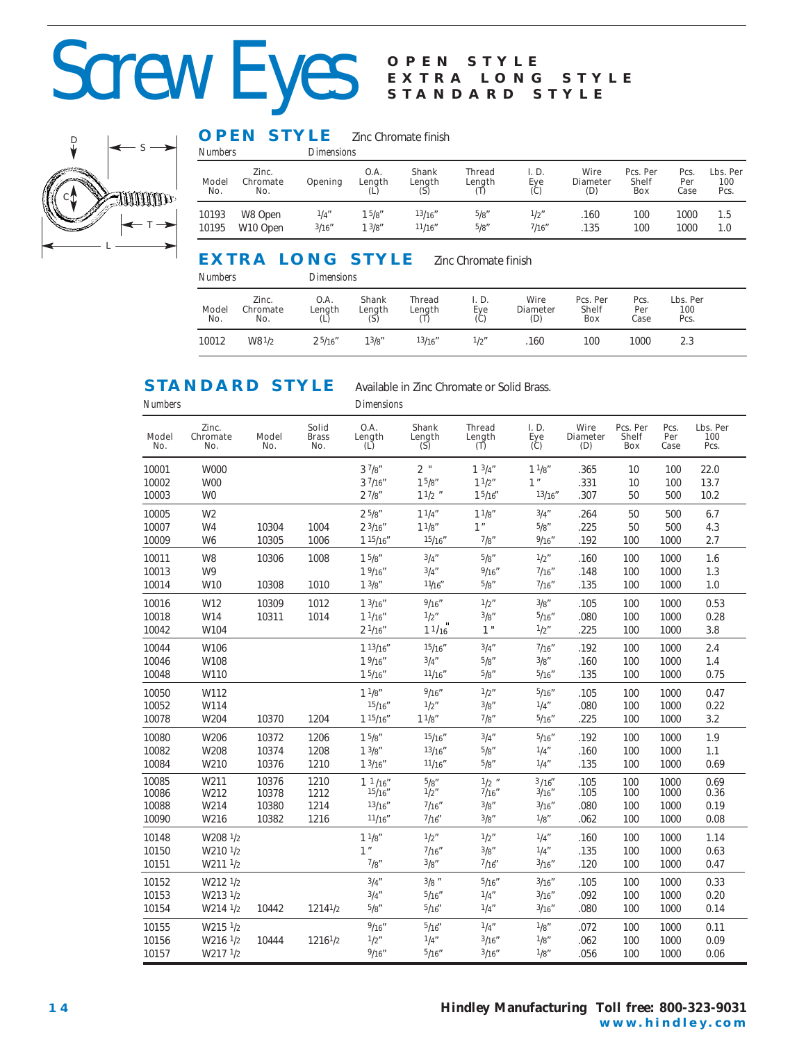# <span id="page-13-0"></span>Screw Eyes STANDARD S

# **C** S **THUTHILID** C T L

### **OPEN STYLE** Zinc Chromate finish

| Numbers             |                                 |                | Dimensions      |                        |                         |                     |                         |                                 |                     |                         |  |  |  |  |
|---------------------|---------------------------------|----------------|-----------------|------------------------|-------------------------|---------------------|-------------------------|---------------------------------|---------------------|-------------------------|--|--|--|--|
| <b>Model</b><br>No. | Zinc.<br>Chromate<br>No.        | Opening        | 0.A.<br>Length  | Shank<br>Length<br>(S) | Thread<br>Length<br>(T) | I. D.<br>Eye<br>(C) | Wire<br>Diameter<br>(D) | Pcs. Per<br><b>Shelf</b><br>Box | Pcs.<br>Per<br>Case | Lbs. Per<br>100<br>Pcs. |  |  |  |  |
| 10193<br>10195      | W8 Open<br>W <sub>10</sub> Open | 1/4″<br>3/16'' | 15/g''<br>13/8" | 13/16''<br>11/16"      | 5/g''<br>5/8''          | 1/2"<br>7/16''      | 160<br>135              | 100<br>100                      | 1000<br>1000        | 1.5<br>1.0              |  |  |  |  |

**STYLE** 

**STYLE** 

# **EXTRA LONG STYLE** Zinc Chromate finish

*Numbers Dimensions*

*Zinc. O.A. Shank Thread I. D. Wire Pcs. Per Pcs. Lbs. Per Model Chromate Length Length Length Eye Diameter Shelf Per 100 No. No. (L) (S) (T) (C) (D) Box Case Pcs.* 10012 W81/2 2 5/16" 13/8" 13/16" 1/2" .160 100 1000 2.3

# **STANDARD STYLE** Available in Zinc Chromate or Solid Brass.

| <b>Numbers</b>      |                          |                     |                              | <b>Dimensions</b>                                 |                               |                                        |                                            |                                |                                 |                     |                         |
|---------------------|--------------------------|---------------------|------------------------------|---------------------------------------------------|-------------------------------|----------------------------------------|--------------------------------------------|--------------------------------|---------------------------------|---------------------|-------------------------|
| <b>Model</b><br>No. | Zinc.<br>Chromate<br>No. | <b>Model</b><br>No. | Solid<br><b>Brass</b><br>No. | O.A.<br>Length $\overset{\text{(L)}}{(\text{L})}$ | <b>Shank</b><br>Length<br>(S) | <b>Thread</b><br>Length $\binom{n}{b}$ | I. D.<br>Eye<br>$\left(\mathcal{C}\right)$ | Wire<br><b>Diameter</b><br>(D) | Pcs. Per<br><b>Shelf</b><br>Box | Pcs.<br>Per<br>Case | Lbs. Per<br>100<br>Pcs. |
| 10001               | W000                     |                     |                              | 37/8"                                             | $2$ "                         | $1 \frac{3}{4}$                        | 11/8"                                      | .365                           | 10                              | 100                 | 22.0                    |
| 10002               | <b>W00</b>               |                     |                              | 37/16''                                           | 15/8''                        | 11/2"                                  | 1''                                        | .331                           | 10                              | 100                 | 13.7                    |
| 10003               | W <sub>0</sub>           |                     |                              | 27/8"                                             | $11/2$ "                      | 15/16''                                | 13/16''                                    | .307                           | 50                              | 500                 | 10.2                    |
| 10005               | W <sub>2</sub>           |                     |                              | 25/8"                                             | 11/4"                         | 11/8"                                  | 3/4''                                      | .264                           | 50                              | 500                 | 6.7                     |
| 10007               | W <sub>4</sub>           | 10304               | 1004                         | 23/16''                                           | 11/8''                        | 1 <sup>''</sup>                        | 5/8''                                      | .225                           | 50                              | 500                 | 4.3                     |
| 10009               | W <sub>6</sub>           | 10305               | 1006                         | 115/16''                                          | 15/16''                       | 7/g''                                  | 9/16''                                     | .192                           | 100                             | 1000                | 2.7                     |
| 10011               | W <sub>8</sub>           | 10306               | 1008                         | 15/8"                                             | 3/4''                         | 5/8''                                  | 1/2''                                      | .160                           | 100                             | 1000                | 1.6                     |
| 10013               | W9                       |                     |                              | 19/16''                                           | 3/4''                         | 9/16''                                 | 7/16''                                     | .148                           | 100                             | 1000                | 1.3                     |
| 10014               | W10                      | 10308               | 1010                         | 13/8"                                             | 11/16''                       | 5/g''                                  | 7/16''                                     | .135                           | 100                             | 1000                | 1.0                     |
| 10016               | W12                      | 10309               | 1012                         | 13/16''                                           | 9/16''                        | 1/2''                                  | 3/g''                                      | .105                           | 100                             | 1000                | 0.53                    |
| 10018               | W14                      | 10311               | 1014                         | 11/16''                                           | 1/2''                         | 3/8''                                  | 5/16''                                     | .080                           | 100                             | 1000                | 0.28                    |
| 10042               | W104                     |                     |                              | 21/16''                                           | 11/16                         | 1"                                     | 1/2''                                      | .225                           | 100                             | 1000                | 3.8                     |
| 10044               | W106                     |                     |                              | 113/16''                                          | 15/16''                       | 3/4''                                  | 7/16''                                     | .192                           | 100                             | 1000                | 2.4                     |
| 10046               | W108                     |                     |                              | 19/16''                                           | 3/4''                         | 5/8''                                  | 3/g''                                      | .160                           | 100                             | 1000                | 1.4                     |
| 10048               | W110                     |                     |                              | 15/16''                                           | 11/16''                       | 5/g''                                  | 5/16''                                     | .135                           | 100                             | 1000                | 0.75                    |
| 10050               | W112                     |                     |                              | 11/8''                                            | 9/16''                        | 1/2''                                  | 5/16''                                     | .105                           | 100                             | 1000                | 0.47                    |
| 10052               | W114                     |                     |                              | 15/16''                                           | 1/2''                         | 3/8''                                  | 1/4''                                      | .080                           | 100                             | 1000                | 0.22                    |
| 10078               | W204                     | 10370               | 1204                         | 115/16''                                          | 11/8"                         | 7/g''                                  | 5/16''                                     | .225                           | 100                             | 1000                | 3.2                     |
| 10080               | W206                     | 10372               | 1206                         | 15/8"                                             | 15/16''                       | 3/4''                                  | 5/16''                                     | .192                           | 100                             | 1000                | 1.9                     |
| 10082               | W208                     | 10374               | 1208                         | 13/8"                                             | 13/16''                       | 5/g''                                  | 1/4''                                      | .160                           | 100                             | 1000                | 1.1                     |
| 10084               | W210                     | 10376               | 1210                         | 13/16''                                           | 11/16''                       | 5/8"                                   | 1/4''                                      | .135                           | 100                             | 1000                | 0.69                    |
| 10085               | W211                     | 10376               | 1210                         | 11/16''                                           | 5/g''                         | $1/2$ "                                | 3/16''                                     | .105                           | 100                             | 1000                | 0.69                    |
| 10086               | W212                     | 10378               | 1212                         | 15/16''                                           | 1/2"                          | 7/16''                                 | 3/16''                                     | .105                           | 100                             | 1000                | 0.36                    |
| 10088               | W214                     | 10380               | 1214                         | 13/16''                                           | 7/16''                        | 3/8''                                  | 3/16''                                     | .080                           | 100                             | 1000                | 0.19                    |
| 10090               | W216                     | 10382               | 1216                         | 11/16''                                           | 7/16''                        | 3/g''                                  | 1/g''                                      | .062                           | 100                             | 1000                | 0.08                    |
| 10148               | W208 1/2                 |                     |                              | 11/8"                                             | 1/2''                         | 1/2''                                  | 1/4''                                      | .160                           | 100                             | 1000                | 1.14                    |
| 10150               | W210 1/2                 |                     |                              | 1<br>$\mathbf{u}$                                 | 7/16''                        | 3/8''                                  | 1/4''                                      | .135                           | 100                             | 1000                | 0.63                    |
| 10151               | W211 1/2                 |                     |                              | 7/8''                                             | 3/g''                         | 7/16''                                 | 3/16''                                     | .120                           | 100                             | 1000                | 0.47                    |
| 10152               | W212 1/2                 |                     |                              | 3/4''                                             | $3/8$ "                       | 5/16''                                 | 3/16''                                     | .105                           | 100                             | 1000                | 0.33                    |
| 10153               | W213 1/2                 |                     |                              | 3/4''                                             | 5/16''                        | 1/4''                                  | 3/16''                                     | .092                           | 100                             | 1000                | 0.20                    |
| 10154               | W214 1/2                 | 10442               | 12141/2                      | 5/8"                                              | 5/16''                        | 1/4''                                  | 3/16''                                     | .080                           | 100                             | 1000                | 0.14                    |
| 10155               | W215 1/2                 |                     |                              | 9/16''                                            | 5/16''                        | 1/4''                                  | 1/8''                                      | .072                           | 100                             | 1000                | 0.11                    |
| 10156               | W216 1/2                 | 10444               | 12161/2                      | 1/2''                                             | 1/4''                         | 3/16''                                 | 1/g''                                      | .062                           | 100                             | 1000                | 0.09                    |
| 10157               | W217 1/2                 |                     |                              | 9/16''                                            | 5/16''                        | 3/16''                                 | 1/g''                                      | .056                           | 100                             | 1000                | 0.06                    |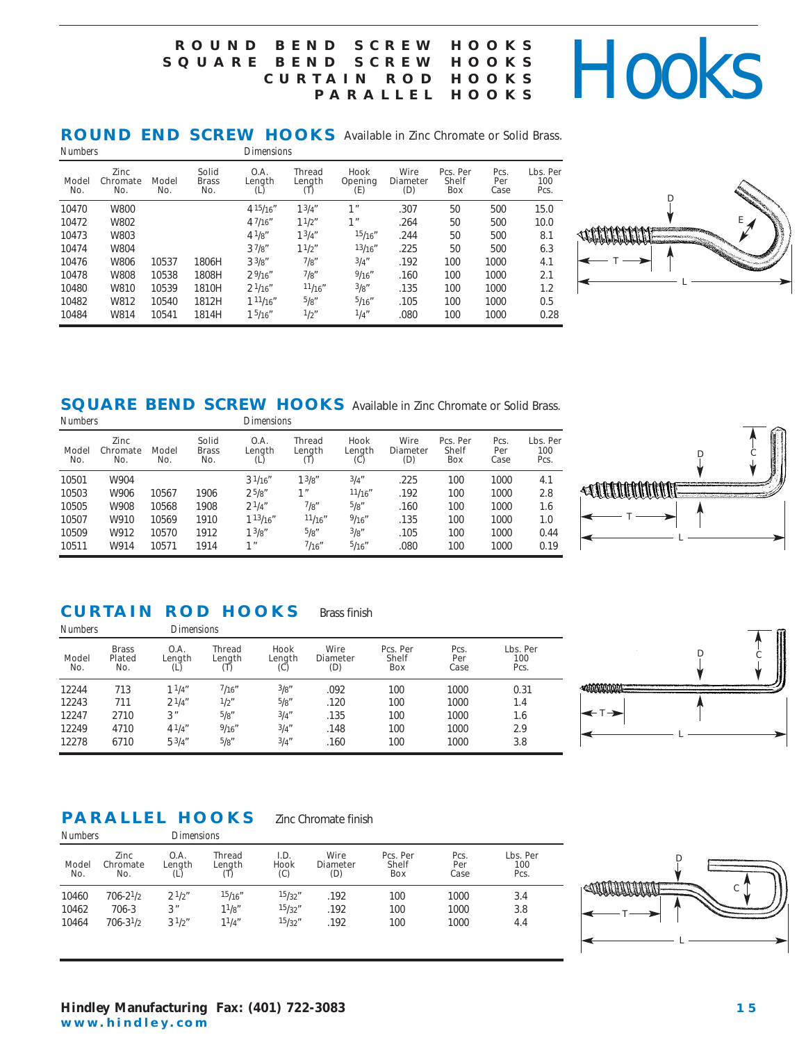## ROUND BEND SCREW HOOKS<br>
CURTAIN ROD HOOKS<br>
PARALLEL HOOKS
PARALLEL HOOKS **SQUARE CURTAIN PARALLEL**

# <span id="page-14-0"></span>**ROUND END SCREW HOOKS** Available in Zinc Chromate or Solid Brass.

| <b>Numbers</b>      |                         |              |                              | <i>Dimensions</i>     |                                |                               |                         |                                 |                     |                         |
|---------------------|-------------------------|--------------|------------------------------|-----------------------|--------------------------------|-------------------------------|-------------------------|---------------------------------|---------------------|-------------------------|
| <b>Model</b><br>No. | Zinc<br>Chromate<br>No. | Model<br>No. | <b>Solid</b><br>Brass<br>No. | O.A.<br>Length<br>(L) | <b>Thread</b><br>Length<br>(T) | Hook<br><b>Opening</b><br>(E) | Wire<br>Diameter<br>(D) | Pcs. Per<br><b>Shelf</b><br>Box | Pcs.<br>Per<br>Case | Lbs. Per<br>100<br>Pcs. |
| 10470               | W800                    |              |                              | 415/16''              | 13/4''                         | 1"                            | .307                    | 50                              | 500                 | 15.0                    |
| 10472               | W802                    |              |                              | 47/16''               | 11/2"                          | 1"                            | .264                    | 50                              | 500                 | 10.0                    |
| 10473               | W803                    |              |                              | $4^{1/8}$             | 13/4''                         | 15/16''                       | .244                    | 50                              | 500                 | 8.1                     |
| 10474               | W804                    |              |                              | 37/g''                | 11/2"                          | 13/16''                       | .225                    | 50                              | 500                 | 6.3                     |
| 10476               | W806                    | 10537        | 1806H                        | 33/8"                 | 7/g''                          | 3/4''                         | .192                    | 100                             | 1000                | 4.1                     |
| 10478               | W808                    | 10538        | 1808H                        | 29/16''               | 7/g''                          | 9/16''                        | .160                    | 100                             | 1000                | 2.1                     |
| 10480               | W810                    | 10539        | 1810H                        | $2^1/16''$            | 11/16''                        | 3/g''                         | .135                    | 100                             | 1000                | 1.2                     |
| 10482               | W812                    | 10540        | 1812H                        | 111/16''              | 5/g''                          | 5/16''                        | .105                    | 100                             | 1000                | 0.5                     |
| 10484               | W814                    | 10541        | 1814H                        | 15/16''               | 1/2"                           | 1/4''                         | .080                    | 100                             | 1000                | 0.28                    |



# **SQUARE BEND SCREW HOOKS** Available in Zinc Chromate or Solid Brass.<br> *Numbers*

| <b>Numbers</b>      |                         |              |                              | <b>Dimensions</b>     |                         |                       |                                |                                 |                     |                         |  |
|---------------------|-------------------------|--------------|------------------------------|-----------------------|-------------------------|-----------------------|--------------------------------|---------------------------------|---------------------|-------------------------|--|
| <b>Model</b><br>No. | Zinc<br>Chromate<br>No. | Model<br>No. | <b>Solid</b><br>Brass<br>No. | O.A.<br>Lenath<br>(L) | Thread<br>Length<br>(Ť) | Hook<br>Length<br>(C) | Wire<br><b>Diameter</b><br>(D) | Pcs. Per<br><b>Shelf</b><br>Box | Pcs.<br>Per<br>Case | Lbs. Per<br>100<br>Pcs. |  |
| 10501               | W904                    |              |                              | 31/16"                | 13/g''                  | 3/4''                 | .225                           | 100                             | 1000                | 4.1                     |  |
| 10503               | W906                    | 10567        | 1906                         | 25/g''                | 1 <sup>''</sup>         | 11/16''               | .192                           | 100                             | 1000                | 2.8                     |  |
| 10505               | W908                    | 10568        | 1908                         | $2^{1/4''}$           | 7/g''                   | 5/g''                 | .160                           | 100                             | 1000                | 1.6                     |  |
| 10507               | W910                    | 10569        | 1910                         | 113/16''              | 11/16''                 | 9/16''                | .135                           | 100                             | 1000                | 1.0                     |  |
| 10509               | W912                    | 10570        | 1912                         | 13/g''                | 5/g''                   | 3/g''                 | .105                           | 100                             | 1000                | 0.44                    |  |
| 10511               | W914                    | 10571        | 1914                         | 1 <sup>''</sup>       | 7/16''                  | 5/16''                | .080                           | 100                             | 1000                | 0.19                    |  |



# **CURTAIN ROD HOOKS** Brass finish

| <b>Numbers</b>      |                               | Dimensions            |                                |                       |                                |                                 |                     |                         |  |
|---------------------|-------------------------------|-----------------------|--------------------------------|-----------------------|--------------------------------|---------------------------------|---------------------|-------------------------|--|
| <b>Model</b><br>No. | <b>Brass</b><br>Plated<br>No. | O.A.<br>Length<br>(L) | <b>Thread</b><br>Length<br>(T) | Hook<br>Length<br>(C) | Wire<br><b>Diameter</b><br>(D) | Pcs. Per<br><b>Shelf</b><br>Box | Pcs.<br>Per<br>Case | Lbs. Per<br>100<br>Pcs. |  |
| 12244               | 713                           | 11/4"                 | 7/16''                         | 3/8"                  | .092                           | 100                             | 1000                | 0.31                    |  |
| 12243               | 711                           | $2^{1/4''}$           | 1/2"                           | 5/g''                 | .120                           | 100                             | 1000                | 1.4                     |  |
| 12247               | 2710                          | 3"                    | 5/g''                          | 3/4''                 | .135                           | 100                             | 1000                | 1.6                     |  |
| 12249               | 4710                          | 41/4"                 | 9/16''                         | 3/4''                 | .148                           | 100                             | 1000                | 2.9                     |  |
| 12278               | 6710                          | 53/4''                | 5/g''                          | 3/4''                 | .160                           | 100                             | 1000                | 3.8                     |  |



# **PARALLEL HOOKS** Zinc Chromate finish

| <b>Numbers</b>      |                         | Dimensions            |                         |                     |                                |                                 |                     |                         |
|---------------------|-------------------------|-----------------------|-------------------------|---------------------|--------------------------------|---------------------------------|---------------------|-------------------------|
| <b>Model</b><br>No. | Zinc<br>Chromate<br>No. | O.A.<br>Length<br>(L) | <b>Thread</b><br>Length | I.D.<br>Hook<br>(C) | Wire<br><b>Diameter</b><br>(D) | Pcs. Per<br><b>Shelf</b><br>Box | Pcs.<br>Per<br>Case | Lbs. Per<br>100<br>Pcs. |
| 10460               | $706 - 21/2$            | $2^{1/2}$             | 15/16''                 | 15/32''             | .192                           | 100                             | 1000                | 3.4                     |
| 10462               | 706-3                   | 3 "                   | 11/g''                  | 15/32''             | .192                           | 100                             | 1000                | 3.8                     |
| 10464               | $706 - 31/2$            | $3^{1/2}$             | 11/4''                  | 15/32''             | .192                           | 100                             | 1000                | 4.4                     |

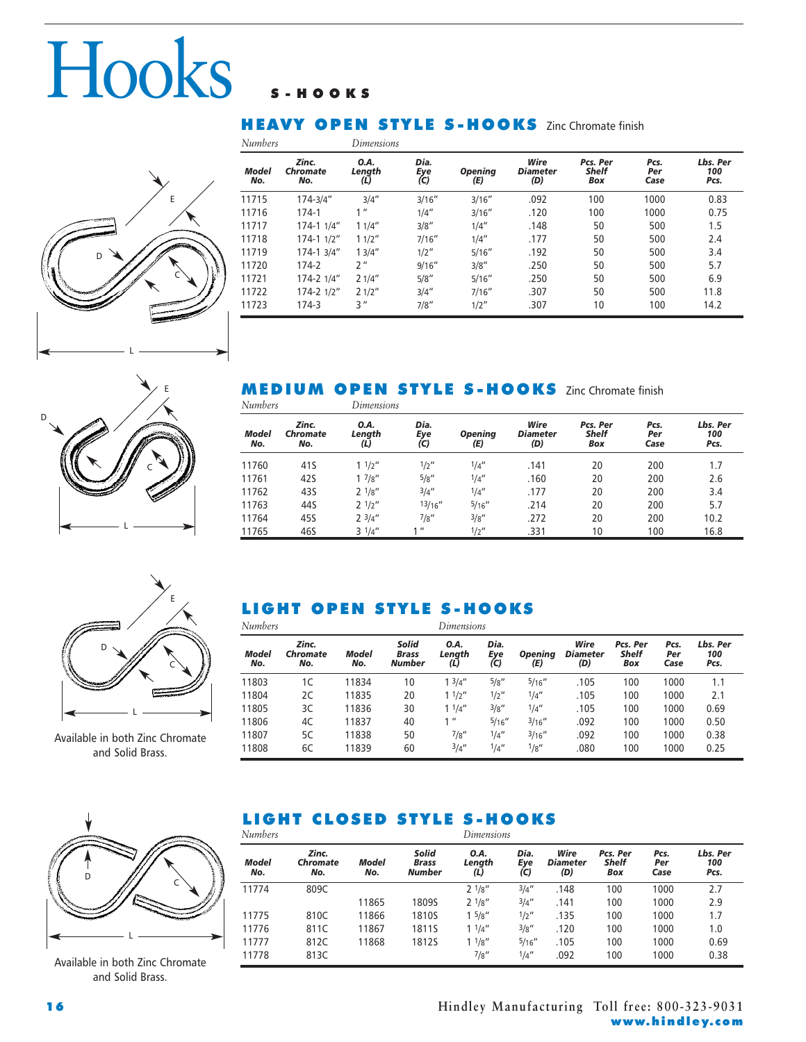# <span id="page-15-0"></span>Hooks

# **HEAVY OPEN STYLE S-HOOKS** Zinc Chromate finish

L E D C

| Numbers             |                          | Dimensions            |                    |                       |                                |                                 |                     |                         |
|---------------------|--------------------------|-----------------------|--------------------|-----------------------|--------------------------------|---------------------------------|---------------------|-------------------------|
| <b>Model</b><br>No. | Zinc.<br>Chromate<br>No. | 0.A.<br>Length<br>(L) | Dia.<br>Eye<br>(C) | <b>Opening</b><br>(E) | Wire<br><b>Diameter</b><br>(D) | Pcs. Per<br><b>Shelf</b><br>Box | Pcs.<br>Per<br>Case | Lbs. Per<br>100<br>Pcs. |
| 11715               | 174-3/4"                 | 3/4''                 | 3/16''             | 3/16''                | .092                           | 100                             | 1000                | 0.83                    |
| 11716               | $174-1$                  | 1 <sup>''</sup>       | 1/4''              | 3/16''                | .120                           | 100                             | 1000                | 0.75                    |
| 11717               | 174-1 1/4"               | 11/4"                 | 3/8''              | 1/4''                 | .148                           | 50                              | 500                 | 1.5                     |
| 11718               | 174-1 1/2"               | 11/2"                 | 7/16''             | 1/4''                 | .177                           | 50                              | 500                 | 2.4                     |
| 11719               | 174-1 3/4"               | 13/4"                 | 1/2''              | 5/16''                | .192                           | 50                              | 500                 | 3.4                     |
| 11720               | $174-2$                  | יי כ                  | 9/16''             | 3/8''                 | .250                           | 50                              | 500                 | 5.7                     |
| 11721               | 174-2 1/4"               | 21/4"                 | 5/8''              | 5/16''                | .250                           | 50                              | 500                 | 6.9                     |
| 11722               | 174-2 1/2"               | 21/2"                 | 3/4''              | 7/16''                | .307                           | 50                              | 500                 | 11.8                    |
| 11723               | $174-3$                  | २ "                   | 7/8''              | 1/2''                 | .307                           | 10                              | 100                 | 14.2                    |

### MEDIUM OPEN STYLE S-HOOKS Zinc Chromate finish *Numbers Dimensions*

L E D C

| <b>Model</b><br>No. | Zinc.<br><b>Chromate</b><br>No. | 0.A.<br>Length<br>(L) | Dia.<br>Eye<br>(C) | <b>Opening</b><br>(E) | Wire<br><b>Diameter</b><br>(D) | Pcs. Per<br><b>Shelf</b><br>Box | Pcs.<br>Per<br>Case | Lbs. Per<br>100<br>Pcs. |
|---------------------|---------------------------------|-----------------------|--------------------|-----------------------|--------------------------------|---------------------------------|---------------------|-------------------------|
| 11760               | 41S                             | $1 \frac{1}{2}$ "     | 1/2''              | 1/4''                 | .141                           | 20                              | 200                 | 1.7                     |
| 11761               | 42S                             | 17/8"                 | 5/8''              | 1/4''                 | .160                           | 20                              | 200                 | 2.6                     |
| 11762               | 43S                             | $2^{1/8}$             | 3/4''              | 1/4''                 | .177                           | 20                              | 200                 | 3.4                     |
| 11763               | 44S                             | $2^{1/2}$             | 13/16''            | 5/16''                | .214                           | 20                              | 200                 | 5.7                     |
| 11764               | 45S                             | $2 \frac{3}{4}$ "     | 7/8''              | 3/8''                 | .272                           | 20                              | 200                 | 10.2                    |
| 11765               | 46S                             | $3 \frac{1}{4}$ "     | 1 <sup>H</sup>     | 1/2''                 | .331                           | 10                              | 100                 | 16.8                    |



Available in both Zinc Chromate and Solid Brass.

# **IGHT OPEN STYLE S-HOOKS**

| <b>Numbers</b>      |                          |              |                          | Dimensions            |                    |                       |                                |                                 |                     |                         |
|---------------------|--------------------------|--------------|--------------------------|-----------------------|--------------------|-----------------------|--------------------------------|---------------------------------|---------------------|-------------------------|
| <b>Model</b><br>No. | Zinc.<br>Chromate<br>No. | Model<br>No. | Solid<br>Brass<br>Number | 0.A.<br>Length<br>(L) | Dia.<br>Eye<br>(C) | <b>Opening</b><br>(E) | Wire<br><b>Diameter</b><br>(D) | Pcs. Per<br><b>Shelf</b><br>Box | Pcs.<br>Per<br>Case | Lbs. Per<br>100<br>Pcs. |
| 11803               | 1C                       | 11834        | 10                       | 13/4"                 | 5/8''              | 5/16''                | .105                           | 100                             | 1000                | 1.1                     |
| 11804               | 2C                       | 11835        | 20                       | 11/2"                 | 1/2"               | 1/4''                 | .105                           | 100                             | 1000                | 2.1                     |
| 11805               | ЗC                       | 11836        | 30                       | 11/4"                 | 3/8"               | 1/4''                 | .105                           | 100                             | 1000                | 0.69                    |
| 11806               | 4C                       | 11837        | 40                       | $^{\prime\prime}$     | 5/16''             | 3/16''                | .092                           | 100                             | 1000                | 0.50                    |
| 11807               | 5C                       | 11838        | 50                       | $^{7}/8"$             | 1/4''              | 3/16''                | .092                           | 100                             | 1000                | 0.38                    |
| 11808               | 6C                       | 11839        | 60                       | 3/4''                 | 1/4''              | 1/8"                  | .080                           | 100                             | 1000                | 0.25                    |

# L  $\mathbb{Z}$  D  $\mathbb{Z}$  C

Available in both Zinc Chromate and Solid Brass.

# LIGHT CLOSED STYLE S-HOOKS

| Numbers      |                          |              |                                 | Dimensions            |                    |                         |                                 |                     |                         |
|--------------|--------------------------|--------------|---------------------------------|-----------------------|--------------------|-------------------------|---------------------------------|---------------------|-------------------------|
| Model<br>No. | Zinc.<br>Chromate<br>No. | Model<br>No. | <b>Solid</b><br>Brass<br>Number | 0.A.<br>Length<br>(L) | Dia.<br>Eye<br>(C) | Wire<br>Diameter<br>(D) | Pcs. Per<br><b>Shelf</b><br>Box | Pcs.<br>Per<br>Case | Lbs. Per<br>100<br>Pcs. |
| 11774        | 809C                     |              |                                 | $2 \frac{1}{8}$ "     | 3/4''              | .148                    | 100                             | 1000                | 2.7                     |
|              |                          | 11865        | 1809S                           | $2^{1/8}$             | 3/4''              | .141                    | 100                             | 1000                | 2.9                     |
| 11775        | 810C                     | 11866        | 1810S                           | 15/8"                 | 1/2''              | .135                    | 100                             | 1000                | 1.7                     |
| 11776        | 811C                     | 11867        | 1811S                           | 11/4"                 | 3/8''              | .120                    | 100                             | 1000                | 1.0                     |
| 11777        | 812C                     | 11868        | 1812S                           | $1 \frac{1}{8}$ "     | 5/16''             | .105                    | 100                             | 1000                | 0.69                    |
| 11778        | 813C                     |              |                                 | 7/8''                 | 1/4''              | .092                    | 100                             | 1000                | 0.38                    |

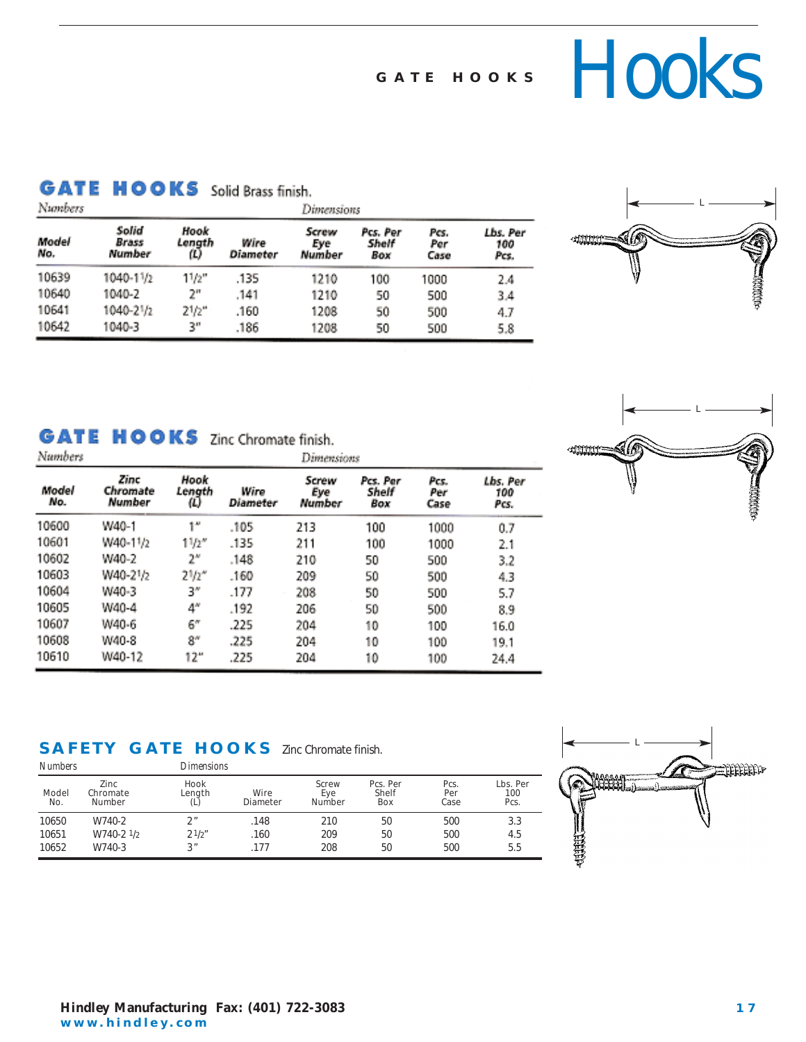# GATE HOOKS

# <span id="page-16-0"></span>**GATE HOOKS** Solid Brass finish.

| Numbers      |                          |                     |                  | Dimensions             |                          |                     |                         |  |  |
|--------------|--------------------------|---------------------|------------------|------------------------|--------------------------|---------------------|-------------------------|--|--|
| Model<br>No. | Solid<br>Brass<br>Number | Hook<br>Lenath<br>ω | Wire<br>Diameter | Screw<br>Eye<br>Number | Pcs. Per<br>Shelf<br>Box | Pcs.<br>Per<br>Case | Lbs. Per<br>100<br>Pcs. |  |  |
| 10639        | 1040-11/2                | 11/2"               | .135             | 1210                   | 100                      | 1000                | 2.4                     |  |  |
| 10640        | 1040-2                   | 2"                  | .141             | 1210                   | 50                       | 500                 | 3.4                     |  |  |
| 10641        | 1040-21/2                | 21/2"               | .160             | 1208                   | 50                       | 500                 | 4.7                     |  |  |
| 10642        | 1040-3                   | 3"                  | .186             | 1208                   | 50                       | 500                 | 5.8                     |  |  |





# GATE HOOKS Zinc Chromate finish.

| ramoers      |                            |                     |                  | Dimensions             |                          |                     |                         |
|--------------|----------------------------|---------------------|------------------|------------------------|--------------------------|---------------------|-------------------------|
| Model<br>No. | Zinc<br>Chromate<br>Number | Hook<br>Length<br>ω | Wire<br>Diameter | Screw<br>Eye<br>Number | Pcs. Per<br>Shelf<br>Box | Pcs.<br>Per<br>Case | Lbs. Per<br>100<br>Pcs. |
| 10600        | W40-1                      | 1"                  | .105             | 213                    | 100                      | 1000                | 0.7                     |
| 10601        | W40-11/2                   | $1^{1/2''}$         | .135             | 211                    | 100                      | 1000                | 2.1                     |
| 10602        | W40-2                      | 2″                  | .148             | 210                    | 50                       | 500                 | 3.2                     |
| 10603        | W40-21/2                   | 21/z''              | .160             | 209                    | 50                       | 500                 | 4.3                     |
| 10604        | W40-3                      | 3″                  | .177             | 208                    | 50                       | 500                 | 5.7                     |
| 10605        | W40-4                      | $4^{\prime\prime}$  | .192             | 206                    | 50                       | 500                 | 8.9                     |
| 10607        | W40-6                      | 6″                  | .225             | 204                    | 10                       | 100                 | 16.0                    |
| 10608        | W40-8                      | 8″                  | .225             | 204                    | 10                       | 100                 | 19.1                    |
| 10610        | W40-12                     | 12"                 | .225             | 204                    | 10                       | 100                 | 24.4                    |

# **SAFETY GATE HOOKS** Zinc Chromate finish.

| <b>Numbers</b>      |                                   | Dimensions            |                         |                               |                                 |                     |                         |
|---------------------|-----------------------------------|-----------------------|-------------------------|-------------------------------|---------------------------------|---------------------|-------------------------|
| <b>Model</b><br>No. | Zinc<br>Chromate<br><b>Number</b> | Hook<br>Length<br>(L) | Wire<br><b>Diameter</b> | Screw<br>Eye<br><b>Number</b> | Pcs. Per<br><b>Shelf</b><br>Box | Pcs.<br>Per<br>Case | Lbs. Per<br>100<br>Pcs. |
| 10650               | W740-2                            | 2 <sup>''</sup>       | .148                    | 210                           | 50                              | 500                 | 3.3                     |
| 10651               | W740-2 1/2                        | 21/2"                 | .160                    | 209                           | 50                              | 500                 | 4.5                     |
| 10652               | W740-3                            | 3"                    | 177                     | 208                           | 50                              | 500                 | 5.5                     |

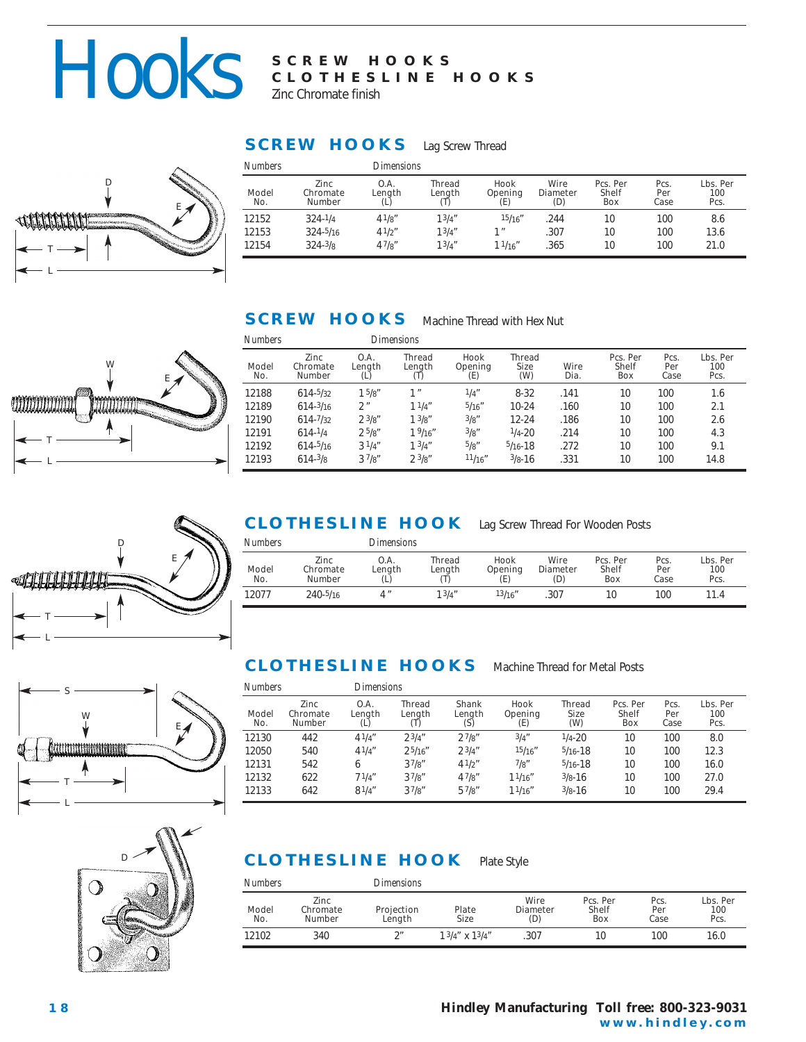# <span id="page-17-0"></span>**Hooks** SCREW HOOKS

# **CLOTHESLINE HOOKS**

Zinc Chromate finish

# **SCREW HOOKS** Lag Screw Thread



| <b>Numbers</b>      |                                          | Dimensions            |                         |                        |                         |                                 |                     |                         |
|---------------------|------------------------------------------|-----------------------|-------------------------|------------------------|-------------------------|---------------------------------|---------------------|-------------------------|
| <b>Model</b><br>No. | <b>Zinc</b><br>Chromate<br><b>Number</b> | 0.A.<br>Length<br>(L) | <b>Thread</b><br>Length | Hook<br>Opening<br>(E) | Wire<br>Diameter<br>(D) | Pcs. Per<br><b>Shelf</b><br>Box | Pcs.<br>Per<br>Case | Lbs. Per<br>100<br>Pcs. |
| 12152               | $324 - 1/4$                              | $4^{1/8}$             | 1 <sup>3</sup> /4''     | 15/16''                | .244                    | 10                              | 100                 | 8.6                     |
| 12153               | $324 - 5/16$                             | 41/2"                 | 13/4''                  | 1 <sub>''</sub>        | .307                    | 10                              | 100                 | 13.6                    |
| 12154               | $324 - 3/8$                              | 47/g''                | 13/4''                  | 11/16''                | .365                    | 10                              | 100                 | 21.0                    |

# **SCREW HOOKS** Machine Thread with Hex Nut



| Numbers             |                                   |                       | Dimensions                     |                               |                       |              |                                 |                     |                         |
|---------------------|-----------------------------------|-----------------------|--------------------------------|-------------------------------|-----------------------|--------------|---------------------------------|---------------------|-------------------------|
| <b>Model</b><br>No. | Zinc<br>Chromate<br><b>Number</b> | O.A.<br>Length<br>(L) | <b>Thread</b><br>Length<br>(T) | Hook<br><b>Opening</b><br>(E) | Thread<br>Size<br>(W) | Wire<br>Dia. | Pcs. Per<br><b>Shelf</b><br>Box | Pcs.<br>Per<br>Case | Lbs. Per<br>100<br>Pcs. |
| 12188               | $614 - 5/32$                      | 15/g''                | 1 <sup>''</sup>                | 1/4''                         | $8 - 32$              | .141         | 10                              | 100                 | 1.6                     |
| 12189               | $614 - 3/16$                      | 2 "                   | 11/4"                          | 5/16''                        | $10 - 24$             | .160         | 10                              | 100                 | 2.1                     |
| 12190               | $614 - 7/32$                      | $2^{3}/8''$           | $1 \frac{3}{8}$ "              | 3/g''                         | $12 - 24$             | .186         | 10                              | 100                 | 2.6                     |
| 12191               | $614 - 1/4$                       | 25/g''                | 19/16''                        | 3/g''                         | $1/4 - 20$            | .214         | 10                              | 100                 | 4.3                     |
| 12192               | $614 - 5/16$                      | 31/4"                 | 13/4"                          | 5/g''                         | $5/16 - 18$           | .272         | 10                              | 100                 | 9.1                     |
| 12193               | $614 - \frac{3}{8}$               | 37/8"                 | $2^{3}/8"$                     | 11/16''                       | $3/8 - 16$            | .331         | 10                              | 100                 | 14.8                    |

# L T E D



E

# **CLOTHESLINE HOOK** Lag Screw Thread For Wooden Posts

| <b>Numbers</b>      |                                   | Dimensions            |                         |                               |                                |                                 |                     |                         |
|---------------------|-----------------------------------|-----------------------|-------------------------|-------------------------------|--------------------------------|---------------------------------|---------------------|-------------------------|
| <b>Model</b><br>No. | Zinc<br>Chromate<br><b>Number</b> | 0.A.<br>Length<br>(L) | <b>Thread</b><br>Length | Hook<br><b>Opening</b><br>(E) | Wire<br><b>Diameter</b><br>(D) | Pcs. Per<br><b>Shelf</b><br>Box | Pcs.<br>Per<br>Case | Lbs. Per<br>100<br>Pcs. |
| 12077               | $240 - 5/16$                      | $\Lambda$ "           | 13/4''                  | 13/ <sub>16</sub> "           | 307                            |                                 | 100                 | 11.4                    |

# **CLOTHESLINE HOOKS** Machine Thread for Metal Posts

| <b>Numbers</b>      |                                   | Dimensions            |                  |                                          |                        |                       |                                 |                     |                         |
|---------------------|-----------------------------------|-----------------------|------------------|------------------------------------------|------------------------|-----------------------|---------------------------------|---------------------|-------------------------|
| <b>Model</b><br>No. | Zinc<br>Chromate<br><b>Number</b> | O.A.<br>Length<br>(L) | Thread<br>Length | <b>Shank</b><br>Length<br>$(\mathsf{S})$ | Hook<br>Opening<br>(E) | Thread<br>Size<br>(W) | Pcs. Per<br><b>Shelf</b><br>Box | Pcs.<br>Per<br>Case | Lbs. Per<br>100<br>Pcs. |
| 12130               | 442                               | 41/4"                 | 23/4"            | 27/g''                                   | 3/4''                  | $1/4 - 20$            | 10                              | 100                 | 8.0                     |
| 12050               | 540                               | $4^{1/4''}$           | 25/16''          | $2^{3/4''}$                              | 15/16''                | $5/16 - 18$           | 10                              | 100                 | 12.3                    |
| 12131               | 542                               | 6                     | 37/g''           | 41/2"                                    | 7/g''                  | $5/16 - 18$           | 10                              | 100                 | 16.0                    |
| 12132               | 622                               | 71/4''                | 37/s''           | 47/g''                                   | 11/16''                | $3/8 - 16$            | 10                              | 100                 | 27.0                    |
| 12133               | 642                               | $8^{1/4''}$           | $3^{7}/8"$       | 57/g''                                   | 11/16''                | $3/8 - 16$            | 10                              | 100                 | 29.4                    |



# **CLOTHESLINE HOOK** Plate Style

| <b>Numbers</b>      |                                   | Dimensions           |                      |                                |                                 |                     |                         |
|---------------------|-----------------------------------|----------------------|----------------------|--------------------------------|---------------------------------|---------------------|-------------------------|
| <b>Model</b><br>No. | Zinc<br>Chromate<br><b>Number</b> | Projection<br>Length | Plate<br><b>Size</b> | Wire<br><b>Diameter</b><br>(D) | Pcs. Per<br><b>Shelf</b><br>Box | Pcs.<br>Per<br>Case | Lbs. Per<br>100<br>Pcs. |
| 12102               | 340                               | $\gamma$ "           | $13/4''$ x $13/4''$  | .307                           | 10                              | 100                 | 16.0                    |

### **1 8 Hindley Manufacturing Toll free: 800-323-9031 www.hindley.com**

L T W

<u>ittimisteemaania</u>

S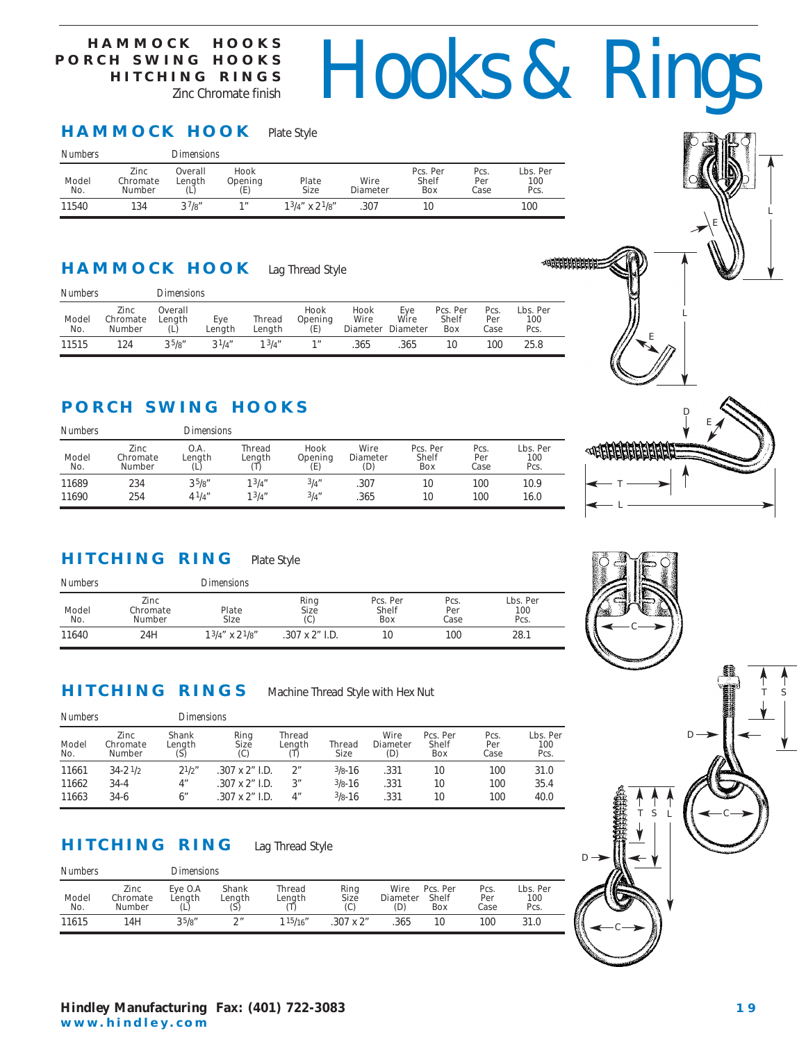<span id="page-18-0"></span>RAMMOCK HOOKS **HOOKS** Rings **PORCH SWING HOOKS HITCHING RINGS**

Zinc Chromate finish

# **HAMMOCK HOOK** Plate Style

| <b>Numbers</b>      |                                   | Dimensions               |                               |                      |                  |                                 |                     |                         |
|---------------------|-----------------------------------|--------------------------|-------------------------------|----------------------|------------------|---------------------------------|---------------------|-------------------------|
| <b>Model</b><br>No. | Zinc<br>Chromate<br><b>Number</b> | Overall<br>Length<br>(L) | Hook<br><b>Opening</b><br>(E) | Plate<br><b>Size</b> | Wire<br>Diameter | Pcs. Per<br><b>Shelf</b><br>Box | Pcs.<br>Per<br>Case | Lbs. Per<br>100<br>Pcs. |
| 11540               | 134                               | 37/g''                   | 1 <sub>II</sub>               | $13/4''$ x $21/8''$  | 307              | 10                              |                     | 100                     |

# **HAMMOCK HOOK** Lag Thread Style

| <b>Numbers</b>      |                                   | <i>Dimensions</i>        |               |                  |                        |              |                                  |                                 |                     |                         |  |
|---------------------|-----------------------------------|--------------------------|---------------|------------------|------------------------|--------------|----------------------------------|---------------------------------|---------------------|-------------------------|--|
| <b>Model</b><br>No. | Zinc<br>Chromate<br><b>Number</b> | Overall<br>Length<br>(L) | Eye<br>Lenath | Thread<br>Lenath | Hook<br>Opening<br>(E) | Hook<br>Wire | Eve<br>Wire<br>Diameter Diameter | Pcs. Per<br><b>Shelf</b><br>Box | Pcs.<br>Per<br>Case | Lbs. Per<br>100<br>Pcs. |  |
| 11515               | 124                               | 35/g''                   | $3^{1/4}$     | 13/a''           | 1 <sup>''</sup>        | 365          | .365                             | 10                              | 100                 | 25.8                    |  |

# **PORCH SWING HOOKS**

| <b>Numbers</b>      |                            | Dimensions            |                         |                               |                                |                                 |                     |                         |
|---------------------|----------------------------|-----------------------|-------------------------|-------------------------------|--------------------------------|---------------------------------|---------------------|-------------------------|
| <b>Model</b><br>No. | Zinc<br>Chromate<br>Number | 0.A.<br>Length<br>(L) | <b>Thread</b><br>Length | Hook<br><b>Opening</b><br>(E) | Wire<br><b>Diameter</b><br>(D) | Pcs. Per<br><b>Shelf</b><br>Box | Pcs.<br>Per<br>Case | Lbs. Per<br>100<br>Pcs. |
| 11689               | 234                        | 35/8"                 | 13/4''                  | 3/4''                         | .307                           | 10                              | 100                 | 10.9                    |
| 11690               | 254                        | $4^{1/4}$             | 13/4''                  | 3/4''                         | .365                           | 10                              | 100                 | 16.0                    |

# **HITCHING RING** Plate Style

| <b>Numbers</b>      |                                   | Dimensions          |                       |                                 |                     |                         |  |  |  |  |
|---------------------|-----------------------------------|---------------------|-----------------------|---------------------------------|---------------------|-------------------------|--|--|--|--|
| <b>Model</b><br>No. | Zinc<br>Chromate<br><b>Number</b> | Plate<br>Slze       | Ring<br>Size<br>(C)   | Pcs. Per<br><b>Shelf</b><br>Box | Pcs.<br>Per<br>Case | Lbs. Per<br>100<br>Pcs. |  |  |  |  |
| 11640               | 24H                               | $13/4''$ x $21/8''$ | $.307 \times 2"$ I.D. | 10                              | 100                 | 28.1                    |  |  |  |  |

# **HITCHING RINGS** Machine Thread Style with Hex Nut

| <b>Numbers</b>      |                                   | Dimensions             |                       |                         |                       |                                |                                 |                     |                         |
|---------------------|-----------------------------------|------------------------|-----------------------|-------------------------|-----------------------|--------------------------------|---------------------------------|---------------------|-------------------------|
| <b>Model</b><br>No. | Zinc<br>Chromate<br><b>Number</b> | <b>Shank</b><br>Lenath | Ring<br>Size<br>(C)   | <b>Thread</b><br>Length | <b>Thread</b><br>Size | Wire<br><b>Diameter</b><br>(D) | Pcs. Per<br><b>Shelf</b><br>Box | Pcs.<br>Per<br>Case | Lbs. Per<br>100<br>Pcs. |
| 11661               | $34 - 21/2$                       | $2^{1/2}$              | $.307 \times 2"$ I.D. | 2 <sup>n</sup>          | $3/8 - 16$            | .331                           | 10                              | 100                 | 31.0                    |
| 11662               | $34-4$                            | 4 <sup>''</sup>        | $.307 \times 2"$ I.D. | 3"                      | $3/8 - 16$            | .331                           | 10                              | 100                 | 35.4                    |
| 11663               | $34-6$                            | 6"                     | $.307 \times 2"$ I.D. | 4"                      | $3/8 - 16$            | .331                           | 10                              | 100                 | 40.0                    |

# **HITCHING RING** Lag Thread Style

| <b>Numbers</b>      |                                   | <b>Dimensions</b>        |                        |                         |                     |                         |                                 |                     |                         |
|---------------------|-----------------------------------|--------------------------|------------------------|-------------------------|---------------------|-------------------------|---------------------------------|---------------------|-------------------------|
| <b>Model</b><br>No. | Zinc<br>Chromate<br><b>Number</b> | Eve O.A<br>Lenath<br>(L) | Shank<br>Length<br>(S) | Thread<br>Length<br>(T) | Ring<br>Size<br>(C) | Wire<br>Diameter<br>(D) | Pcs. Per<br><b>Shelf</b><br>Box | Pcs.<br>Per<br>Case | Lbs. Per<br>100<br>Pcs. |
| 11615               | 14H                               | 35/g''                   | $\gamma$ "             | 115/16''                | $307 \times 2$ "    | 365                     |                                 | 100                 | 31.0                    |



D





平和时间的时间的

L

E

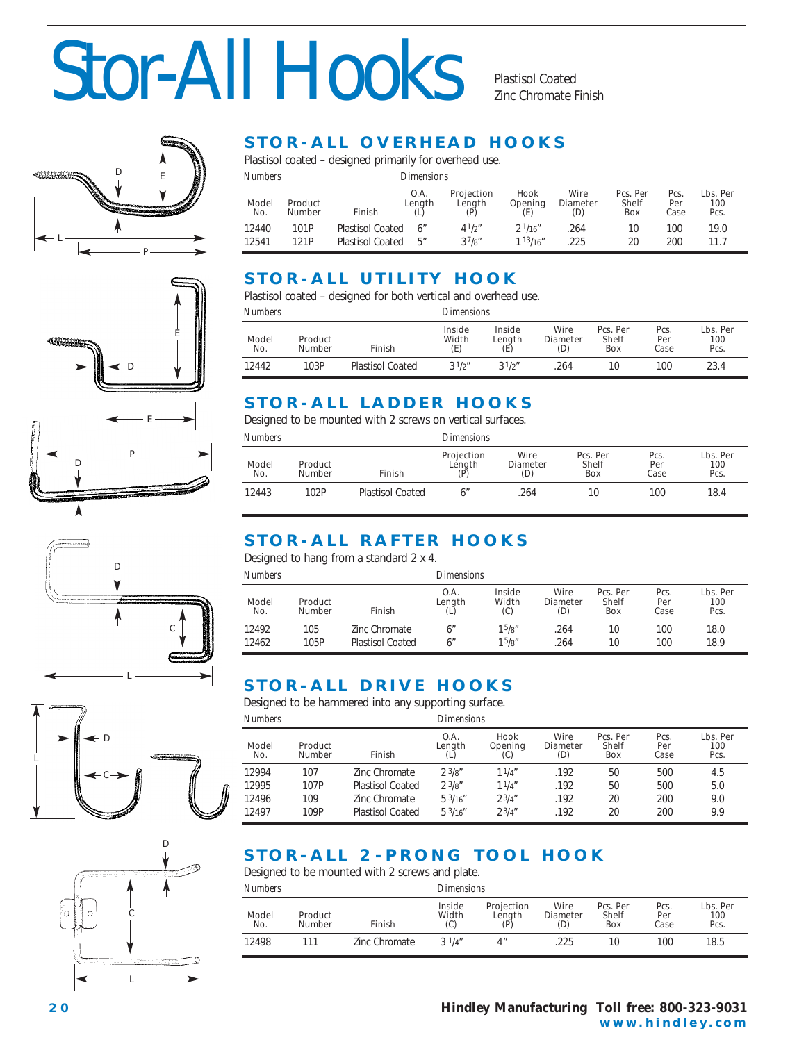# <span id="page-19-0"></span>Stor-All Hooks

Plastisol Coated Zinc Chromate Finish











# **STOR-ALL OVERHEAD HOOKS**

Plastisol coated – designed primarily for overhead use.

| <b>Numbers</b>      |                          |                         | Dimensions            |                             |                               |                         |                                 |                     |                         |  |
|---------------------|--------------------------|-------------------------|-----------------------|-----------------------------|-------------------------------|-------------------------|---------------------------------|---------------------|-------------------------|--|
| <b>Model</b><br>No. | Product<br><b>Number</b> | Finish                  | O.A.<br>Length<br>(L) | Projection<br>Length<br>(P) | Hook<br><b>Opening</b><br>(E) | Wire<br>Diameter<br>(D) | Pcs. Per<br><b>Shelf</b><br>Box | Pcs.<br>Per<br>Case | Lbs. Per<br>100<br>Pcs. |  |
| 12440               | 101P                     | <b>Plastisol Coated</b> | - 6″                  | $4^{1/2}$                   | $2^{\frac{1}{16}}$            | 264                     | 10                              | 100                 | 19.0                    |  |
| 12541               | 121P                     | <b>Plastisol Coated</b> | Б″                    | 37/s''                      | 113/16''                      | 225                     | 20                              | 200                 | 11.7                    |  |

# **STOR-ALL UTILITY HOOK**

Plastisol coated – designed for both vertical and overhead use.

| Numbers             |                          |                         |                        | Dimensions              |                         |                                 |                     |                         |  |  |  |
|---------------------|--------------------------|-------------------------|------------------------|-------------------------|-------------------------|---------------------------------|---------------------|-------------------------|--|--|--|
| <b>Model</b><br>No. | Product<br><b>Number</b> | Finish                  | Inside<br>Width<br>(E) | Inside<br>Length<br>(E) | Wire<br>Diameter<br>(D) | Pcs. Per<br><b>Shelf</b><br>Box | Pcs.<br>Per<br>Case | Lbs. Per<br>100<br>Pcs. |  |  |  |
| 12442               | 103P                     | <b>Plastisol Coated</b> | 31/2"                  | 31/2"                   | 264                     | 10                              | 100                 | 23.4                    |  |  |  |

# **STOR-ALL LADDER HOOKS**

Designed to be mounted with 2 screws on vertical surfaces.

| Numbers | <i>Dimensions</i> |
|---------|-------------------|
|---------|-------------------|

| <b>Model</b><br>No. | Product<br><b>Number</b> | Finish                  | Projection<br>Length<br>(P) | Wire<br><b>Diameter</b><br>(D) | Pcs. Per<br><b>Shelf</b><br>Box | Pcs.<br>Per<br>Case | Lbs. Per<br>100<br>Pcs. |
|---------------------|--------------------------|-------------------------|-----------------------------|--------------------------------|---------------------------------|---------------------|-------------------------|
| 12443               | 102P                     | <b>Plastisol Coated</b> |                             | .264                           | 10                              | 100                 | 18.4                    |

# **STOR-ALL RAFTER HOOKS**

Designed to hang from a standard 2 x 4.

| <b>Numbers</b>      |                          |                         | Dimensions                          |                        |                                |                                 |                     |                         |  |
|---------------------|--------------------------|-------------------------|-------------------------------------|------------------------|--------------------------------|---------------------------------|---------------------|-------------------------|--|
| <b>Model</b><br>No. | Product<br><b>Number</b> | Finish                  | O.A.<br>Length<br>$\left( L\right)$ | Inside<br>Width<br>(C) | Wire<br><b>Diameter</b><br>(D) | Pcs. Per<br><b>Shelf</b><br>Box | Pcs.<br>Per<br>Case | Lbs. Per<br>100<br>Pcs. |  |
| 12492               | 105                      | Zinc Chromate           |                                     | 15/g''                 | 264                            | 10                              | 100                 | 18.0                    |  |
| 12462               | 105P                     | <b>Plastisol Coated</b> |                                     | 15/g''                 | 264                            | 10                              | 100                 | 18.9                    |  |

# **STOR-ALL DRIVE HOOKS**

Designed to be hammered into any supporting surface.

| <b>Numbers</b> |                          |                         | Dimensions     |                               |                         |                                 |                     |                         |  |  |
|----------------|--------------------------|-------------------------|----------------|-------------------------------|-------------------------|---------------------------------|---------------------|-------------------------|--|--|
| Model<br>No.   | Product<br><b>Number</b> | <b>Finish</b>           | O.A.<br>Length | Hook<br><b>Opening</b><br>(C) | Wire<br>Diameter<br>(D) | Pcs. Per<br><b>Shelf</b><br>Box | Pcs.<br>Per<br>Case | Lbs. Per<br>100<br>Pcs. |  |  |
| 12994          | 107                      | Zinc Chromate           | 23/8"          | 11/4"                         | .192                    | 50                              | 500                 | 4.5                     |  |  |
| 12995          | 107P                     | <b>Plastisol Coated</b> | 23/g''         | 11/4"                         | .192                    | 50                              | 500                 | 5.0                     |  |  |
| 12496          | 109                      | Zinc Chromate           | 53/16''        | $2^{3/4''}$                   | .192                    | 20                              | 200                 | 9.0                     |  |  |
| 12497          | 109P                     | <b>Plastisol Coated</b> | 53/16''        | 23/4''                        | .192                    | 20                              | 200                 | 9.9                     |  |  |

# **STOR-ALL 2-PRONG TOOL HOOK**

Designed to be mounted with 2 screws and plate.

| Numbers             |                          |               | <b>Dimensions</b>             |                             |                                |                                 |                     |                         |  |  |
|---------------------|--------------------------|---------------|-------------------------------|-----------------------------|--------------------------------|---------------------------------|---------------------|-------------------------|--|--|
| <b>Model</b><br>No. | Product<br><b>Number</b> | Finish        | <b>Inside</b><br>Width<br>(C) | Projection<br>Length<br>(P) | Wire<br><b>Diameter</b><br>(D) | Pcs. Per<br><b>Shelf</b><br>Box | Pcs.<br>Per<br>Case | Lbs. Per<br>100<br>Pcs. |  |  |
| 12498               | 111                      | Zinc Chromate | $3 \frac{1}{4}$               | Δ″                          | 225                            | 10                              | 100                 | 18.5                    |  |  |

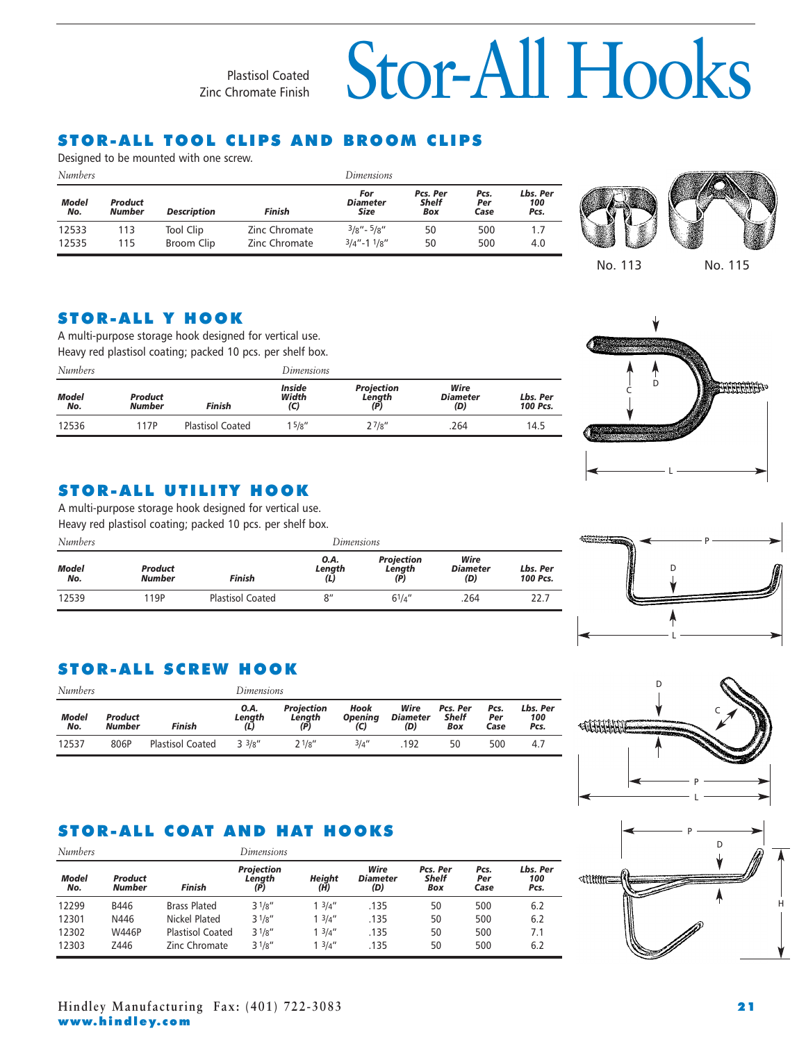Plastisol Coated Zinc Chromate Finish

# Stor-All Hooks

# <span id="page-20-0"></span>STOR-ALL TOOL CLIPS AND BROOM CLIPS

Designed to be mounted with one screw.

| <b>Numbers</b> |                   |                         |                                | Dimensions                           |                                 |                     |                         |  |  |  |
|----------------|-------------------|-------------------------|--------------------------------|--------------------------------------|---------------------------------|---------------------|-------------------------|--|--|--|
| Model<br>No.   | Product<br>Number | <b>Description</b>      | Finish                         | For<br><b>Diameter</b><br>Size       | Pcs. Per<br><b>Shelf</b><br>Box | Pcs.<br>Per<br>Case | Lbs. Per<br>100<br>Pcs. |  |  |  |
| 12533<br>12535 | 113<br>115        | Tool Clip<br>Broom Clip | Zinc Chromate<br>Zinc Chromate | $3/g'' - 5/g''$<br>$3/4$ "-1 $1/8$ " | 50<br>50                        | 500<br>500          | 4.0                     |  |  |  |

No. 113 No. 115

# STOR-ALL Y HOOK

A multi-purpose storage hook designed for vertical use.

Heavy red plastisol coating; packed 10 pcs. per shelf box.

| <b>Numbers</b> |                                 |                         | Dimensions                    |                                    |                                |                             |  |  |  |
|----------------|---------------------------------|-------------------------|-------------------------------|------------------------------------|--------------------------------|-----------------------------|--|--|--|
| Model<br>No.   | <b>Product</b><br><b>Number</b> | Finish                  | <b>Inside</b><br>Width<br>(C) | <b>Projection</b><br>Length<br>(P) | Wire<br><b>Diameter</b><br>(D) | Lbs. Per<br><b>100 Pcs.</b> |  |  |  |
| 12536          | 117P                            | <b>Plastisol Coated</b> | $1\frac{5}{8}$ "              | $2^{7}/8"$                         | .264                           | 14.5                        |  |  |  |



# STOR-ALL UTILITY HOOK

A multi-purpose storage hook designed for vertical use.

Heavy red plastisol coating; packed 10 pcs. per shelf box.

| <b>Numbers</b>      |                                 |                         | Dimensions            |                                    |                                |                      |  |  |
|---------------------|---------------------------------|-------------------------|-----------------------|------------------------------------|--------------------------------|----------------------|--|--|
| <b>Model</b><br>No. | <b>Product</b><br><b>Number</b> | Finish                  | 0.A.<br>Length<br>(L) | <b>Projection</b><br>Length<br>(P) | Wire<br><b>Diameter</b><br>(D) | Lbs. Per<br>100 Pcs. |  |  |
| 12539               | 119P                            | <b>Plastisol Coated</b> | 8''                   | $6^{1}/4''$                        | .264                           | 22.7                 |  |  |

| <b>Numbers</b>      |                          |                  |                       | Dimensions                         |                               |                                |                                        |                     |                         |  |  |
|---------------------|--------------------------|------------------|-----------------------|------------------------------------|-------------------------------|--------------------------------|----------------------------------------|---------------------|-------------------------|--|--|
| <b>Model</b><br>No. | <b>Product</b><br>Number | Finish           | 0.A.<br>Length<br>(L) | <b>Projection</b><br>Length<br>(P) | Hook<br><b>Opening</b><br>(C) | Wire<br><b>Diameter</b><br>(D) | Pcs. Per<br><b>Shelf</b><br><b>Box</b> | Pcs.<br>Per<br>Case | Lbs. Per<br>100<br>Pcs. |  |  |
| 12537               | 806P                     | Plastisol Coated | $3^{3}/8''$           | 71/g''                             | 3/4''                         | .192                           | 50                                     | 500                 | 4.7                     |  |  |

# STOR-ALL SCREW HOOK

# STOR-ALL COAT AND HAT HOOKS

| <b>Numbers</b>      |                          |                         | Dimensions                         |                      |                                |                                 |                     |                         |
|---------------------|--------------------------|-------------------------|------------------------------------|----------------------|--------------------------------|---------------------------------|---------------------|-------------------------|
| <b>Model</b><br>No. | Product<br><b>Number</b> | Finish                  | <b>Projection</b><br>Length<br>(P) | <b>Height</b><br>(H) | Wire<br><b>Diameter</b><br>(D) | Pcs. Per<br><b>Shelf</b><br>Box | Pcs.<br>Per<br>Case | Lbs. Per<br>100<br>Pcs. |
| 12299               | B446                     | <b>Brass Plated</b>     | $3^{1/8}$ "                        | $1 \frac{3}{4}$ "    | .135                           | 50                              | 500                 | 6.2                     |
| 12301               | N446                     | Nickel Plated           | $3^{1/8}$ "                        | $1 \frac{3}{4}$ "    | .135                           | 50                              | 500                 | 6.2                     |
| 12302               | <b>W446P</b>             | <b>Plastisol Coated</b> | 31/8"                              | $1 \frac{3}{4}$ "    | .135                           | 50                              | 500                 | 7.1                     |
| 12303               | Z446                     | Zinc Chromate           | $3^{1/8}$ "                        | $1 \frac{3}{4}$ "    | .135                           | 50                              | 500                 | 6.2                     |





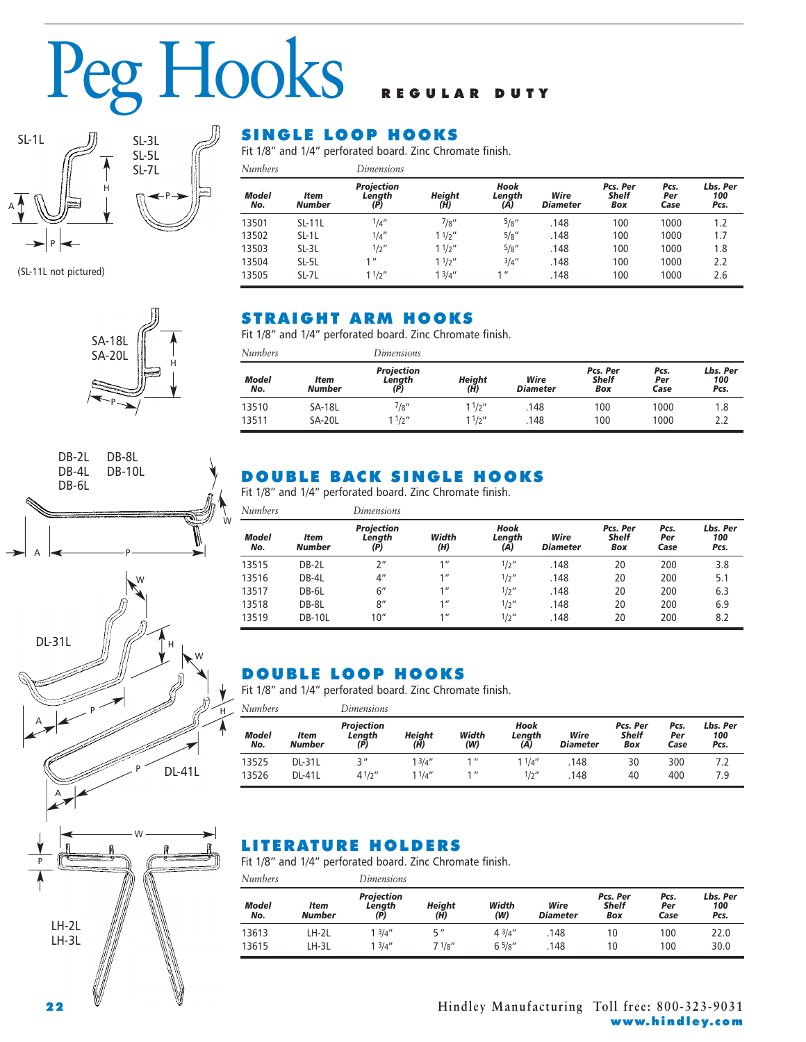<span id="page-21-0"></span>Peg Hooks



(SL-11L not pictured)





# SINGLE LOOP HOOKS

Fit 1/8" and 1/4" perforated board. Zinc Chromate finish.

| <b>Numbers</b>      |                | Dimensions                         |                      |                       |                         |                                 |                     |                         |
|---------------------|----------------|------------------------------------|----------------------|-----------------------|-------------------------|---------------------------------|---------------------|-------------------------|
| <b>Model</b><br>No. | Item<br>Number | <b>Projection</b><br>Length<br>(P) | <b>Height</b><br>(H) | Hook<br>Length<br>(A) | Wire<br><b>Diameter</b> | Pcs. Per<br><b>Shelf</b><br>Box | Pcs.<br>Per<br>Case | Lbs. Per<br>100<br>Pcs. |
| 13501               | $SL-11L$       | 1/4''                              | 7/8''                | 5/8"                  | .148                    | 100                             | 1000                | 1.2                     |
| 13502               | $SL-1L$        | 1/4''                              | 11/2"                | 5/8''                 | .148                    | 100                             | 1000                | 1.7                     |
| 13503               | SL-3L          | 1/2"                               | 11/2"                | 5/8''                 | .148                    | 100                             | 1000                | 1.8                     |
| 13504               | SL-5L          | 1 <sup>II</sup>                    | 11/2"                | 3/4''                 | .148                    | 100                             | 1000                | 2.2                     |
| 13505               | SL-7L          | 11/2"                              | 1 <sup>3</sup> /4''  | $^{\prime\prime}$     | .148                    | 100                             | 1000                | 2.6                     |

REGULAR DUTY

# STRAIGHT ARM HOOKS

Fit 1/8" and 1/4" perforated board. Zinc Chromate finish.

| Numbers             |                       | Dimensions                         |                      |                         |                                 |                     |                         |  |  |
|---------------------|-----------------------|------------------------------------|----------------------|-------------------------|---------------------------------|---------------------|-------------------------|--|--|
| <b>Model</b><br>No. | Item<br><b>Number</b> | <b>Projection</b><br>Length<br>(P) | <b>Height</b><br>(H) | Wire<br><b>Diameter</b> | Pcs. Per<br><b>Shelf</b><br>Box | Pcs.<br>Per<br>Case | Lbs. Per<br>100<br>Pcs. |  |  |
| 13510               | <b>SA-18L</b>         | 7/8''                              | 11/2"                | 148                     | 100                             | 1000                | 1.8                     |  |  |
| 13511               | <b>SA-20L</b>         | 11/2"                              | 11/2"                | 148                     | 100                             | 1000                |                         |  |  |

# DOUBLE BACK SINGLE HOOKS

Fit 1/8" and 1/4" perforated board. Zinc Chromate finish.

| <b>Numbers</b> |                       | Dimensions                         |                 |                       |                         |                                 |                     |                         |
|----------------|-----------------------|------------------------------------|-----------------|-----------------------|-------------------------|---------------------------------|---------------------|-------------------------|
| Model<br>No.   | Item<br><b>Number</b> | <b>Projection</b><br>Length<br>(P) | Width<br>(H)    | Hook<br>Length<br>(A) | Wire<br><b>Diameter</b> | Pcs. Per<br><b>Shelf</b><br>Box | Pcs.<br>Per<br>Case | Lbs. Per<br>100<br>Pcs. |
| 13515          | DB-2L                 | 7''                                | 1 <sup>II</sup> | 1/2"                  | .148                    | 20                              | 200                 | 3.8                     |
| 13516          | DB-4L                 | $4^{\prime\prime}$                 | 1 <sup>II</sup> | 1/2''                 | .148                    | 20                              | 200                 | 5.1                     |
| 13517          | DB-6L                 | 6"                                 | 1 <sup>II</sup> | 1/2''                 | .148                    | 20                              | 200                 | 6.3                     |
| 13518          | DB-8L                 | 8"                                 | 1 <sup>II</sup> | 1/2"                  | .148                    | 20                              | 200                 | 6.9                     |
| 13519          | <b>DB-10L</b>         | 10''                               | 1 <sup>II</sup> | 1/2''                 | .148                    | 20                              | 200                 | 8.2                     |

# DOUBLE LOOP HOOKS

Fit 1/8" and 1/4" perforated board. Zinc Chromate finish.

| Numbers             |                | Dimensions                         |                      |              |                       |                         |                                 |                     |                         |
|---------------------|----------------|------------------------------------|----------------------|--------------|-----------------------|-------------------------|---------------------------------|---------------------|-------------------------|
| <b>Model</b><br>No. | Item<br>Number | <b>Projection</b><br>Length<br>(P) | <b>Height</b><br>(H) | Width<br>(W) | Hook<br>Length<br>(A) | Wire<br><b>Diameter</b> | Pcs. Per<br><b>Shelf</b><br>Box | Pcs.<br>Per<br>Case | Lbs. Per<br>100<br>Pcs. |
| 13525               | <b>DL-31L</b>  | 2 <sup>''</sup>                    | 13/4''               | 1 11         | 1 1/4"                | .148                    | 30                              | 300                 | 7.2                     |
| 13526               | <b>DL-41L</b>  | $4^{1/2}$                          | 11/4"                | 11           | 1/2''                 | .148                    | 40                              | 400                 | 7.9                     |

# LITERATURE HOLDERS

Fit 1/8" and 1/4" perforated board. Zinc Chromate finish.

| Numbers      |                | Dimensions                         |               |                  |                         |                                 |                     |                         |  |  |  |
|--------------|----------------|------------------------------------|---------------|------------------|-------------------------|---------------------------------|---------------------|-------------------------|--|--|--|
| Model<br>No. | Item<br>Number | <b>Projection</b><br>Length<br>(P) | Height<br>(H) | Width<br>(W)     | Wire<br><b>Diameter</b> | Pcs. Per<br><b>Shelf</b><br>Box | Pcs.<br>Per<br>Case | Lbs. Per<br>100<br>Pcs. |  |  |  |
| 13613        | LH-2L          | 13/4''                             | 5 "           | $4\frac{3}{4}$   | .148                    | 10                              | 100                 | 22.0                    |  |  |  |
| 13615        | LH-3L          | 13/4''                             | 71/g''        | $6\frac{5}{8}$ " | 148                     | 10                              | 100                 | 30.0                    |  |  |  |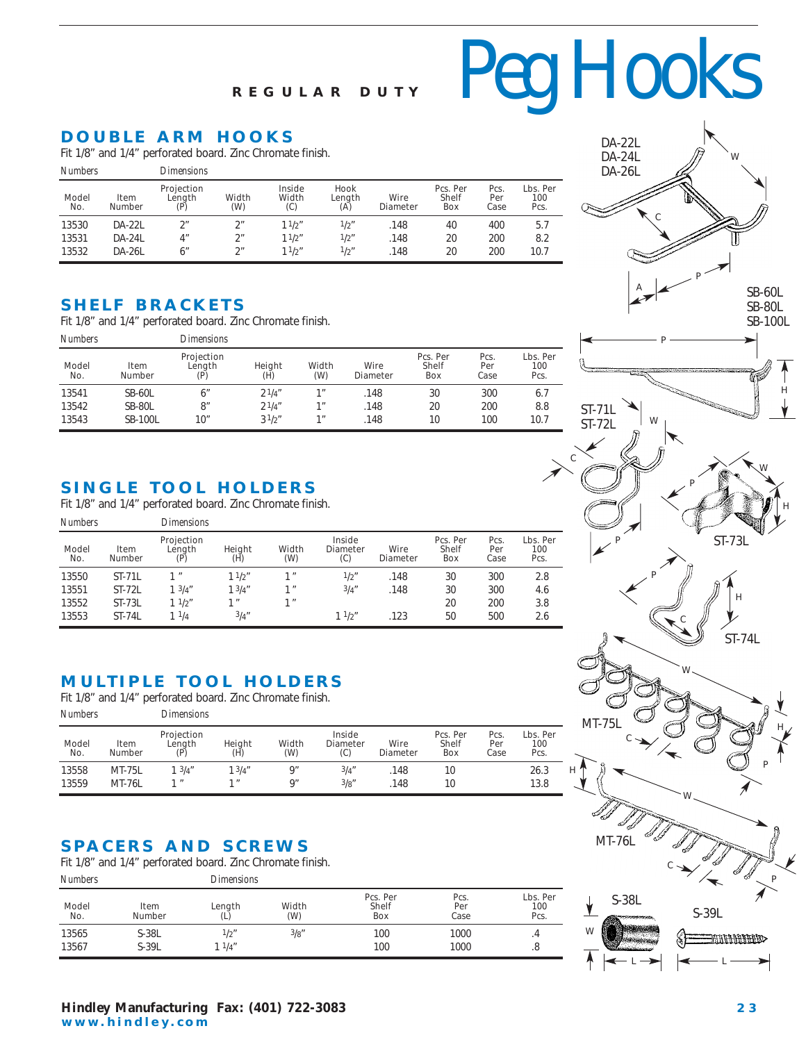# REGULAR DUTY Peg Hooks

# **DOUBLE ARM HOOKS**

Fit 1/8" and 1/4" perforated board. Zinc Chromate finish.

| <b>Numbers</b>      |                       | Dimensions                  |              |                        |                       |                  |                                 |                     |                         |
|---------------------|-----------------------|-----------------------------|--------------|------------------------|-----------------------|------------------|---------------------------------|---------------------|-------------------------|
| <b>Model</b><br>No. | Item<br><b>Number</b> | Projection<br>Lenath<br>(P) | Width<br>(W) | Inside<br>Width<br>(C) | Hook<br>Lenath<br>(Ā) | Wire<br>Diameter | Pcs. Per<br><b>Shelf</b><br>Box | Pcs.<br>Per<br>Case | Lbs. Per<br>100<br>Pcs. |
| 13530               | <b>DA-22L</b>         | 2 <sup>''</sup>             |              | 11/2"                  | 1/2''                 | 148              | 40                              | 400                 | 5.7                     |
| 13531               | DA-24L                | 4"                          | 2''          | 11/2"                  | 1/2''                 | 148              | 20                              | 200                 | 8.2                     |
| 13532               | <b>DA-26L</b>         | 6"                          | 2''          | 11/2"                  | 1/2"                  | 148              | 20                              | 200                 | 10.7                    |

### **SHELF BRACKETS**

Fit 1/8" and 1/4" perforated board. Zinc Chromate finish.

| <b>Numbers</b>      |                       | Dimensions                  |               |                 |                         |                                 |                     |                         |
|---------------------|-----------------------|-----------------------------|---------------|-----------------|-------------------------|---------------------------------|---------------------|-------------------------|
| <b>Model</b><br>No. | Item<br><b>Number</b> | Projection<br>Length<br>(P) | Height<br>(H) | Width<br>(W)    | Wire<br><b>Diameter</b> | Pcs. Per<br><b>Shelf</b><br>Box | Pcs.<br>Per<br>Case | Lbs. Per<br>100<br>Pcs. |
| 13541               | <b>SB-60L</b>         | 6"                          | 21/4"         | 1 <sup>11</sup> | .148                    | 30                              | 300                 | 6.7                     |
| 13542               | <b>SB-80L</b>         | 8"                          | 21/4"         | 1 <sup>''</sup> | .148                    | 20                              | 200                 | 8.8                     |
| 13543               | <b>SB-100L</b>        | 10"                         | 31/2"         | 1 <sup>11</sup> | .148                    | 10                              | 100                 | 10.7                    |

# **SINGLE TOOL HOLDERS**

Fit 1/8" and 1/4" perforated board. Zinc Chromate finish.

| <b>Numbers</b>      |                       | Dimensions                  |                 |                 |                                         |                         |                                 |                     |                         |
|---------------------|-----------------------|-----------------------------|-----------------|-----------------|-----------------------------------------|-------------------------|---------------------------------|---------------------|-------------------------|
| <b>Model</b><br>No. | Item<br><b>Number</b> | Projection<br>Length<br>(P) | Height<br>(H)   | Width<br>(W)    | <b>Inside</b><br><b>Diameter</b><br>(C) | Wire<br><b>Diameter</b> | Pcs. Per<br><b>Shelf</b><br>Box | Pcs.<br>Per<br>Case | Lbs. Per<br>100<br>Pcs. |
| 13550               | ST-71L                | 1 <sup>''</sup>             | 11/2"           | 1 <sup>''</sup> | 1/2"                                    | .148                    | 30                              | 300                 | 2.8                     |
| 13551               | ST-72L                | $1 \frac{3}{4}$             | 13/4''          | 1 <sup>''</sup> | 3/4''                                   | .148                    | 30                              | 300                 | 4.6                     |
| 13552               | $ST-73L$              | $1 \frac{1}{2}$             | 1 <sup>''</sup> | 1 <sup>''</sup> |                                         |                         | 20                              | 200                 | 3.8                     |
| 13553               | ST-74L                | 11/4                        | 3/4''           |                 | 11/2"                                   | .123                    | 50                              | 500                 | 2.6                     |

# **MULTIPLE TOOL HOLDERS**

Fit 1/8" and 1/4" perforated board. Zinc Chromate finish.

| <b>Numbers</b>      |                       | Jimensions                  |               |              |                                         |                         |                                 |                     |                         |   |
|---------------------|-----------------------|-----------------------------|---------------|--------------|-----------------------------------------|-------------------------|---------------------------------|---------------------|-------------------------|---|
| <b>Model</b><br>No. | Item<br><b>Number</b> | Projection<br>Length<br>(P) | Height<br>(H) | Width<br>(W) | <b>Inside</b><br><b>Diameter</b><br>(C) | Wire<br><b>Diameter</b> | Pcs. Per<br><b>Shelf</b><br>Box | Pcs.<br>Per<br>Case | Lbs. Per<br>100<br>Pcs. |   |
| 13558               | <b>MT-75L</b>         | $1 \frac{3}{4}$             | 13/4''        | Q''          | 3/4''                                   | 148                     | 10                              |                     | 26.3                    | Н |
| 13559               | MT-76L                | 1 1                         | 1 11          | Q''          | 3/g''                                   | 148                     | 10                              |                     | 13.8                    |   |

# **SPACERS AND SCREWS**

Fit 1/8" and 1/4" perforated board. Zinc Chromate finish.

| <b>Numbers</b>      |                              | Dimensions    |              |                                 |                     |                         |
|---------------------|------------------------------|---------------|--------------|---------------------------------|---------------------|-------------------------|
| <b>Model</b><br>No. | <b>Item</b><br><b>Number</b> | Length<br>(L) | Width<br>(W) | Pcs. Per<br><b>Shelf</b><br>Box | Pcs.<br>Per<br>Case | Lbs. Per<br>100<br>Pcs. |
| 13565               | $S-38L$                      | 1/2''         | 3/g''        | 100                             | 1000                | .4                      |
| 13567               | $S-39L$                      | 11/4"         |              | 100                             | 1000                | .8                      |

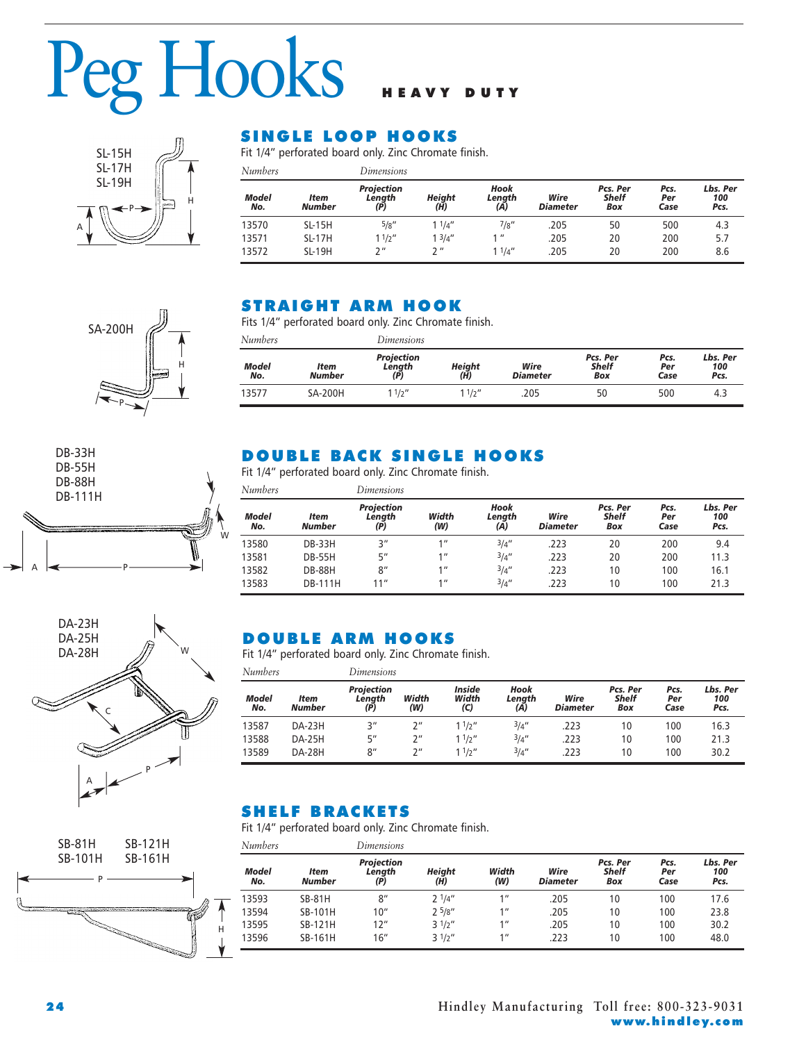# <span id="page-23-0"></span>Peg Hooks HEAVY DUTY



# SINGLE LOOP HOOKS

STRAIGHT ARM HOOK Fits 1/4" perforated board only. Zinc Chromate finish.

*Numbers Dimensions*

Fit 1/4" perforated board only. Zinc Chromate finish.

| <b>Numbers</b> |                       | Dimensions                         |               |                       |                         |                                 |                     |                         |
|----------------|-----------------------|------------------------------------|---------------|-----------------------|-------------------------|---------------------------------|---------------------|-------------------------|
| Model<br>No.   | ltem<br><b>Number</b> | <b>Projection</b><br>Length<br>(P) | Height<br>(H) | Hook<br>Length<br>(A) | Wire<br><b>Diameter</b> | Pcs. Per<br><b>Shelf</b><br>Box | Pcs.<br>Per<br>Case | Lbs. Per<br>100<br>Pcs. |
| 13570          | $SL-15H$              | 5/8''                              | 11/4"         | $^{7}/8"$             | .205                    | 50                              | 500                 | 4.3                     |
| 13571          | $SL-17H$              | 11/2"                              | 13/4''        | 1 <sup>II</sup>       | .205                    | 20                              | 200                 | 5.7                     |
| 13572          | $SL-19H$              | יי ר                               | יי ר          | 11/4"                 | .205                    | 20                              | 200                 | 8.6                     |





# DOUBLE BACK SINGLE HOOKS

Fit 1/4" perforated board only. Zinc Chromate finish.

*Numbers Dimensions*

| $1$ V $\mu$ $\mu$ $\mu$ $\sigma$ $\mu$ $\sigma$ |                       | ринскопиз                          |              |                       |                         |                          |                     |                         |
|-------------------------------------------------|-----------------------|------------------------------------|--------------|-----------------------|-------------------------|--------------------------|---------------------|-------------------------|
| Model<br>No.                                    | Item<br><b>Number</b> | <b>Projection</b><br>Length<br>(P) | Width<br>(W) | Hook<br>Length<br>(A) | Wire<br><b>Diameter</b> | Pcs. Per<br>Shelf<br>Box | Pcs.<br>Per<br>Case | Lbs. Per<br>100<br>Pcs. |
| 13580                                           | <b>DB-33H</b>         | ς"                                 | 111          | 3/4''                 | .223                    | 20                       | 200                 | 9.4                     |
| 13581                                           | <b>DB-55H</b>         | 5"                                 | 111          | 3/4''                 | .223                    | 20                       | 200                 | 11.3                    |
| 13582                                           | <b>DB-88H</b>         | 8"                                 | 111          | 3/4''                 | .223                    | 10                       | 100                 | 16.1                    |
| 13583                                           | <b>DB-111H</b>        | 11"                                | 111          | 3/4''                 | .223                    | 10                       | 100                 | 21.3                    |
|                                                 |                       |                                    |              |                       |                         |                          |                     |                         |

13577 SA-200H 11/2" 1 1/2" .205 50 500 4.3

*Model Item Length Height Wire Shelf Per 100 No. Number (P) (H) Diameter Box Case Pcs.*

Projection<br> *Projection Height Wire Pcs. Per Pcs. Lbs. Per*<br> *(P) (H)* Diameter Box Case Pcs.

# W P A C DA-23H DA-25H DA-28H

SB-81H SB-121H SB-101H SB-161H

P

 $\overline{C}$ 

# DOUBLE ARM HOOKS

Fit 1/4" perforated board only. Zinc Chromate finish.

*Numbers Dimensions*

| 2 <i>.</i> .        |                       | $\overline{\phantom{a}}$           |              |                        |                       |                         |                                 |                     |                         |
|---------------------|-----------------------|------------------------------------|--------------|------------------------|-----------------------|-------------------------|---------------------------------|---------------------|-------------------------|
| <b>Model</b><br>No. | ltem<br><b>Number</b> | <b>Projection</b><br>Length<br>(P) | Width<br>(W) | Inside<br>Width<br>(C) | Hook<br>Lenath<br>(A) | Wire<br><b>Diameter</b> | Pcs. Per<br><b>Shelf</b><br>Box | Pcs.<br>Per<br>Case | Lbs. Per<br>100<br>Pcs. |
| 13587               | <b>DA-23H</b>         | 3"                                 | 7''          | 11/2"                  | 3/4''                 | .223                    | 10                              | 100                 | 16.3                    |
| 13588               | <b>DA-25H</b>         | 5"                                 | 7''          | 11/2"                  | 3/4''                 | .223                    | 10                              | 100                 | 21.3                    |
| 13589               | <b>DA-28H</b>         | 8''                                | 7''          | 11/2"                  | 3/4''                 | .223                    | 10                              | 100                 | 30.2                    |

# SHELF BRACKETS

Fit 1/4" perforated board only. Zinc Chromate finish.

|--|

| Model<br>No. | Item<br><b>Number</b> | <b>Projection</b><br>Length<br>(P) | <b>Height</b><br>(H) | Width<br>(W)    | Wire<br><b>Diameter</b> | Pcs. Per<br><b>Shelf</b><br>Box | Pcs.<br>Per<br>Case | Lbs. Per<br>100<br>Pcs. |
|--------------|-----------------------|------------------------------------|----------------------|-----------------|-------------------------|---------------------------------|---------------------|-------------------------|
| 13593        | $SB-81H$              | 8''                                | $2^{1/4}$            | 1 <sup>II</sup> | .205                    | 10                              | 100                 | 17.6                    |
| 13594        | SB-101H               | 10''                               | 25/8"                | 1 <sup>II</sup> | .205                    | 10                              | 100                 | 23.8                    |
| 13595        | SB-121H               | 12"                                | 31/2"                | 1 <sup>II</sup> | .205                    | 10                              | 100                 | 30.2                    |
| 13596        | SB-161H               | 16"                                | $3^{1/2}$ "          | 1 <sup>II</sup> | .223                    | 10                              | 100                 | 48.0                    |



H

### 2 4 **Hindley Manufacturing Toll free: 800-323-9031** www.hindley.com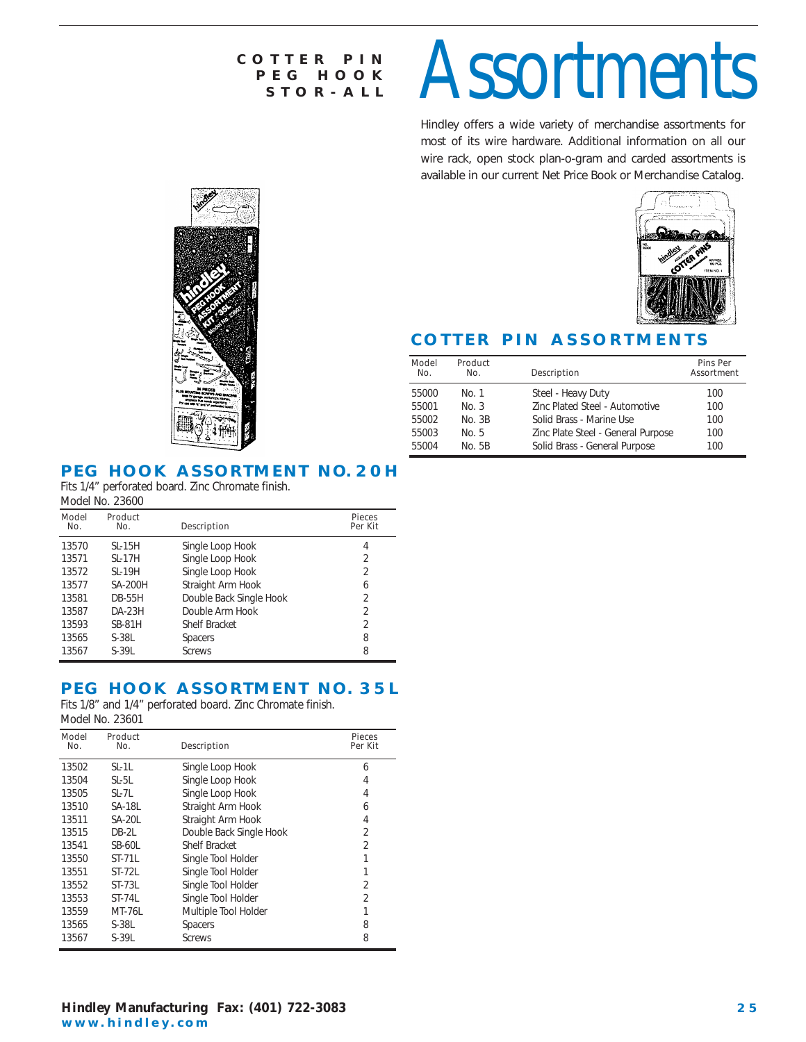# **PEG HOOK STOR-ALL**

# <span id="page-24-0"></span>**COTTER PIN** Assortments

Hindley offers a wide variety of merchandise assortments for most of its wire hardware. Additional information on all our wire rack, open stock plan-o-gram and carded assortments is available in our current Net Price Book or Merchandise Catalog.



# **COTTER PIN ASSORTMENTS**

| <b>Model</b><br>No. | Product<br>No. | <b>Description</b>                 | <b>Pins Per</b><br>Assortment |
|---------------------|----------------|------------------------------------|-------------------------------|
| 55000               | No. 1          | Steel - Heavy Duty                 | 100                           |
| 55001               | No. 3          | Zinc Plated Steel - Automotive     | 100                           |
| 55002               | No. 3B         | Solid Brass - Marine Use           | 100                           |
| 55003               | No. 5          | Zinc Plate Steel - General Purpose | 100                           |
| 55004               | No. 5B         | Solid Brass - General Purpose      | 100                           |
|                     |                |                                    |                               |

# **PEG HOOK ASSORTMENT NO. 20H**

Fits 1/4" perforated board. Zinc Chromate finish. Model No. 23600

| <b>Model</b><br>No. | Product<br>No. | <b>Description</b>      | <b>Pieces</b><br>Per Kit |
|---------------------|----------------|-------------------------|--------------------------|
| 13570               | $SL-15H$       | Single Loop Hook        | 4                        |
| 13571               | <b>SL-17H</b>  | Single Loop Hook        | 2                        |
| 13572               | <b>SL-19H</b>  | Single Loop Hook        | 2                        |
| 13577               | <b>SA-200H</b> | Straight Arm Hook       | 6                        |
| 13581               | <b>DB-55H</b>  | Double Back Single Hook | 2                        |
| 13587               | DA-23H         | Double Arm Hook         | 2                        |
| 13593               | <b>SB-81H</b>  | Shelf Bracket           | 2                        |
| 13565               | $S-38L$        | <b>Spacers</b>          | 8                        |
| 13567               | $S-39L$        | <b>Screws</b>           | 8                        |

# **PEG HOOK ASSORTMENT NO. 35L**

Fits 1/8" and 1/4" perforated board. Zinc Chromate finish. Model No. 23601

| <b>Model</b><br>No. | Product<br>No. | <b>Description</b>      | <b>Pieces</b><br>Per Kit |
|---------------------|----------------|-------------------------|--------------------------|
| 13502               | $SL-1L$        | Single Loop Hook        | 6                        |
| 13504               | SL-5L          | Single Loop Hook        | 4                        |
| 13505               | SL-7L          | Single Loop Hook        | 4                        |
| 13510               | <b>SA-18L</b>  | Straight Arm Hook       | 6                        |
| 13511               | <b>SA-20L</b>  | Straight Arm Hook       | 4                        |
| 13515               | DB-2L          | Double Back Single Hook | $\overline{2}$           |
| 13541               | SB-60L         | Shelf Bracket           | $\overline{2}$           |
| 13550               | ST-71L         | Single Tool Holder      | 1                        |
| 13551               | ST-72L         | Single Tool Holder      |                          |
| 13552               | $ST-73L$       | Single Tool Holder      | $\overline{2}$           |
| 13553               | ST-74L         | Single Tool Holder      | $\overline{2}$           |
| 13559               | MT-76L         | Multiple Tool Holder    |                          |
| 13565               | $S-38L$        | <b>Spacers</b>          | 8                        |
| 13567               | S-39L          | <b>Screws</b>           | 8                        |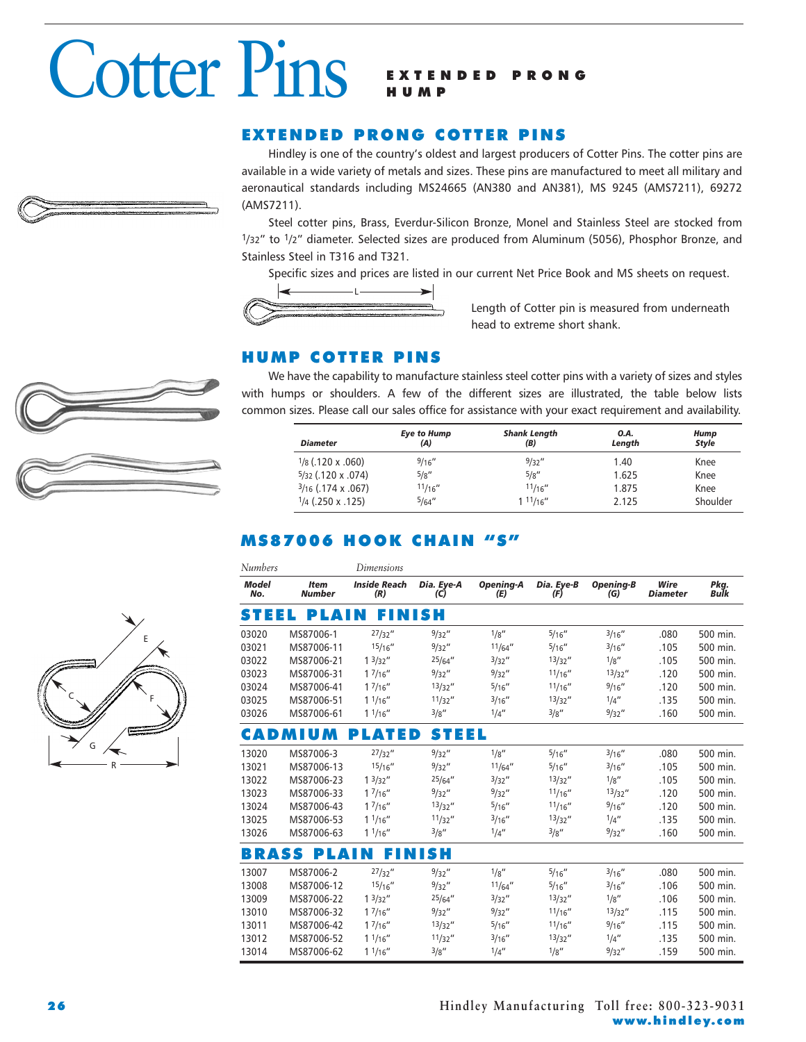# <span id="page-25-0"></span>Cotter Pins

# HUMP

# EXTENDED PRONG COTTER PINS

Hindley is one of the country's oldest and largest producers of Cotter Pins. The cotter pins are available in a wide variety of metals and sizes. These pins are manufactured to meet all military and aeronautical standards including MS24665 (AN380 and AN381), MS 9245 (AMS7211), 69272 (AMS7211).

Steel cotter pins, Brass, Everdur-Silicon Bronze, Monel and Stainless Steel are stocked from 1/32" to 1/2" diameter. Selected sizes are produced from Aluminum (5056), Phosphor Bronze, and Stainless Steel in T316 and T321.

Specific sizes and prices are listed in our current Net Price Book and MS sheets on request.



Length of Cotter pin is measured from underneath head to extreme short shank.

# HUMP COTTER PINS

We have the capability to manufacture stainless steel cotter pins with a variety of sizes and styles with humps or shoulders. A few of the different sizes are illustrated, the table below lists common sizes. Please call our sales office for assistance with your exact requirement and availability.

| <b>Diameter</b>      | Eye to Hump<br>(A) | <b>Shank Length</b><br>(B) | 0.A.<br>Length | Hump<br>Style |
|----------------------|--------------------|----------------------------|----------------|---------------|
| $1/8$ (.120 x .060)  | 9/16''             | 9/32''                     | 1.40           | Knee          |
| $5/32$ (.120 x .074) | 5/8''              | 5/g''                      | 1.625          | Knee          |
| $3/16$ (.174 x .067) | 11/16"             | 11/16''                    | 1.875          | Knee          |
| $1/4$ (.250 x .125)  | 5/64''             | 111/16''                   | 2.125          | Shoulder      |

# MS87006 HOOK CHAIN "S"

| Numbers             |                              | Dimensions                 |                   |                         |                   |                         |                         |              |
|---------------------|------------------------------|----------------------------|-------------------|-------------------------|-------------------|-------------------------|-------------------------|--------------|
| <b>Model</b><br>No. | <b>Item</b><br><b>Number</b> | <b>Inside Reach</b><br>(R) | Dia. Eye-A<br>(C) | <b>Opening-A</b><br>(E) | Dia. Eye-B<br>(F) | <b>Opening-B</b><br>(G) | Wire<br><b>Diameter</b> | Pkg.<br>Bulk |
| STEEL               | PLAIN                        | <b>FINISH</b>              |                   |                         |                   |                         |                         |              |
| 03020               | MS87006-1                    | 27/32''                    | 9/32''            | 1/8''                   | 5/16''            | 3/16''                  | .080                    | 500 min.     |
| 03021               | MS87006-11                   | 15/16''                    | 9/32''            | 11/64''                 | 5/16''            | 3/16''                  | .105                    | 500 min.     |
| 03022               | MS87006-21                   | 13/32''                    | 25/64''           | 3/32''                  | 13/32''           | 1/8''                   | .105                    | 500 min.     |
| 03023               | MS87006-31                   | 17/16''                    | 9/32''            | 9/32''                  | 11/16''           | 13/32''                 | .120                    | 500 min.     |
| 03024               | MS87006-41                   | 17/16''                    | 13/32''           | 5/16''                  | 11/16''           | 9/16''                  | .120                    | 500 min.     |
| 03025               | MS87006-51                   | 11/16''                    | 11/32''           | 3/16''                  | 13/32''           | 1/4''                   | .135                    | 500 min.     |
| 03026               | MS87006-61                   | 11/16''                    | 3/8''             | 1/4''                   | 3/8"              | 9/32''                  | .160                    | 500 min.     |
|                     | CADMIUM                      | PLATED                     | STEEL             |                         |                   |                         |                         |              |
| 13020               | MS87006-3                    | 27/32''                    | 9/32''            | 1/8''                   | 5/16''            | 3/16''                  | .080                    | 500 min.     |
| 13021               | MS87006-13                   | 15/16''                    | 9/32''            | 11/64''                 | 5/16''            | 3/16''                  | .105                    | 500 min.     |
| 13022               | MS87006-23                   | 13/32''                    | 25/64''           | 3/32''                  | 13/32''           | 1/8''                   | .105                    | 500 min.     |
| 13023               | MS87006-33                   | 17/16''                    | 9/32''            | 9/32''                  | 11/16''           | 13/32''                 | .120                    | 500 min.     |
| 13024               | MS87006-43                   | 17/16''                    | 13/32''           | 5/16''                  | 11/16''           | 9/16''                  | .120                    | 500 min.     |
| 13025               | MS87006-53                   | 11/16''                    | 11/32''           | 3/16''                  | 13/32''           | 1/4''                   | .135                    | 500 min.     |
| 13026               | MS87006-63                   | 11/16''                    | 3/8''             | 1/4''                   | 3/8''             | 9/32''                  | .160                    | 500 min.     |
| BRASS               |                              | <b>PLAIN FINISH</b>        |                   |                         |                   |                         |                         |              |
| 13007               | MS87006-2                    | 27/32''                    | 9/32''            | 1/8''                   | 5/16''            | 3/16''                  | .080                    | 500 min.     |
| 13008               | MS87006-12                   | 15/16''                    | 9/32''            | 11/64''                 | 5/16''            | 3/16''                  | .106                    | 500 min.     |
| 13009               | MS87006-22                   | 13/32''                    | 25/64''           | 3/32''                  | 13/32''           | 1/8''                   | .106                    | 500 min.     |
| 13010               | MS87006-32                   | 17/16''                    | 9/32''            | 9/32''                  | 11/16''           | 13/32''                 | .115                    | 500 min.     |
| 13011               | MS87006-42                   | 17/16''                    | 13/32''           | 5/16''                  | 11/16''           | 9/16''                  | .115                    | 500 min.     |
| 13012               | MS87006-52                   | 11/16"                     | 11/32''           | 3/16''                  | 13/32''           | 1/4''                   | .135                    | 500 min.     |
| 13014               | MS87006-62                   | 11/16''                    | 3/8''             | 1/4''                   | 1/8''             | 9/32''                  | .159                    | 500 min.     |



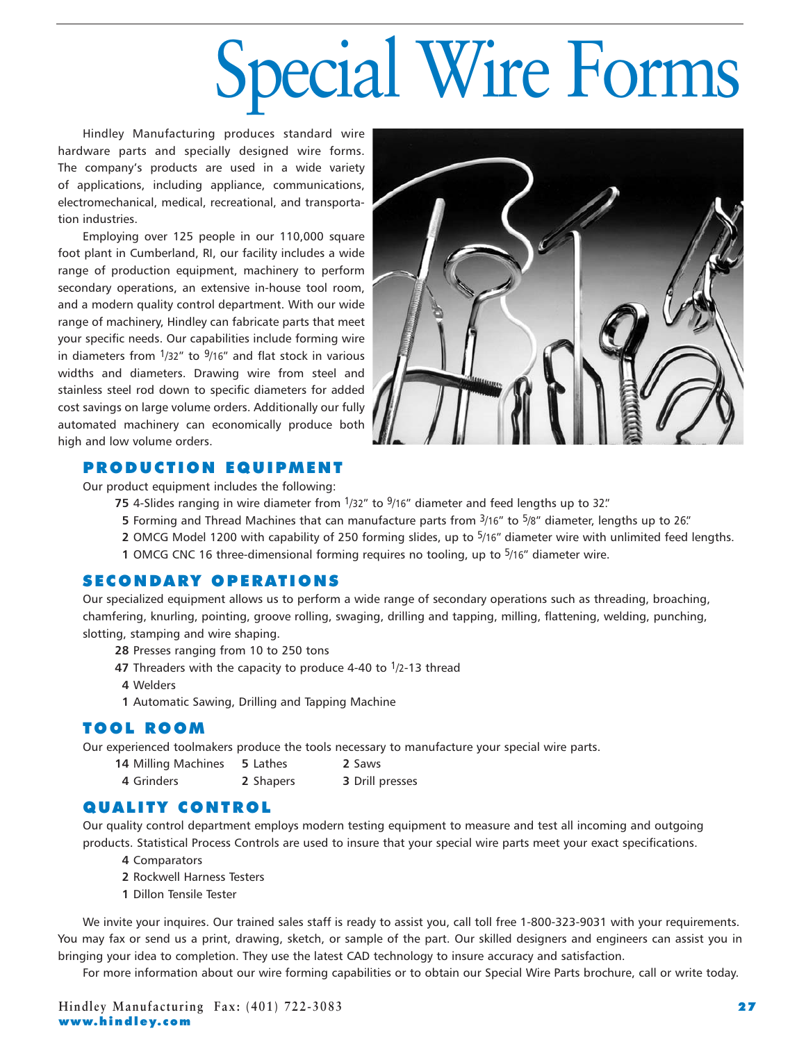# ecial Wire Forms

<span id="page-26-0"></span>Hindley Manufacturing produces standard wire hardware parts and specially designed wire forms. The company's products are used in a wide variety of applications, including appliance, communications, electromechanical, medical, recreational, and transportation industries.

Employing over 125 people in our 110,000 square foot plant in Cumberland, RI, our facility includes a wide range of production equipment, machinery to perform secondary operations, an extensive in-house tool room, and a modern quality control department. With our wide range of machinery, Hindley can fabricate parts that meet your specific needs. Our capabilities include forming wire in diameters from  $1/32''$  to  $9/16''$  and flat stock in various widths and diameters. Drawing wire from steel and stainless steel rod down to specific diameters for added cost savings on large volume orders. Additionally our fully automated machinery can economically produce both high and low volume orders.



# PRODUCTION EQUIPMENT

Our product equipment includes the following:

- **75** 4-Slides ranging in wire diameter from 1/32" to 9/16" diameter and feed lengths up to 32."
- **5** Forming and Thread Machines that can manufacture parts from 3/16" to 5/8" diameter, lengths up to 26."
- **2** OMCG Model 1200 with capability of 250 forming slides, up to 5/16" diameter wire with unlimited feed lengths.
- **1** OMCG CNC 16 three-dimensional forming requires no tooling, up to 5/16" diameter wire.

# SECONDARY OPERATIONS

Our specialized equipment allows us to perform a wide range of secondary operations such as threading, broaching, chamfering, knurling, pointing, groove rolling, swaging, drilling and tapping, milling, flattening, welding, punching, slotting, stamping and wire shaping.

- **28** Presses ranging from 10 to 250 tons
- **47** Threaders with the capacity to produce 4-40 to 1/2-13 thread
- **4** Welders
- **1** Automatic Sawing, Drilling and Tapping Machine

# TOOL ROOM

Our experienced toolmakers produce the tools necessary to manufacture your special wire parts.

- **14** Milling Machines **5** Lathes **2** Saws
- **4** Grinders **2** Shapers **3** Drill presses

## QUALITY CONTROL

Our quality control department employs modern testing equipment to measure and test all incoming and outgoing products. Statistical Process Controls are used to insure that your special wire parts meet your exact specifications.

- **4** Comparators
- **2** Rockwell Harness Testers
- **1** Dillon Tensile Tester

We invite your inquires. Our trained sales staff is ready to assist you, call toll free 1-800-323-9031 with your requirements. You may fax or send us a print, drawing, sketch, or sample of the part. Our skilled designers and engineers can assist you in bringing your idea to completion. They use the latest CAD technology to insure accuracy and satisfaction.

For more information about our wire forming capabilities or to obtain our Special Wire Parts brochure, call or write today.